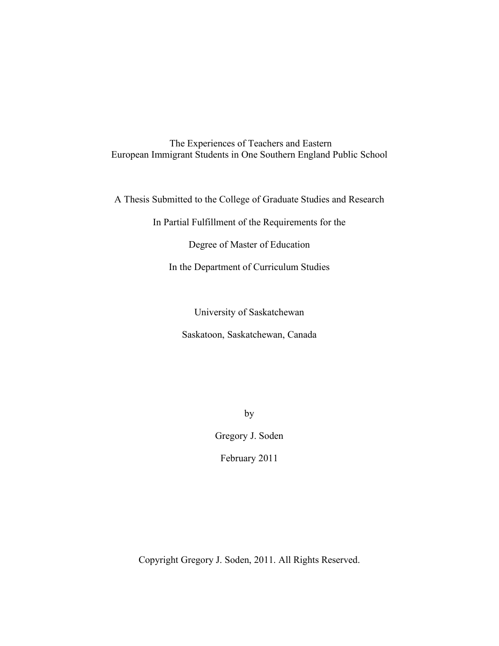The Experiences of Teachers and Eastern European Immigrant Students in One Southern England Public School

A Thesis Submitted to the College of Graduate Studies and Research

In Partial Fulfillment of the Requirements for the

Degree of Master of Education

In the Department of Curriculum Studies

University of Saskatchewan Saskatoon, Saskatchewan, Canada

by

Gregory J. Soden

February 2011

Copyright Gregory J. Soden, 2011. All Rights Reserved.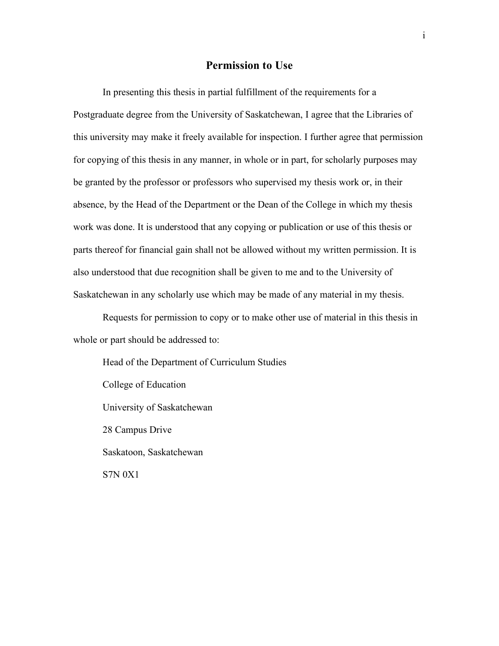## **Permission to Use**

In presenting this thesis in partial fulfillment of the requirements for a Postgraduate degree from the University of Saskatchewan, I agree that the Libraries of this university may make it freely available for inspection. I further agree that permission for copying of this thesis in any manner, in whole or in part, for scholarly purposes may be granted by the professor or professors who supervised my thesis work or, in their absence, by the Head of the Department or the Dean of the College in which my thesis work was done. It is understood that any copying or publication or use of this thesis or parts thereof for financial gain shall not be allowed without my written permission. It is also understood that due recognition shall be given to me and to the University of Saskatchewan in any scholarly use which may be made of any material in my thesis.

Requests for permission to copy or to make other use of material in this thesis in whole or part should be addressed to:

Head of the Department of Curriculum Studies College of Education University of Saskatchewan 28 Campus Drive Saskatoon, Saskatchewan S7N 0X1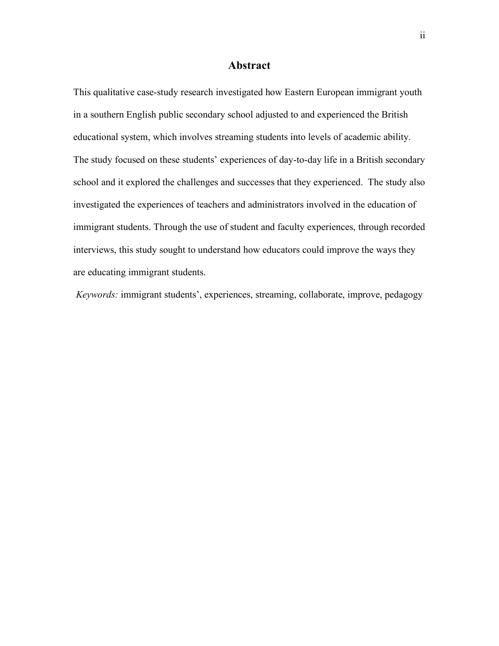# **Abstract**

This qualitative case-study research investigated how Eastern European immigrant youth in a southern English public secondary school adjusted to and experienced the British educational system, which involves streaming students into levels of academic ability. The study focused on these students' experiences of day-to-day life in a British secondary school and it explored the challenges and successes that they experienced. The study also investigated the experiences of teachers and administrators involved in the education of immigrant students. Through the use of student and faculty experiences, through recorded interviews, this study sought to understand how educators could improve the ways they are educating immigrant students.

*Keywords:* immigrant students', experiences, streaming, collaborate, improve, pedagogy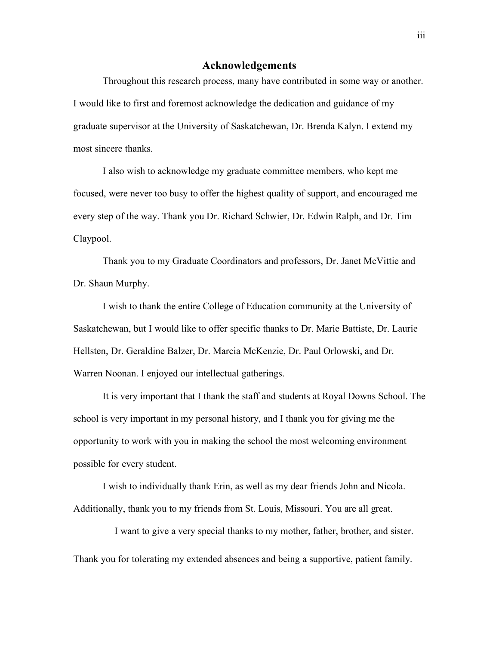## **Acknowledgements**

Throughout this research process, many have contributed in some way or another. I would like to first and foremost acknowledge the dedication and guidance of my graduate supervisor at the University of Saskatchewan, Dr. Brenda Kalyn. I extend my most sincere thanks.

I also wish to acknowledge my graduate committee members, who kept me focused, were never too busy to offer the highest quality of support, and encouraged me every step of the way. Thank you Dr. Richard Schwier, Dr. Edwin Ralph, and Dr. Tim Claypool.

Thank you to my Graduate Coordinators and professors, Dr. Janet McVittie and Dr. Shaun Murphy.

I wish to thank the entire College of Education community at the University of Saskatchewan, but I would like to offer specific thanks to Dr. Marie Battiste, Dr. Laurie Hellsten, Dr. Geraldine Balzer, Dr. Marcia McKenzie, Dr. Paul Orlowski, and Dr. Warren Noonan. I enjoyed our intellectual gatherings.

It is very important that I thank the staff and students at Royal Downs School. The school is very important in my personal history, and I thank you for giving me the opportunity to work with you in making the school the most welcoming environment possible for every student.

I wish to individually thank Erin, as well as my dear friends John and Nicola. Additionally, thank you to my friends from St. Louis, Missouri. You are all great.

I want to give a very special thanks to my mother, father, brother, and sister. Thank you for tolerating my extended absences and being a supportive, patient family.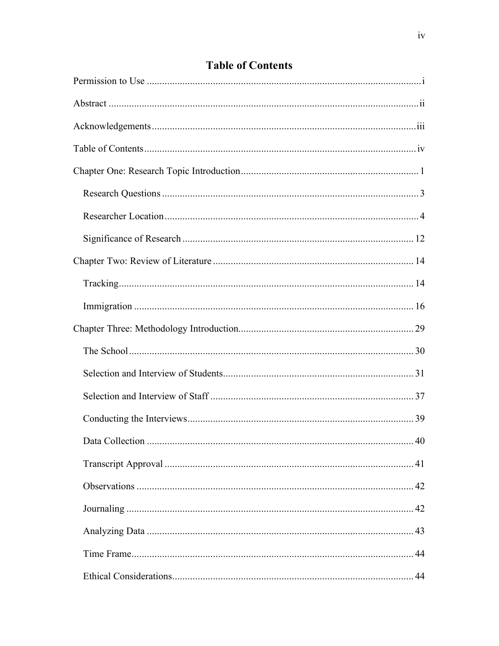# **Table of Contents**

| 40 |
|----|
| 41 |
|    |
|    |
|    |
|    |
|    |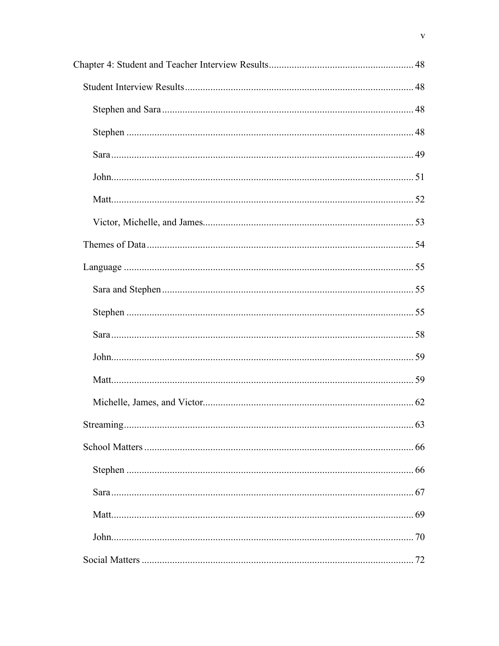$\mathbf{V}$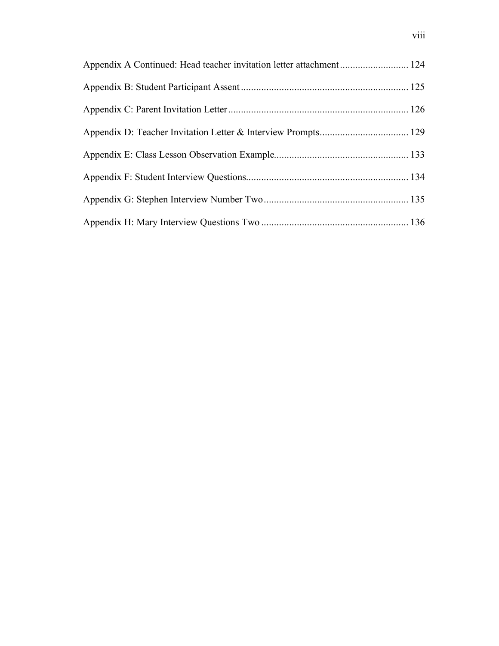| Appendix A Continued: Head teacher invitation letter attachment 124 |  |
|---------------------------------------------------------------------|--|
|                                                                     |  |
|                                                                     |  |
|                                                                     |  |
|                                                                     |  |
|                                                                     |  |
|                                                                     |  |
|                                                                     |  |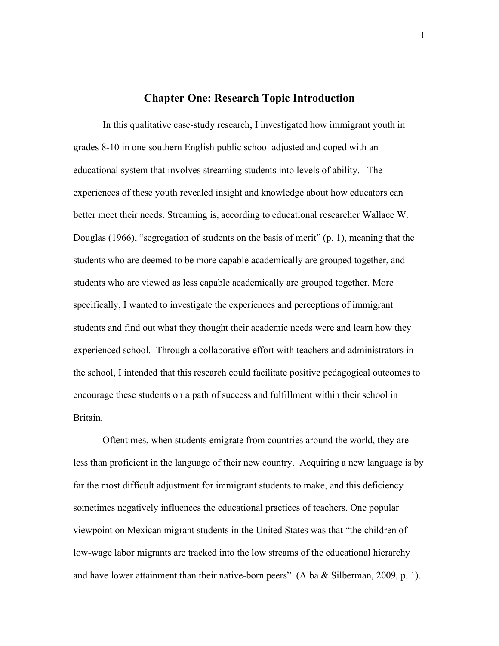#### **Chapter One: Research Topic Introduction**

In this qualitative case-study research, I investigated how immigrant youth in grades 8-10 in one southern English public school adjusted and coped with an educational system that involves streaming students into levels of ability. The experiences of these youth revealed insight and knowledge about how educators can better meet their needs. Streaming is, according to educational researcher Wallace W. Douglas (1966), "segregation of students on the basis of merit" (p. 1), meaning that the students who are deemed to be more capable academically are grouped together, and students who are viewed as less capable academically are grouped together. More specifically, I wanted to investigate the experiences and perceptions of immigrant students and find out what they thought their academic needs were and learn how they experienced school. Through a collaborative effort with teachers and administrators in the school, I intended that this research could facilitate positive pedagogical outcomes to encourage these students on a path of success and fulfillment within their school in Britain.

Oftentimes, when students emigrate from countries around the world, they are less than proficient in the language of their new country. Acquiring a new language is by far the most difficult adjustment for immigrant students to make, and this deficiency sometimes negatively influences the educational practices of teachers. One popular viewpoint on Mexican migrant students in the United States was that "the children of low-wage labor migrants are tracked into the low streams of the educational hierarchy and have lower attainment than their native-born peers" (Alba & Silberman, 2009, p. 1).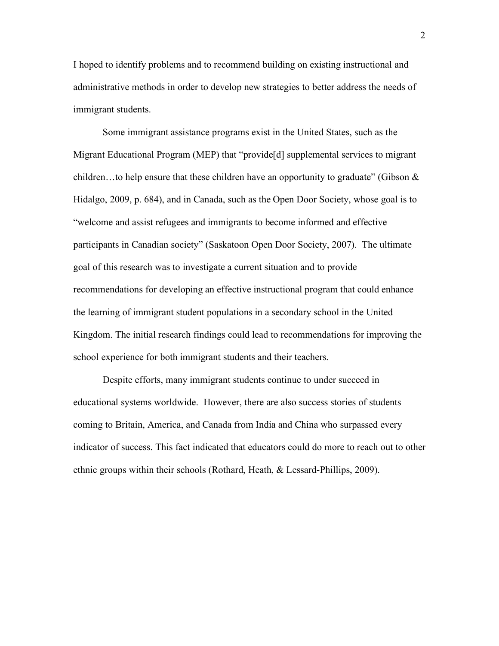I hoped to identify problems and to recommend building on existing instructional and administrative methods in order to develop new strategies to better address the needs of immigrant students.

Some immigrant assistance programs exist in the United States, such as the Migrant Educational Program (MEP) that "provide[d] supplemental services to migrant children...to help ensure that these children have an opportunity to graduate" (Gibson  $\&$ Hidalgo, 2009, p. 684), and in Canada, such as the Open Door Society, whose goal is to "welcome and assist refugees and immigrants to become informed and effective participants in Canadian society" (Saskatoon Open Door Society, 2007). The ultimate goal of this research was to investigate a current situation and to provide recommendations for developing an effective instructional program that could enhance the learning of immigrant student populations in a secondary school in the United Kingdom. The initial research findings could lead to recommendations for improving the school experience for both immigrant students and their teachers.

Despite efforts, many immigrant students continue to under succeed in educational systems worldwide. However, there are also success stories of students coming to Britain, America, and Canada from India and China who surpassed every indicator of success. This fact indicated that educators could do more to reach out to other ethnic groups within their schools (Rothard, Heath, & Lessard-Phillips, 2009).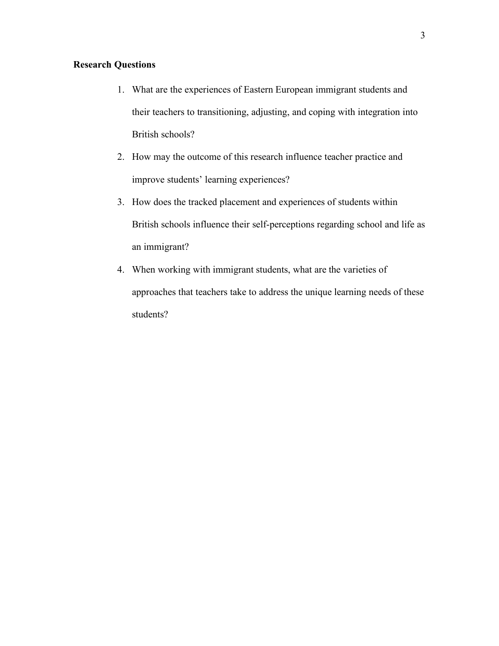# **Research Questions**

- 1. What are the experiences of Eastern European immigrant students and their teachers to transitioning, adjusting, and coping with integration into British schools?
- 2. How may the outcome of this research influence teacher practice and improve students' learning experiences?
- 3. How does the tracked placement and experiences of students within British schools influence their self-perceptions regarding school and life as an immigrant?
- 4. When working with immigrant students, what are the varieties of approaches that teachers take to address the unique learning needs of these students?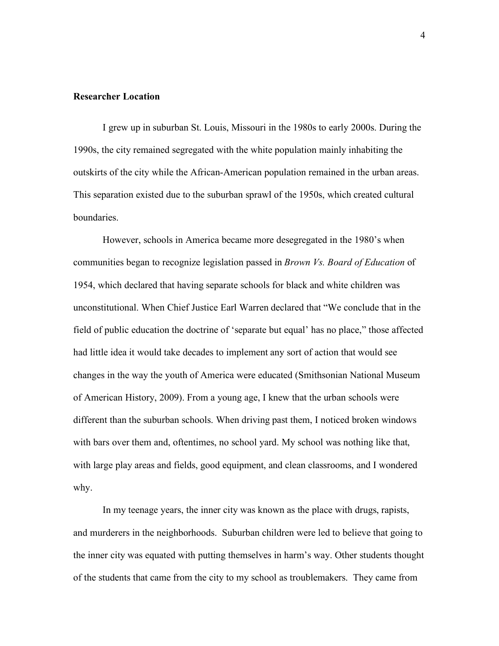#### **Researcher Location**

I grew up in suburban St. Louis, Missouri in the 1980s to early 2000s. During the 1990s, the city remained segregated with the white population mainly inhabiting the outskirts of the city while the African-American population remained in the urban areas. This separation existed due to the suburban sprawl of the 1950s, which created cultural boundaries.

However, schools in America became more desegregated in the 1980's when communities began to recognize legislation passed in *Brown Vs. Board of Education* of 1954, which declared that having separate schools for black and white children was unconstitutional. When Chief Justice Earl Warren declared that "We conclude that in the field of public education the doctrine of 'separate but equal' has no place," those affected had little idea it would take decades to implement any sort of action that would see changes in the way the youth of America were educated (Smithsonian National Museum of American History, 2009). From a young age, I knew that the urban schools were different than the suburban schools. When driving past them, I noticed broken windows with bars over them and, oftentimes, no school yard. My school was nothing like that, with large play areas and fields, good equipment, and clean classrooms, and I wondered why.

In my teenage years, the inner city was known as the place with drugs, rapists, and murderers in the neighborhoods. Suburban children were led to believe that going to the inner city was equated with putting themselves in harm's way. Other students thought of the students that came from the city to my school as troublemakers. They came from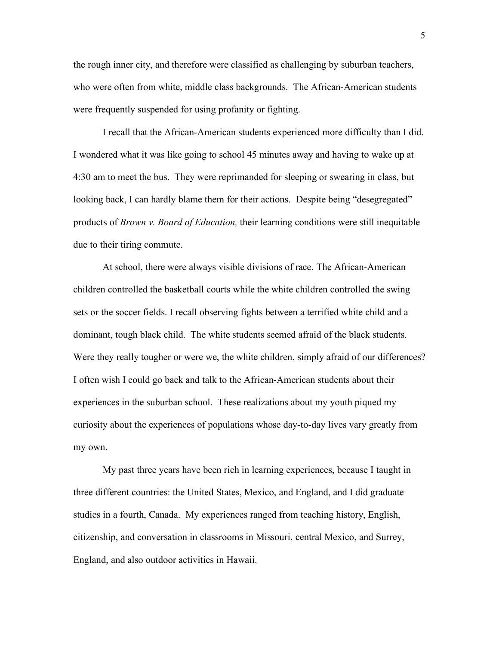the rough inner city, and therefore were classified as challenging by suburban teachers, who were often from white, middle class backgrounds. The African-American students were frequently suspended for using profanity or fighting.

I recall that the African-American students experienced more difficulty than I did. I wondered what it was like going to school 45 minutes away and having to wake up at 4:30 am to meet the bus. They were reprimanded for sleeping or swearing in class, but looking back, I can hardly blame them for their actions. Despite being "desegregated" products of *Brown v. Board of Education,* their learning conditions were still inequitable due to their tiring commute.

At school, there were always visible divisions of race. The African-American children controlled the basketball courts while the white children controlled the swing sets or the soccer fields. I recall observing fights between a terrified white child and a dominant, tough black child. The white students seemed afraid of the black students. Were they really tougher or were we, the white children, simply afraid of our differences? I often wish I could go back and talk to the African-American students about their experiences in the suburban school. These realizations about my youth piqued my curiosity about the experiences of populations whose day-to-day lives vary greatly from my own.

My past three years have been rich in learning experiences, because I taught in three different countries: the United States, Mexico, and England, and I did graduate studies in a fourth, Canada. My experiences ranged from teaching history, English, citizenship, and conversation in classrooms in Missouri, central Mexico, and Surrey, England, and also outdoor activities in Hawaii.

5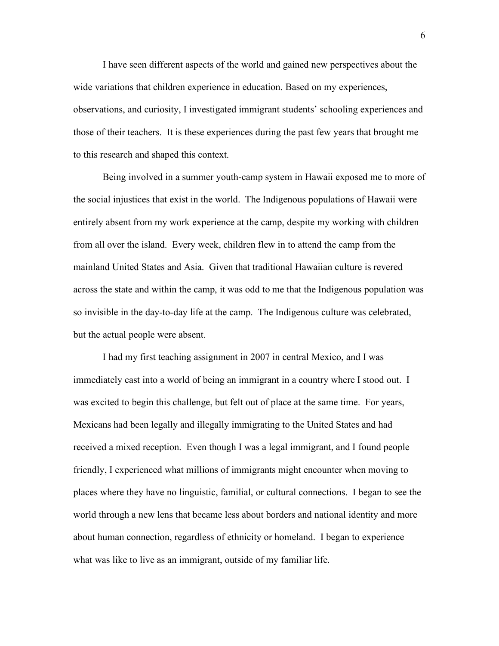I have seen different aspects of the world and gained new perspectives about the wide variations that children experience in education. Based on my experiences, observations, and curiosity, I investigated immigrant students' schooling experiences and those of their teachers. It is these experiences during the past few years that brought me to this research and shaped this context.

Being involved in a summer youth-camp system in Hawaii exposed me to more of the social injustices that exist in the world. The Indigenous populations of Hawaii were entirely absent from my work experience at the camp, despite my working with children from all over the island. Every week, children flew in to attend the camp from the mainland United States and Asia. Given that traditional Hawaiian culture is revered across the state and within the camp, it was odd to me that the Indigenous population was so invisible in the day-to-day life at the camp. The Indigenous culture was celebrated, but the actual people were absent.

I had my first teaching assignment in 2007 in central Mexico, and I was immediately cast into a world of being an immigrant in a country where I stood out. I was excited to begin this challenge, but felt out of place at the same time. For years, Mexicans had been legally and illegally immigrating to the United States and had received a mixed reception. Even though I was a legal immigrant, and I found people friendly, I experienced what millions of immigrants might encounter when moving to places where they have no linguistic, familial, or cultural connections. I began to see the world through a new lens that became less about borders and national identity and more about human connection, regardless of ethnicity or homeland. I began to experience what was like to live as an immigrant, outside of my familiar life.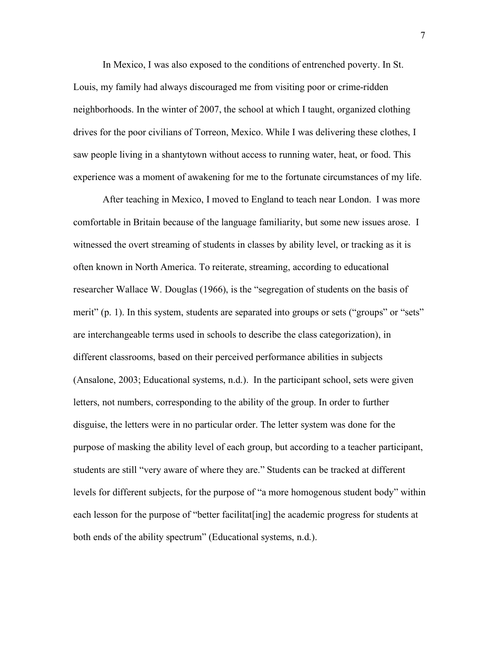In Mexico, I was also exposed to the conditions of entrenched poverty. In St. Louis, my family had always discouraged me from visiting poor or crime-ridden neighborhoods. In the winter of 2007, the school at which I taught, organized clothing drives for the poor civilians of Torreon, Mexico. While I was delivering these clothes, I saw people living in a shantytown without access to running water, heat, or food. This experience was a moment of awakening for me to the fortunate circumstances of my life.

After teaching in Mexico, I moved to England to teach near London. I was more comfortable in Britain because of the language familiarity, but some new issues arose. I witnessed the overt streaming of students in classes by ability level, or tracking as it is often known in North America. To reiterate, streaming, according to educational researcher Wallace W. Douglas (1966), is the "segregation of students on the basis of merit" (p. 1). In this system, students are separated into groups or sets ("groups" or "sets" are interchangeable terms used in schools to describe the class categorization), in different classrooms, based on their perceived performance abilities in subjects (Ansalone, 2003; Educational systems, n.d.). In the participant school, sets were given letters, not numbers, corresponding to the ability of the group. In order to further disguise, the letters were in no particular order. The letter system was done for the purpose of masking the ability level of each group, but according to a teacher participant, students are still "very aware of where they are." Students can be tracked at different levels for different subjects, for the purpose of "a more homogenous student body" within each lesson for the purpose of "better facilitat [ing] the academic progress for students at both ends of the ability spectrum" (Educational systems, n.d.).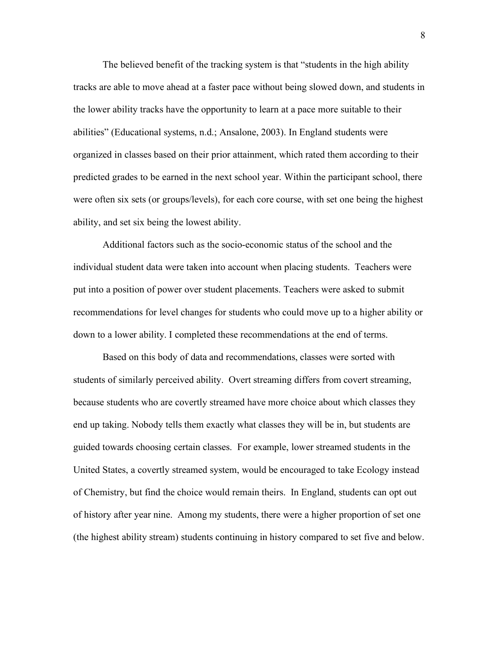The believed benefit of the tracking system is that "students in the high ability tracks are able to move ahead at a faster pace without being slowed down, and students in the lower ability tracks have the opportunity to learn at a pace more suitable to their abilities" (Educational systems, n.d.; Ansalone, 2003). In England students were organized in classes based on their prior attainment, which rated them according to their predicted grades to be earned in the next school year. Within the participant school, there were often six sets (or groups/levels), for each core course, with set one being the highest ability, and set six being the lowest ability.

Additional factors such as the socio-economic status of the school and the individual student data were taken into account when placing students. Teachers were put into a position of power over student placements. Teachers were asked to submit recommendations for level changes for students who could move up to a higher ability or down to a lower ability. I completed these recommendations at the end of terms.

Based on this body of data and recommendations, classes were sorted with students of similarly perceived ability. Overt streaming differs from covert streaming, because students who are covertly streamed have more choice about which classes they end up taking. Nobody tells them exactly what classes they will be in, but students are guided towards choosing certain classes. For example, lower streamed students in the United States, a covertly streamed system, would be encouraged to take Ecology instead of Chemistry, but find the choice would remain theirs. In England, students can opt out of history after year nine. Among my students, there were a higher proportion of set one (the highest ability stream) students continuing in history compared to set five and below.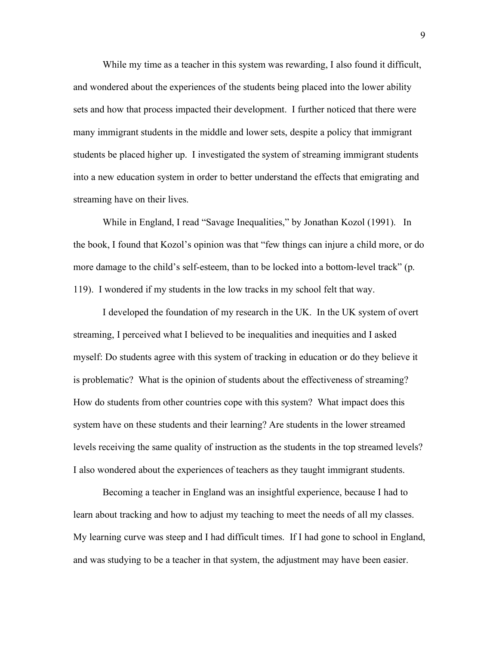While my time as a teacher in this system was rewarding, I also found it difficult, and wondered about the experiences of the students being placed into the lower ability sets and how that process impacted their development. I further noticed that there were many immigrant students in the middle and lower sets, despite a policy that immigrant students be placed higher up. I investigated the system of streaming immigrant students into a new education system in order to better understand the effects that emigrating and streaming have on their lives.

While in England, I read "Savage Inequalities," by Jonathan Kozol (1991). In the book, I found that Kozol's opinion was that "few things can injure a child more, or do more damage to the child's self-esteem, than to be locked into a bottom-level track" (p. 119). I wondered if my students in the low tracks in my school felt that way.

I developed the foundation of my research in the UK. In the UK system of overt streaming, I perceived what I believed to be inequalities and inequities and I asked myself: Do students agree with this system of tracking in education or do they believe it is problematic? What is the opinion of students about the effectiveness of streaming? How do students from other countries cope with this system? What impact does this system have on these students and their learning? Are students in the lower streamed levels receiving the same quality of instruction as the students in the top streamed levels? I also wondered about the experiences of teachers as they taught immigrant students.

Becoming a teacher in England was an insightful experience, because I had to learn about tracking and how to adjust my teaching to meet the needs of all my classes. My learning curve was steep and I had difficult times. If I had gone to school in England, and was studying to be a teacher in that system, the adjustment may have been easier.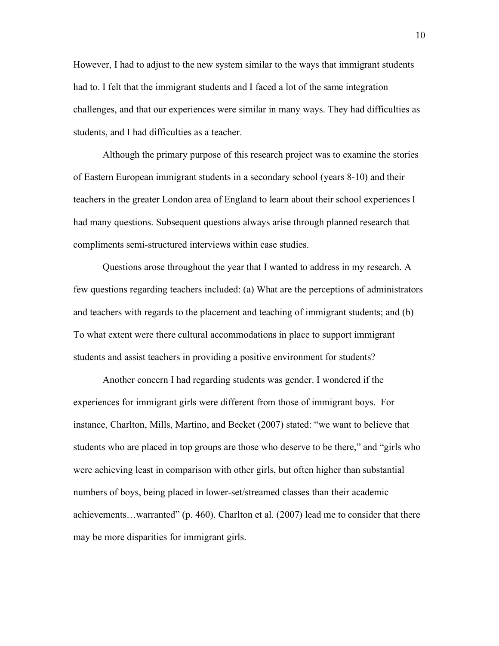However, I had to adjust to the new system similar to the ways that immigrant students had to. I felt that the immigrant students and I faced a lot of the same integration challenges, and that our experiences were similar in many ways. They had difficulties as students, and I had difficulties as a teacher.

Although the primary purpose of this research project was to examine the stories of Eastern European immigrant students in a secondary school (years 8-10) and their teachers in the greater London area of England to learn about their school experiences I had many questions. Subsequent questions always arise through planned research that compliments semi-structured interviews within case studies.

Questions arose throughout the year that I wanted to address in my research. A few questions regarding teachers included: (a) What are the perceptions of administrators and teachers with regards to the placement and teaching of immigrant students; and (b) To what extent were there cultural accommodations in place to support immigrant students and assist teachers in providing a positive environment for students?

Another concern I had regarding students was gender. I wondered if the experiences for immigrant girls were different from those of immigrant boys. For instance, Charlton, Mills, Martino, and Becket (2007) stated: "we want to believe that students who are placed in top groups are those who deserve to be there," and "girls who were achieving least in comparison with other girls, but often higher than substantial numbers of boys, being placed in lower-set/streamed classes than their academic achievements…warranted" (p. 460). Charlton et al. (2007) lead me to consider that there may be more disparities for immigrant girls.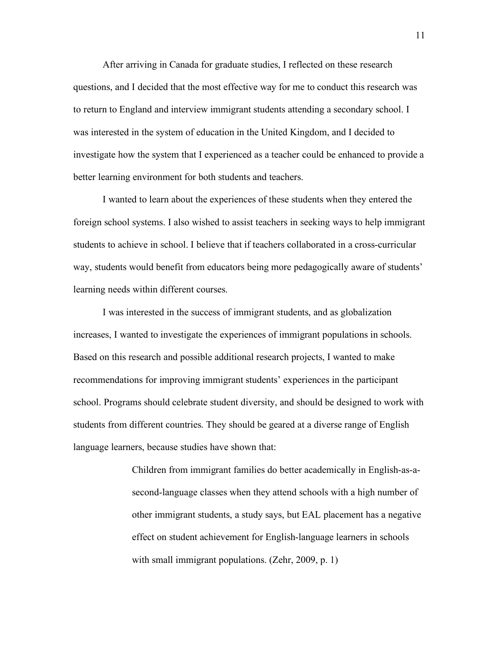After arriving in Canada for graduate studies, I reflected on these research questions, and I decided that the most effective way for me to conduct this research was to return to England and interview immigrant students attending a secondary school. I was interested in the system of education in the United Kingdom, and I decided to investigate how the system that I experienced as a teacher could be enhanced to provide a better learning environment for both students and teachers.

I wanted to learn about the experiences of these students when they entered the foreign school systems. I also wished to assist teachers in seeking ways to help immigrant students to achieve in school. I believe that if teachers collaborated in a cross-curricular way, students would benefit from educators being more pedagogically aware of students' learning needs within different courses.

I was interested in the success of immigrant students, and as globalization increases, I wanted to investigate the experiences of immigrant populations in schools. Based on this research and possible additional research projects, I wanted to make recommendations for improving immigrant students' experiences in the participant school. Programs should celebrate student diversity, and should be designed to work with students from different countries. They should be geared at a diverse range of English language learners, because studies have shown that:

> Children from immigrant families do better academically in English-as-asecond-language classes when they attend schools with a high number of other immigrant students, a study says, but EAL placement has a negative effect on student achievement for English-language learners in schools with small immigrant populations. (Zehr, 2009, p. 1)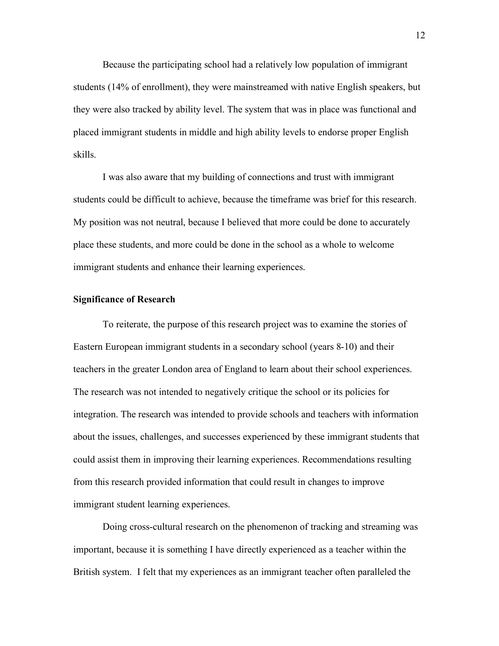Because the participating school had a relatively low population of immigrant students (14% of enrollment), they were mainstreamed with native English speakers, but they were also tracked by ability level. The system that was in place was functional and placed immigrant students in middle and high ability levels to endorse proper English skills.

I was also aware that my building of connections and trust with immigrant students could be difficult to achieve, because the timeframe was brief for this research. My position was not neutral, because I believed that more could be done to accurately place these students, and more could be done in the school as a whole to welcome immigrant students and enhance their learning experiences.

#### **Significance of Research**

To reiterate, the purpose of this research project was to examine the stories of Eastern European immigrant students in a secondary school (years 8-10) and their teachers in the greater London area of England to learn about their school experiences. The research was not intended to negatively critique the school or its policies for integration. The research was intended to provide schools and teachers with information about the issues, challenges, and successes experienced by these immigrant students that could assist them in improving their learning experiences. Recommendations resulting from this research provided information that could result in changes to improve immigrant student learning experiences.

Doing cross-cultural research on the phenomenon of tracking and streaming was important, because it is something I have directly experienced as a teacher within the British system. I felt that my experiences as an immigrant teacher often paralleled the

12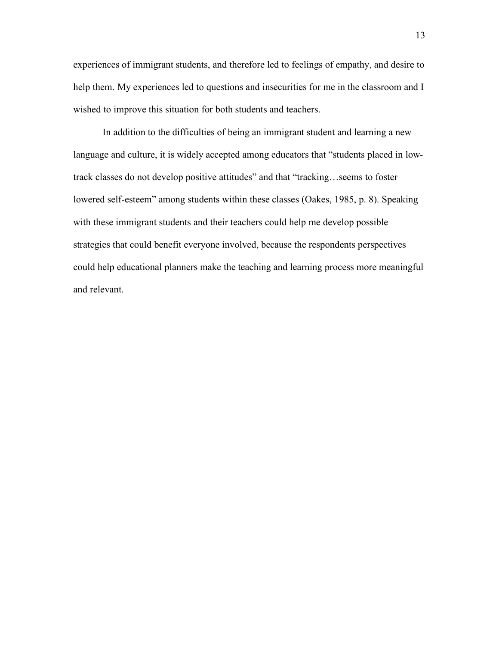experiences of immigrant students, and therefore led to feelings of empathy, and desire to help them. My experiences led to questions and insecurities for me in the classroom and I wished to improve this situation for both students and teachers.

In addition to the difficulties of being an immigrant student and learning a new language and culture, it is widely accepted among educators that "students placed in lowtrack classes do not develop positive attitudes" and that "tracking…seems to foster lowered self-esteem" among students within these classes (Oakes, 1985, p. 8). Speaking with these immigrant students and their teachers could help me develop possible strategies that could benefit everyone involved, because the respondents perspectives could help educational planners make the teaching and learning process more meaningful and relevant.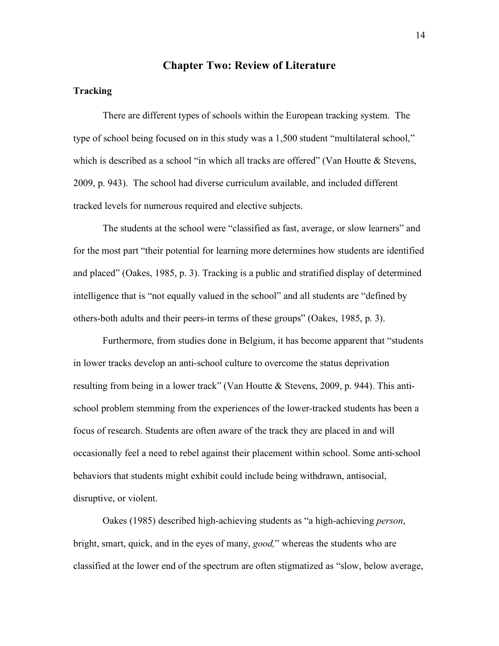## **Chapter Two: Review of Literature**

#### **Tracking**

There are different types of schools within the European tracking system. The type of school being focused on in this study was a 1,500 student "multilateral school," which is described as a school "in which all tracks are offered" (Van Houtte & Stevens, 2009, p. 943). The school had diverse curriculum available, and included different tracked levels for numerous required and elective subjects.

The students at the school were "classified as fast, average, or slow learners" and for the most part "their potential for learning more determines how students are identified and placed" (Oakes, 1985, p. 3). Tracking is a public and stratified display of determined intelligence that is "not equally valued in the school" and all students are "defined by others-both adults and their peers-in terms of these groups" (Oakes, 1985, p. 3).

Furthermore, from studies done in Belgium, it has become apparent that "students in lower tracks develop an anti-school culture to overcome the status deprivation resulting from being in a lower track" (Van Houtte & Stevens, 2009, p. 944). This antischool problem stemming from the experiences of the lower-tracked students has been a focus of research. Students are often aware of the track they are placed in and will occasionally feel a need to rebel against their placement within school. Some anti-school behaviors that students might exhibit could include being withdrawn, antisocial, disruptive, or violent.

Oakes (1985) described high-achieving students as "a high-achieving *person*, bright, smart, quick, and in the eyes of many, *good,*" whereas the students who are classified at the lower end of the spectrum are often stigmatized as "slow, below average,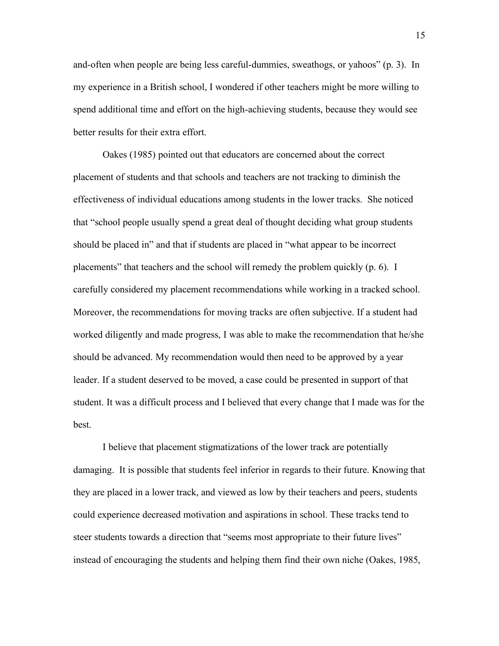and-often when people are being less careful-dummies, sweathogs, or yahoos" (p. 3). In my experience in a British school, I wondered if other teachers might be more willing to spend additional time and effort on the high-achieving students, because they would see better results for their extra effort.

Oakes (1985) pointed out that educators are concerned about the correct placement of students and that schools and teachers are not tracking to diminish the effectiveness of individual educations among students in the lower tracks. She noticed that "school people usually spend a great deal of thought deciding what group students should be placed in" and that if students are placed in "what appear to be incorrect placements" that teachers and the school will remedy the problem quickly (p. 6). I carefully considered my placement recommendations while working in a tracked school. Moreover, the recommendations for moving tracks are often subjective. If a student had worked diligently and made progress, I was able to make the recommendation that he/she should be advanced. My recommendation would then need to be approved by a year leader. If a student deserved to be moved, a case could be presented in support of that student. It was a difficult process and I believed that every change that I made was for the best.

I believe that placement stigmatizations of the lower track are potentially damaging. It is possible that students feel inferior in regards to their future. Knowing that they are placed in a lower track, and viewed as low by their teachers and peers, students could experience decreased motivation and aspirations in school. These tracks tend to steer students towards a direction that "seems most appropriate to their future lives" instead of encouraging the students and helping them find their own niche (Oakes, 1985,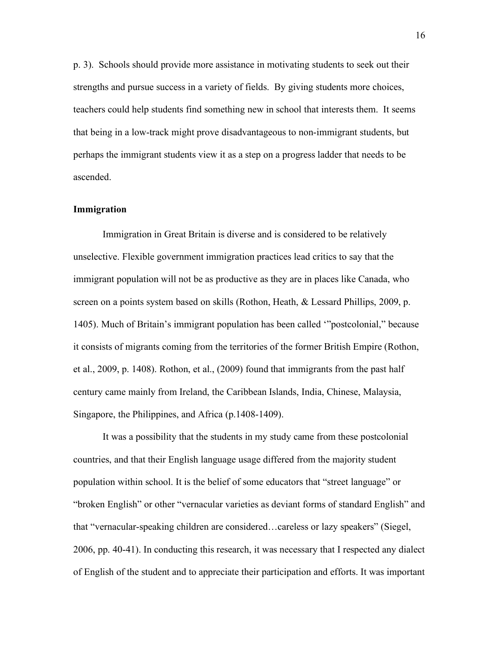p. 3). Schools should provide more assistance in motivating students to seek out their strengths and pursue success in a variety of fields. By giving students more choices, teachers could help students find something new in school that interests them. It seems that being in a low-track might prove disadvantageous to non-immigrant students, but perhaps the immigrant students view it as a step on a progress ladder that needs to be ascended.

#### **Immigration**

Immigration in Great Britain is diverse and is considered to be relatively unselective. Flexible government immigration practices lead critics to say that the immigrant population will not be as productive as they are in places like Canada, who screen on a points system based on skills (Rothon, Heath, & Lessard Phillips, 2009, p. 1405). Much of Britain's immigrant population has been called '"postcolonial," because it consists of migrants coming from the territories of the former British Empire (Rothon, et al., 2009, p. 1408). Rothon, et al., (2009) found that immigrants from the past half century came mainly from Ireland, the Caribbean Islands, India, Chinese, Malaysia, Singapore, the Philippines, and Africa (p.1408-1409).

It was a possibility that the students in my study came from these postcolonial countries, and that their English language usage differed from the majority student population within school. It is the belief of some educators that "street language" or "broken English" or other "vernacular varieties as deviant forms of standard English" and that "vernacular-speaking children are considered…careless or lazy speakers" (Siegel, 2006, pp. 40-41). In conducting this research, it was necessary that I respected any dialect of English of the student and to appreciate their participation and efforts. It was important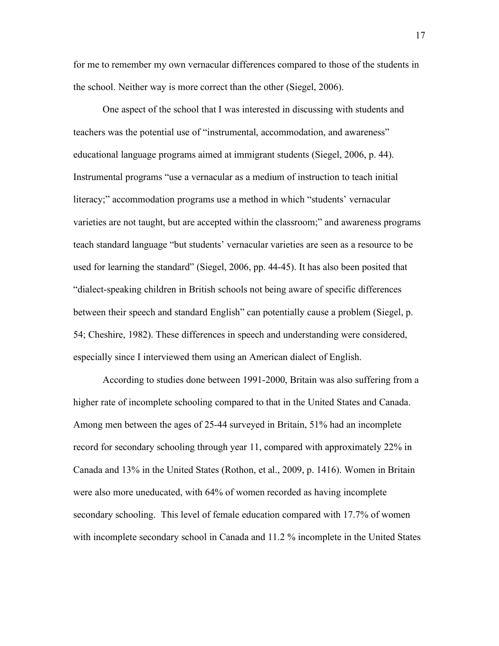for me to remember my own vernacular differences compared to those of the students in the school. Neither way is more correct than the other (Siegel, 2006).

One aspect of the school that I was interested in discussing with students and teachers was the potential use of "instrumental, accommodation, and awareness" educational language programs aimed at immigrant students (Siegel, 2006, p. 44). Instrumental programs "use a vernacular as a medium of instruction to teach initial literacy;" accommodation programs use a method in which "students' vernacular varieties are not taught, but are accepted within the classroom;" and awareness programs teach standard language "but students' vernacular varieties are seen as a resource to be used for learning the standard" (Siegel, 2006, pp. 44-45). It has also been posited that "dialect-speaking children in British schools not being aware of specific differences between their speech and standard English" can potentially cause a problem (Siegel, p. 54; Cheshire, 1982). These differences in speech and understanding were considered, especially since I interviewed them using an American dialect of English.

According to studies done between 1991-2000, Britain was also suffering from a higher rate of incomplete schooling compared to that in the United States and Canada. Among men between the ages of 25-44 surveyed in Britain, 51% had an incomplete record for secondary schooling through year 11, compared with approximately 22% in Canada and 13% in the United States (Rothon, et al., 2009, p. 1416). Women in Britain were also more uneducated, with 64% of women recorded as having incomplete secondary schooling. This level of female education compared with 17.7% of women with incomplete secondary school in Canada and 11.2 % incomplete in the United States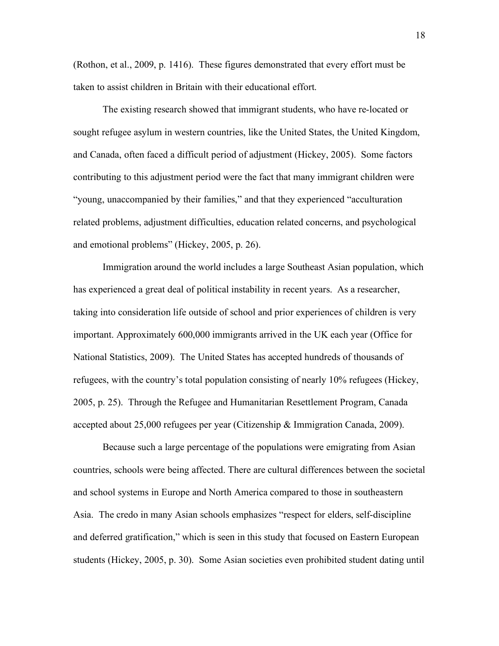(Rothon, et al., 2009, p. 1416). These figures demonstrated that every effort must be taken to assist children in Britain with their educational effort.

The existing research showed that immigrant students, who have re-located or sought refugee asylum in western countries, like the United States, the United Kingdom, and Canada, often faced a difficult period of adjustment (Hickey, 2005). Some factors contributing to this adjustment period were the fact that many immigrant children were "young, unaccompanied by their families," and that they experienced "acculturation related problems, adjustment difficulties, education related concerns, and psychological and emotional problems" (Hickey, 2005, p. 26).

Immigration around the world includes a large Southeast Asian population, which has experienced a great deal of political instability in recent years. As a researcher, taking into consideration life outside of school and prior experiences of children is very important. Approximately 600,000 immigrants arrived in the UK each year (Office for National Statistics, 2009). The United States has accepted hundreds of thousands of refugees, with the country's total population consisting of nearly 10% refugees (Hickey, 2005, p. 25). Through the Refugee and Humanitarian Resettlement Program, Canada accepted about 25,000 refugees per year (Citizenship & Immigration Canada, 2009).

Because such a large percentage of the populations were emigrating from Asian countries, schools were being affected. There are cultural differences between the societal and school systems in Europe and North America compared to those in southeastern Asia. The credo in many Asian schools emphasizes "respect for elders, self-discipline and deferred gratification," which is seen in this study that focused on Eastern European students (Hickey, 2005, p. 30). Some Asian societies even prohibited student dating until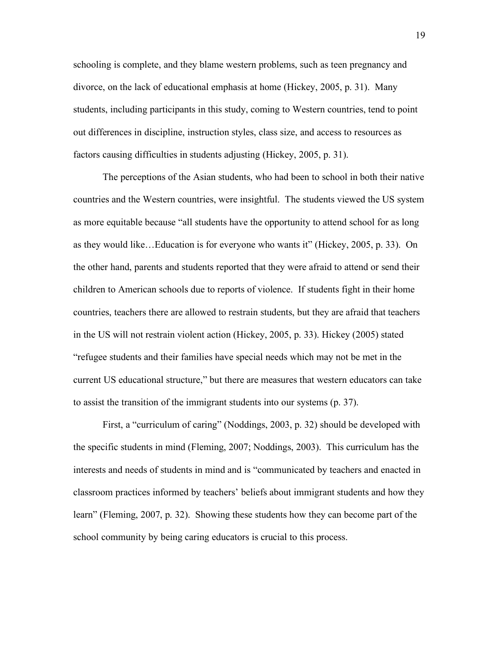schooling is complete, and they blame western problems, such as teen pregnancy and divorce, on the lack of educational emphasis at home (Hickey, 2005, p. 31). Many students, including participants in this study, coming to Western countries, tend to point out differences in discipline, instruction styles, class size, and access to resources as factors causing difficulties in students adjusting (Hickey, 2005, p. 31).

The perceptions of the Asian students, who had been to school in both their native countries and the Western countries, were insightful. The students viewed the US system as more equitable because "all students have the opportunity to attend school for as long as they would like…Education is for everyone who wants it" (Hickey, 2005, p. 33). On the other hand, parents and students reported that they were afraid to attend or send their children to American schools due to reports of violence. If students fight in their home countries, teachers there are allowed to restrain students, but they are afraid that teachers in the US will not restrain violent action (Hickey, 2005, p. 33). Hickey (2005) stated "refugee students and their families have special needs which may not be met in the current US educational structure," but there are measures that western educators can take to assist the transition of the immigrant students into our systems (p. 37).

First, a "curriculum of caring" (Noddings, 2003, p. 32) should be developed with the specific students in mind (Fleming, 2007; Noddings, 2003). This curriculum has the interests and needs of students in mind and is "communicated by teachers and enacted in classroom practices informed by teachers' beliefs about immigrant students and how they learn" (Fleming, 2007, p. 32). Showing these students how they can become part of the school community by being caring educators is crucial to this process.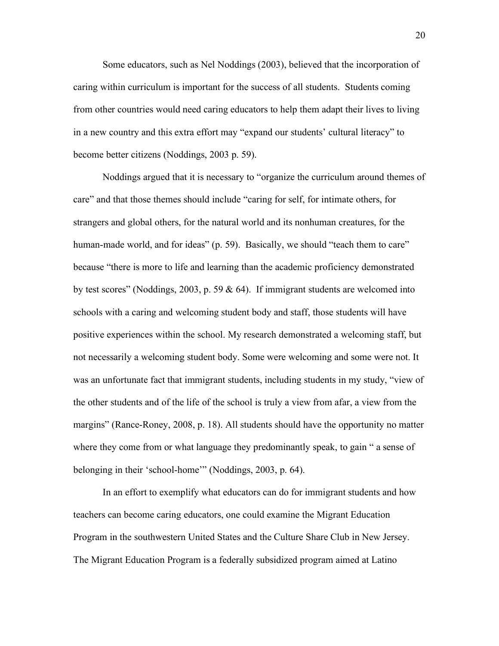Some educators, such as Nel Noddings (2003), believed that the incorporation of caring within curriculum is important for the success of all students. Students coming from other countries would need caring educators to help them adapt their lives to living in a new country and this extra effort may "expand our students' cultural literacy" to become better citizens (Noddings, 2003 p. 59).

Noddings argued that it is necessary to "organize the curriculum around themes of care" and that those themes should include "caring for self, for intimate others, for strangers and global others, for the natural world and its nonhuman creatures, for the human-made world, and for ideas" (p. 59). Basically, we should "teach them to care" because "there is more to life and learning than the academic proficiency demonstrated by test scores" (Noddings, 2003, p. 59  $\&$  64). If immigrant students are welcomed into schools with a caring and welcoming student body and staff, those students will have positive experiences within the school. My research demonstrated a welcoming staff, but not necessarily a welcoming student body. Some were welcoming and some were not. It was an unfortunate fact that immigrant students, including students in my study, "view of the other students and of the life of the school is truly a view from afar, a view from the margins" (Rance-Roney, 2008, p. 18). All students should have the opportunity no matter where they come from or what language they predominantly speak, to gain "a sense of belonging in their 'school-home'" (Noddings, 2003, p. 64).

In an effort to exemplify what educators can do for immigrant students and how teachers can become caring educators, one could examine the Migrant Education Program in the southwestern United States and the Culture Share Club in New Jersey. The Migrant Education Program is a federally subsidized program aimed at Latino

20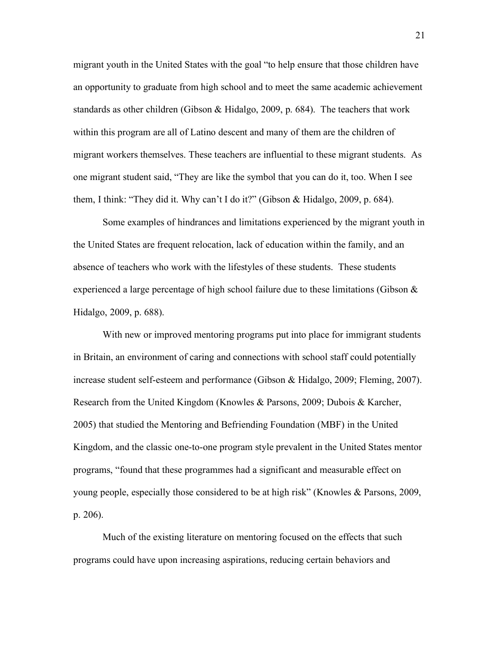migrant youth in the United States with the goal "to help ensure that those children have an opportunity to graduate from high school and to meet the same academic achievement standards as other children (Gibson & Hidalgo, 2009, p. 684). The teachers that work within this program are all of Latino descent and many of them are the children of migrant workers themselves. These teachers are influential to these migrant students. As one migrant student said, "They are like the symbol that you can do it, too. When I see them, I think: "They did it. Why can't I do it?" (Gibson & Hidalgo, 2009, p. 684).

Some examples of hindrances and limitations experienced by the migrant youth in the United States are frequent relocation, lack of education within the family, and an absence of teachers who work with the lifestyles of these students. These students experienced a large percentage of high school failure due to these limitations (Gibson  $\&$ Hidalgo, 2009, p. 688).

With new or improved mentoring programs put into place for immigrant students in Britain, an environment of caring and connections with school staff could potentially increase student self-esteem and performance (Gibson & Hidalgo, 2009; Fleming, 2007). Research from the United Kingdom (Knowles & Parsons, 2009; Dubois & Karcher, 2005) that studied the Mentoring and Befriending Foundation (MBF) in the United Kingdom, and the classic one-to-one program style prevalent in the United States mentor programs, "found that these programmes had a significant and measurable effect on young people, especially those considered to be at high risk" (Knowles & Parsons, 2009, p. 206).

Much of the existing literature on mentoring focused on the effects that such programs could have upon increasing aspirations, reducing certain behaviors and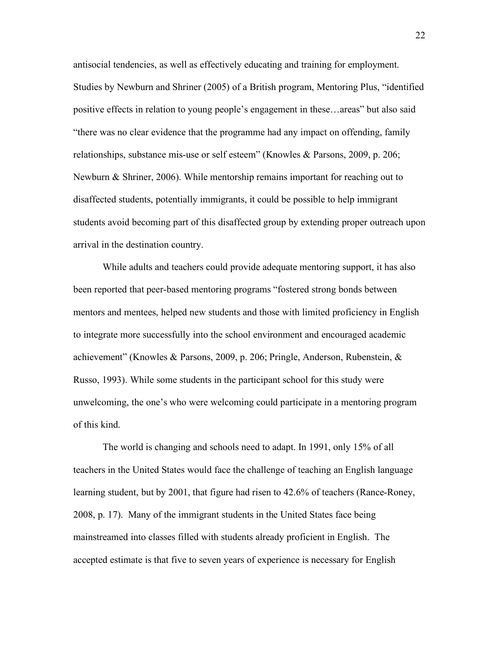antisocial tendencies, as well as effectively educating and training for employment. Studies by Newburn and Shriner (2005) of a British program, Mentoring Plus, "identified positive effects in relation to young people's engagement in these…areas" but also said "there was no clear evidence that the programme had any impact on offending, family relationships, substance mis-use or self esteem" (Knowles & Parsons, 2009, p. 206; Newburn & Shriner, 2006). While mentorship remains important for reaching out to disaffected students, potentially immigrants, it could be possible to help immigrant students avoid becoming part of this disaffected group by extending proper outreach upon arrival in the destination country.

While adults and teachers could provide adequate mentoring support, it has also been reported that peer-based mentoring programs "fostered strong bonds between mentors and mentees, helped new students and those with limited proficiency in English to integrate more successfully into the school environment and encouraged academic achievement" (Knowles & Parsons, 2009, p. 206; Pringle, Anderson, Rubenstein, & Russo, 1993). While some students in the participant school for this study were unwelcoming, the one's who were welcoming could participate in a mentoring program of this kind.

The world is changing and schools need to adapt. In 1991, only 15% of all teachers in the United States would face the challenge of teaching an English language learning student, but by 2001, that figure had risen to 42.6% of teachers (Rance-Roney, 2008, p. 17). Many of the immigrant students in the United States face being mainstreamed into classes filled with students already proficient in English. The accepted estimate is that five to seven years of experience is necessary for English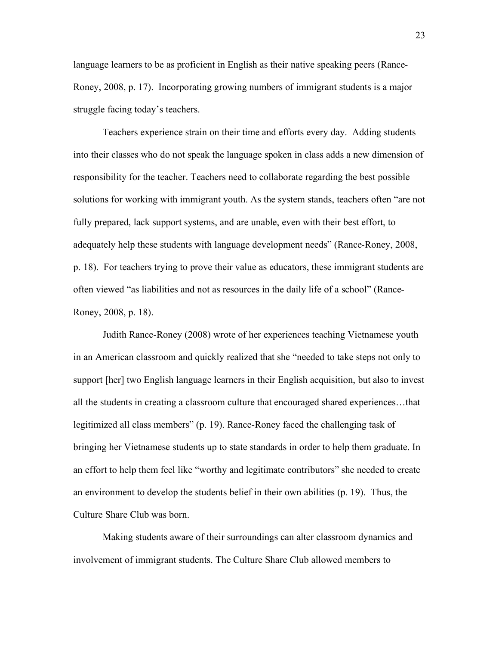language learners to be as proficient in English as their native speaking peers (Rance-Roney, 2008, p. 17). Incorporating growing numbers of immigrant students is a major struggle facing today's teachers.

Teachers experience strain on their time and efforts every day. Adding students into their classes who do not speak the language spoken in class adds a new dimension of responsibility for the teacher. Teachers need to collaborate regarding the best possible solutions for working with immigrant youth. As the system stands, teachers often "are not fully prepared, lack support systems, and are unable, even with their best effort, to adequately help these students with language development needs" (Rance-Roney, 2008, p. 18). For teachers trying to prove their value as educators, these immigrant students are often viewed "as liabilities and not as resources in the daily life of a school" (Rance-Roney, 2008, p. 18).

Judith Rance-Roney (2008) wrote of her experiences teaching Vietnamese youth in an American classroom and quickly realized that she "needed to take steps not only to support [her] two English language learners in their English acquisition, but also to invest all the students in creating a classroom culture that encouraged shared experiences…that legitimized all class members" (p. 19). Rance-Roney faced the challenging task of bringing her Vietnamese students up to state standards in order to help them graduate. In an effort to help them feel like "worthy and legitimate contributors" she needed to create an environment to develop the students belief in their own abilities (p. 19). Thus, the Culture Share Club was born.

Making students aware of their surroundings can alter classroom dynamics and involvement of immigrant students. The Culture Share Club allowed members to

23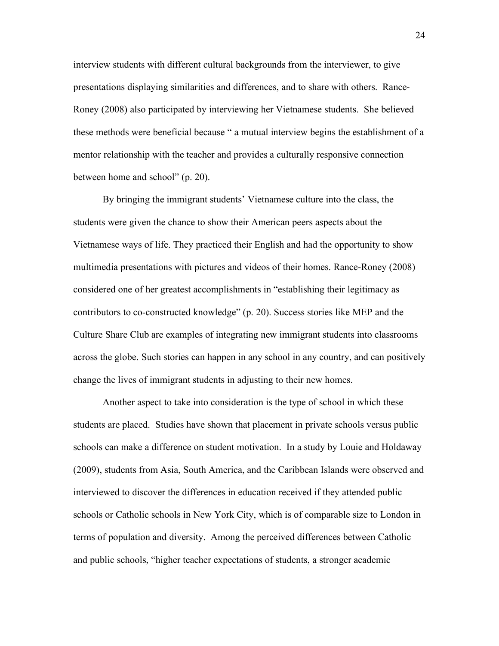interview students with different cultural backgrounds from the interviewer, to give presentations displaying similarities and differences, and to share with others. Rance-Roney (2008) also participated by interviewing her Vietnamese students. She believed these methods were beneficial because " a mutual interview begins the establishment of a mentor relationship with the teacher and provides a culturally responsive connection between home and school" (p. 20).

By bringing the immigrant students' Vietnamese culture into the class, the students were given the chance to show their American peers aspects about the Vietnamese ways of life. They practiced their English and had the opportunity to show multimedia presentations with pictures and videos of their homes. Rance-Roney (2008) considered one of her greatest accomplishments in "establishing their legitimacy as contributors to co-constructed knowledge" (p. 20). Success stories like MEP and the Culture Share Club are examples of integrating new immigrant students into classrooms across the globe. Such stories can happen in any school in any country, and can positively change the lives of immigrant students in adjusting to their new homes.

Another aspect to take into consideration is the type of school in which these students are placed. Studies have shown that placement in private schools versus public schools can make a difference on student motivation. In a study by Louie and Holdaway (2009), students from Asia, South America, and the Caribbean Islands were observed and interviewed to discover the differences in education received if they attended public schools or Catholic schools in New York City, which is of comparable size to London in terms of population and diversity. Among the perceived differences between Catholic and public schools, "higher teacher expectations of students, a stronger academic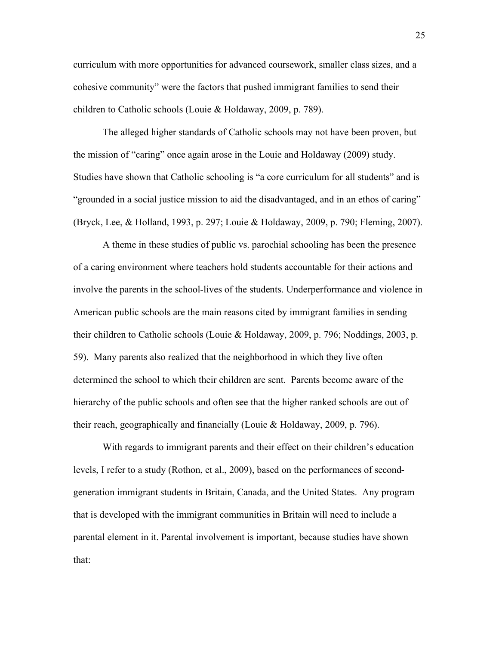curriculum with more opportunities for advanced coursework, smaller class sizes, and a cohesive community" were the factors that pushed immigrant families to send their children to Catholic schools (Louie & Holdaway, 2009, p. 789).

The alleged higher standards of Catholic schools may not have been proven, but the mission of "caring" once again arose in the Louie and Holdaway (2009) study. Studies have shown that Catholic schooling is "a core curriculum for all students" and is "grounded in a social justice mission to aid the disadvantaged, and in an ethos of caring" (Bryck, Lee, & Holland, 1993, p. 297; Louie & Holdaway, 2009, p. 790; Fleming, 2007).

A theme in these studies of public vs. parochial schooling has been the presence of a caring environment where teachers hold students accountable for their actions and involve the parents in the school-lives of the students. Underperformance and violence in American public schools are the main reasons cited by immigrant families in sending their children to Catholic schools (Louie & Holdaway, 2009, p. 796; Noddings, 2003, p. 59). Many parents also realized that the neighborhood in which they live often determined the school to which their children are sent. Parents become aware of the hierarchy of the public schools and often see that the higher ranked schools are out of their reach, geographically and financially (Louie & Holdaway, 2009, p. 796).

With regards to immigrant parents and their effect on their children's education levels, I refer to a study (Rothon, et al., 2009), based on the performances of secondgeneration immigrant students in Britain, Canada, and the United States. Any program that is developed with the immigrant communities in Britain will need to include a parental element in it. Parental involvement is important, because studies have shown that: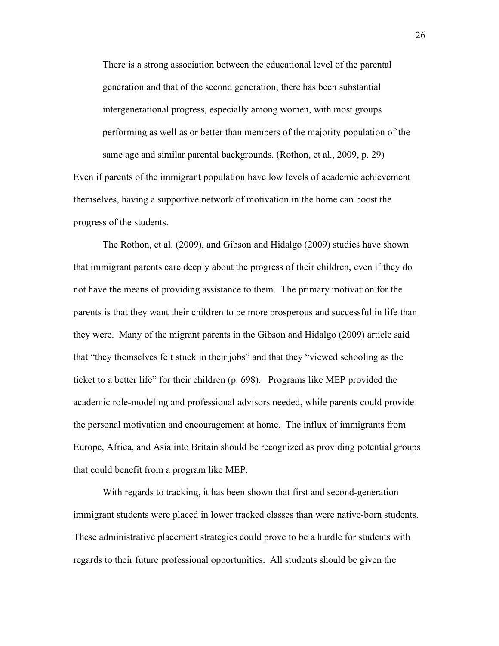There is a strong association between the educational level of the parental generation and that of the second generation, there has been substantial intergenerational progress, especially among women, with most groups performing as well as or better than members of the majority population of the same age and similar parental backgrounds. (Rothon, et al., 2009, p. 29) Even if parents of the immigrant population have low levels of academic achievement

themselves, having a supportive network of motivation in the home can boost the progress of the students.

The Rothon, et al. (2009), and Gibson and Hidalgo (2009) studies have shown that immigrant parents care deeply about the progress of their children, even if they do not have the means of providing assistance to them. The primary motivation for the parents is that they want their children to be more prosperous and successful in life than they were. Many of the migrant parents in the Gibson and Hidalgo (2009) article said that "they themselves felt stuck in their jobs" and that they "viewed schooling as the ticket to a better life" for their children (p. 698). Programs like MEP provided the academic role-modeling and professional advisors needed, while parents could provide the personal motivation and encouragement at home. The influx of immigrants from Europe, Africa, and Asia into Britain should be recognized as providing potential groups that could benefit from a program like MEP.

With regards to tracking, it has been shown that first and second-generation immigrant students were placed in lower tracked classes than were native-born students. These administrative placement strategies could prove to be a hurdle for students with regards to their future professional opportunities. All students should be given the

26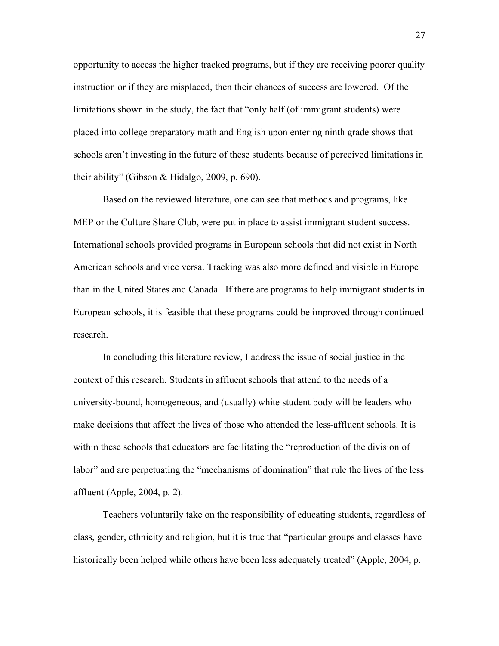opportunity to access the higher tracked programs, but if they are receiving poorer quality instruction or if they are misplaced, then their chances of success are lowered. Of the limitations shown in the study, the fact that "only half (of immigrant students) were placed into college preparatory math and English upon entering ninth grade shows that schools aren't investing in the future of these students because of perceived limitations in their ability" (Gibson & Hidalgo, 2009, p. 690).

Based on the reviewed literature, one can see that methods and programs, like MEP or the Culture Share Club, were put in place to assist immigrant student success. International schools provided programs in European schools that did not exist in North American schools and vice versa. Tracking was also more defined and visible in Europe than in the United States and Canada. If there are programs to help immigrant students in European schools, it is feasible that these programs could be improved through continued research.

In concluding this literature review, I address the issue of social justice in the context of this research. Students in affluent schools that attend to the needs of a university-bound, homogeneous, and (usually) white student body will be leaders who make decisions that affect the lives of those who attended the less-affluent schools. It is within these schools that educators are facilitating the "reproduction of the division of labor" and are perpetuating the "mechanisms of domination" that rule the lives of the less affluent (Apple, 2004, p. 2).

Teachers voluntarily take on the responsibility of educating students, regardless of class, gender, ethnicity and religion, but it is true that "particular groups and classes have historically been helped while others have been less adequately treated" (Apple, 2004, p.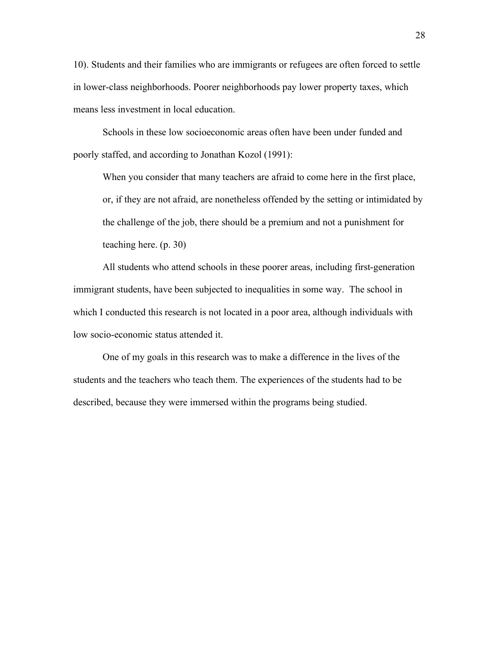10). Students and their families who are immigrants or refugees are often forced to settle in lower-class neighborhoods. Poorer neighborhoods pay lower property taxes, which means less investment in local education.

Schools in these low socioeconomic areas often have been under funded and poorly staffed, and according to Jonathan Kozol (1991):

When you consider that many teachers are afraid to come here in the first place, or, if they are not afraid, are nonetheless offended by the setting or intimidated by the challenge of the job, there should be a premium and not a punishment for teaching here. (p. 30)

All students who attend schools in these poorer areas, including first-generation immigrant students, have been subjected to inequalities in some way. The school in which I conducted this research is not located in a poor area, although individuals with low socio-economic status attended it.

One of my goals in this research was to make a difference in the lives of the students and the teachers who teach them. The experiences of the students had to be described, because they were immersed within the programs being studied.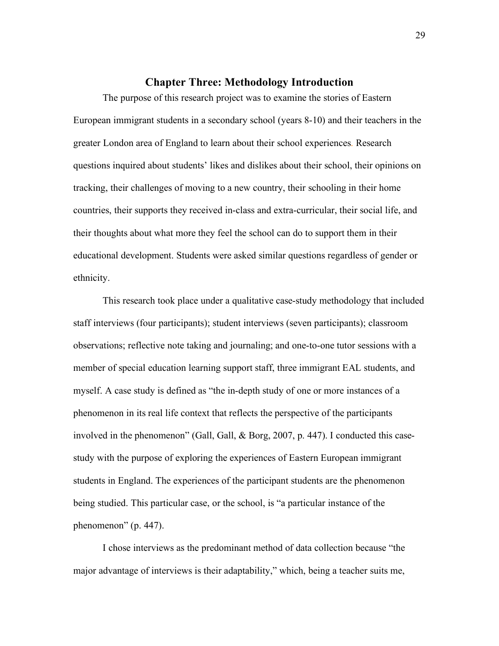# **Chapter Three: Methodology Introduction**

The purpose of this research project was to examine the stories of Eastern European immigrant students in a secondary school (years 8-10) and their teachers in the greater London area of England to learn about their school experiences. Research questions inquired about students' likes and dislikes about their school, their opinions on tracking, their challenges of moving to a new country, their schooling in their home countries, their supports they received in-class and extra-curricular, their social life, and their thoughts about what more they feel the school can do to support them in their educational development. Students were asked similar questions regardless of gender or ethnicity.

This research took place under a qualitative case-study methodology that included staff interviews (four participants); student interviews (seven participants); classroom observations; reflective note taking and journaling; and one-to-one tutor sessions with a member of special education learning support staff, three immigrant EAL students, and myself. A case study is defined as "the in-depth study of one or more instances of a phenomenon in its real life context that reflects the perspective of the participants involved in the phenomenon" (Gall, Gall, & Borg, 2007, p. 447). I conducted this casestudy with the purpose of exploring the experiences of Eastern European immigrant students in England. The experiences of the participant students are the phenomenon being studied. This particular case, or the school, is "a particular instance of the phenomenon" (p. 447).

I chose interviews as the predominant method of data collection because "the major advantage of interviews is their adaptability," which, being a teacher suits me,

29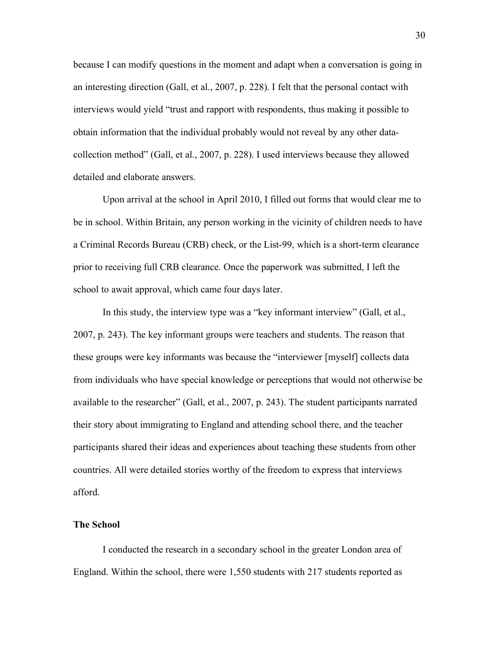because I can modify questions in the moment and adapt when a conversation is going in an interesting direction (Gall, et al., 2007, p. 228). I felt that the personal contact with interviews would yield "trust and rapport with respondents, thus making it possible to obtain information that the individual probably would not reveal by any other datacollection method" (Gall, et al., 2007, p. 228). I used interviews because they allowed detailed and elaborate answers.

Upon arrival at the school in April 2010, I filled out forms that would clear me to be in school. Within Britain, any person working in the vicinity of children needs to have a Criminal Records Bureau (CRB) check, or the List-99, which is a short-term clearance prior to receiving full CRB clearance. Once the paperwork was submitted, I left the school to await approval, which came four days later.

In this study, the interview type was a "key informant interview" (Gall, et al., 2007, p. 243). The key informant groups were teachers and students. The reason that these groups were key informants was because the "interviewer [myself] collects data from individuals who have special knowledge or perceptions that would not otherwise be available to the researcher" (Gall, et al., 2007, p. 243). The student participants narrated their story about immigrating to England and attending school there, and the teacher participants shared their ideas and experiences about teaching these students from other countries. All were detailed stories worthy of the freedom to express that interviews afford.

### **The School**

I conducted the research in a secondary school in the greater London area of England. Within the school, there were 1,550 students with 217 students reported as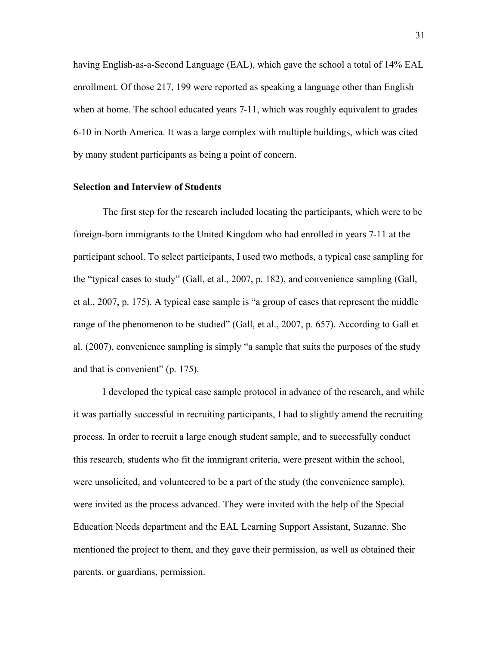having English-as-a-Second Language (EAL), which gave the school a total of 14% EAL enrollment. Of those 217, 199 were reported as speaking a language other than English when at home. The school educated years 7-11, which was roughly equivalent to grades 6-10 in North America. It was a large complex with multiple buildings, which was cited by many student participants as being a point of concern.

### **Selection and Interview of Students**

The first step for the research included locating the participants, which were to be foreign-born immigrants to the United Kingdom who had enrolled in years 7-11 at the participant school. To select participants, I used two methods, a typical case sampling for the "typical cases to study" (Gall, et al., 2007, p. 182), and convenience sampling (Gall, et al., 2007, p. 175). A typical case sample is "a group of cases that represent the middle range of the phenomenon to be studied" (Gall, et al., 2007, p. 657). According to Gall et al. (2007), convenience sampling is simply "a sample that suits the purposes of the study and that is convenient" (p. 175).

I developed the typical case sample protocol in advance of the research, and while it was partially successful in recruiting participants, I had to slightly amend the recruiting process. In order to recruit a large enough student sample, and to successfully conduct this research, students who fit the immigrant criteria, were present within the school, were unsolicited, and volunteered to be a part of the study (the convenience sample), were invited as the process advanced. They were invited with the help of the Special Education Needs department and the EAL Learning Support Assistant, Suzanne. She mentioned the project to them, and they gave their permission, as well as obtained their parents, or guardians, permission.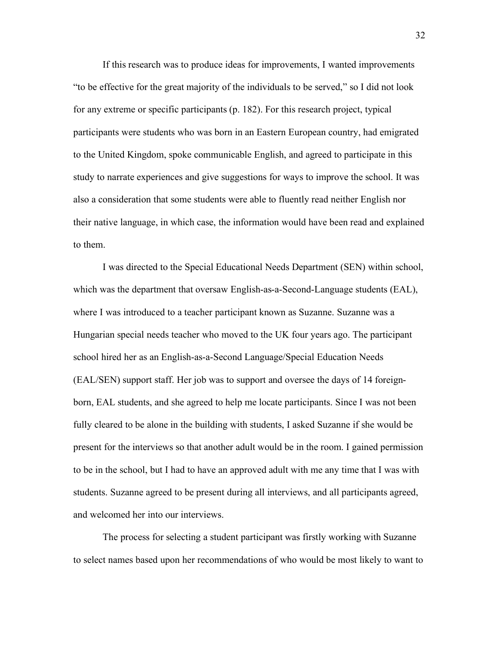If this research was to produce ideas for improvements, I wanted improvements "to be effective for the great majority of the individuals to be served," so I did not look for any extreme or specific participants (p. 182). For this research project, typical participants were students who was born in an Eastern European country, had emigrated to the United Kingdom, spoke communicable English, and agreed to participate in this study to narrate experiences and give suggestions for ways to improve the school. It was also a consideration that some students were able to fluently read neither English nor their native language, in which case, the information would have been read and explained to them.

I was directed to the Special Educational Needs Department (SEN) within school, which was the department that oversaw English-as-a-Second-Language students (EAL), where I was introduced to a teacher participant known as Suzanne. Suzanne was a Hungarian special needs teacher who moved to the UK four years ago. The participant school hired her as an English-as-a-Second Language/Special Education Needs (EAL/SEN) support staff. Her job was to support and oversee the days of 14 foreignborn, EAL students, and she agreed to help me locate participants. Since I was not been fully cleared to be alone in the building with students, I asked Suzanne if she would be present for the interviews so that another adult would be in the room. I gained permission to be in the school, but I had to have an approved adult with me any time that I was with students. Suzanne agreed to be present during all interviews, and all participants agreed, and welcomed her into our interviews.

The process for selecting a student participant was firstly working with Suzanne to select names based upon her recommendations of who would be most likely to want to

32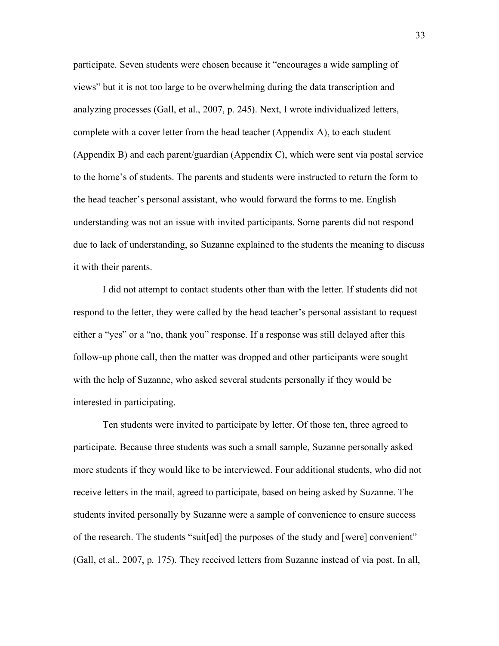participate. Seven students were chosen because it "encourages a wide sampling of views" but it is not too large to be overwhelming during the data transcription and analyzing processes (Gall, et al., 2007, p. 245). Next, I wrote individualized letters, complete with a cover letter from the head teacher (Appendix A), to each student (Appendix B) and each parent/guardian (Appendix C), which were sent via postal service to the home's of students. The parents and students were instructed to return the form to the head teacher's personal assistant, who would forward the forms to me. English understanding was not an issue with invited participants. Some parents did not respond due to lack of understanding, so Suzanne explained to the students the meaning to discuss it with their parents.

I did not attempt to contact students other than with the letter. If students did not respond to the letter, they were called by the head teacher's personal assistant to request either a "yes" or a "no, thank you" response. If a response was still delayed after this follow-up phone call, then the matter was dropped and other participants were sought with the help of Suzanne, who asked several students personally if they would be interested in participating.

Ten students were invited to participate by letter. Of those ten, three agreed to participate. Because three students was such a small sample, Suzanne personally asked more students if they would like to be interviewed. Four additional students, who did not receive letters in the mail, agreed to participate, based on being asked by Suzanne. The students invited personally by Suzanne were a sample of convenience to ensure success of the research. The students "suit[ed] the purposes of the study and [were] convenient" (Gall, et al., 2007, p. 175). They received letters from Suzanne instead of via post. In all,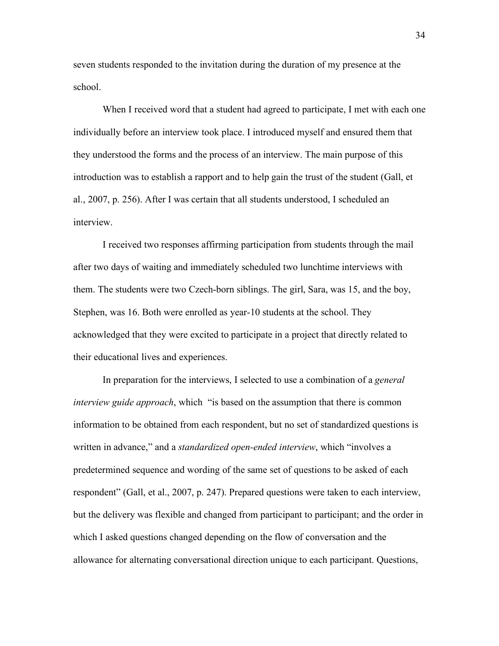seven students responded to the invitation during the duration of my presence at the school.

When I received word that a student had agreed to participate, I met with each one individually before an interview took place. I introduced myself and ensured them that they understood the forms and the process of an interview. The main purpose of this introduction was to establish a rapport and to help gain the trust of the student (Gall, et al., 2007, p. 256). After I was certain that all students understood, I scheduled an interview.

I received two responses affirming participation from students through the mail after two days of waiting and immediately scheduled two lunchtime interviews with them. The students were two Czech-born siblings. The girl, Sara, was 15, and the boy, Stephen, was 16. Both were enrolled as year-10 students at the school. They acknowledged that they were excited to participate in a project that directly related to their educational lives and experiences.

In preparation for the interviews, I selected to use a combination of a *general interview guide approach*, which "is based on the assumption that there is common information to be obtained from each respondent, but no set of standardized questions is written in advance," and a *standardized open-ended interview*, which "involves a predetermined sequence and wording of the same set of questions to be asked of each respondent" (Gall, et al., 2007, p. 247). Prepared questions were taken to each interview, but the delivery was flexible and changed from participant to participant; and the order in which I asked questions changed depending on the flow of conversation and the allowance for alternating conversational direction unique to each participant. Questions,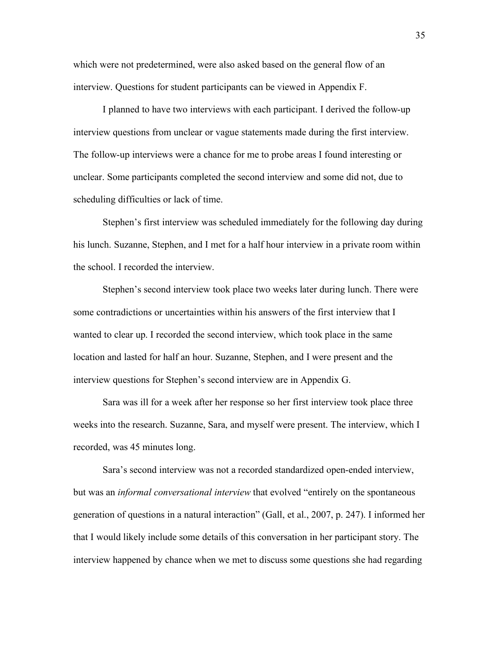which were not predetermined, were also asked based on the general flow of an interview. Questions for student participants can be viewed in Appendix F.

I planned to have two interviews with each participant. I derived the follow-up interview questions from unclear or vague statements made during the first interview. The follow-up interviews were a chance for me to probe areas I found interesting or unclear. Some participants completed the second interview and some did not, due to scheduling difficulties or lack of time.

Stephen's first interview was scheduled immediately for the following day during his lunch. Suzanne, Stephen, and I met for a half hour interview in a private room within the school. I recorded the interview.

Stephen's second interview took place two weeks later during lunch. There were some contradictions or uncertainties within his answers of the first interview that I wanted to clear up. I recorded the second interview, which took place in the same location and lasted for half an hour. Suzanne, Stephen, and I were present and the interview questions for Stephen's second interview are in Appendix G.

Sara was ill for a week after her response so her first interview took place three weeks into the research. Suzanne, Sara, and myself were present. The interview, which I recorded, was 45 minutes long.

Sara's second interview was not a recorded standardized open-ended interview, but was an *informal conversational interview* that evolved "entirely on the spontaneous generation of questions in a natural interaction" (Gall, et al., 2007, p. 247). I informed her that I would likely include some details of this conversation in her participant story. The interview happened by chance when we met to discuss some questions she had regarding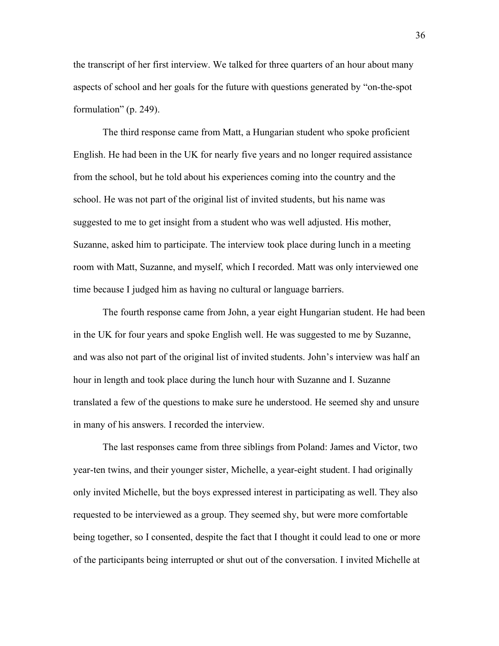the transcript of her first interview. We talked for three quarters of an hour about many aspects of school and her goals for the future with questions generated by "on-the-spot formulation" (p. 249).

The third response came from Matt, a Hungarian student who spoke proficient English. He had been in the UK for nearly five years and no longer required assistance from the school, but he told about his experiences coming into the country and the school. He was not part of the original list of invited students, but his name was suggested to me to get insight from a student who was well adjusted. His mother, Suzanne, asked him to participate. The interview took place during lunch in a meeting room with Matt, Suzanne, and myself, which I recorded. Matt was only interviewed one time because I judged him as having no cultural or language barriers.

The fourth response came from John, a year eight Hungarian student. He had been in the UK for four years and spoke English well. He was suggested to me by Suzanne, and was also not part of the original list of invited students. John's interview was half an hour in length and took place during the lunch hour with Suzanne and I. Suzanne translated a few of the questions to make sure he understood. He seemed shy and unsure in many of his answers. I recorded the interview.

The last responses came from three siblings from Poland: James and Victor, two year-ten twins, and their younger sister, Michelle, a year-eight student. I had originally only invited Michelle, but the boys expressed interest in participating as well. They also requested to be interviewed as a group. They seemed shy, but were more comfortable being together, so I consented, despite the fact that I thought it could lead to one or more of the participants being interrupted or shut out of the conversation. I invited Michelle at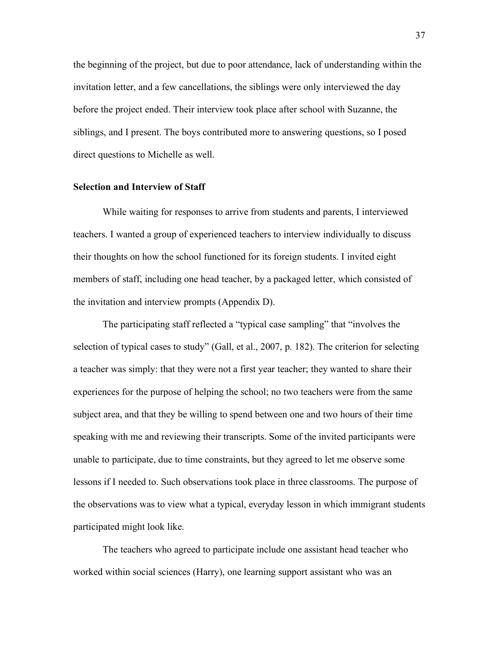the beginning of the project, but due to poor attendance, lack of understanding within the invitation letter, and a few cancellations, the siblings were only interviewed the day before the project ended. Their interview took place after school with Suzanne, the siblings, and I present. The boys contributed more to answering questions, so I posed direct questions to Michelle as well.

#### **Selection and Interview of Staff**

While waiting for responses to arrive from students and parents, I interviewed teachers. I wanted a group of experienced teachers to interview individually to discuss their thoughts on how the school functioned for its foreign students. I invited eight members of staff, including one head teacher, by a packaged letter, which consisted of the invitation and interview prompts (Appendix D).

The participating staff reflected a "typical case sampling" that "involves the selection of typical cases to study" (Gall, et al., 2007, p. 182). The criterion for selecting a teacher was simply: that they were not a first year teacher; they wanted to share their experiences for the purpose of helping the school; no two teachers were from the same subject area, and that they be willing to spend between one and two hours of their time speaking with me and reviewing their transcripts. Some of the invited participants were unable to participate, due to time constraints, but they agreed to let me observe some lessons if I needed to. Such observations took place in three classrooms. The purpose of the observations was to view what a typical, everyday lesson in which immigrant students participated might look like.

The teachers who agreed to participate include one assistant head teacher who worked within social sciences (Harry), one learning support assistant who was an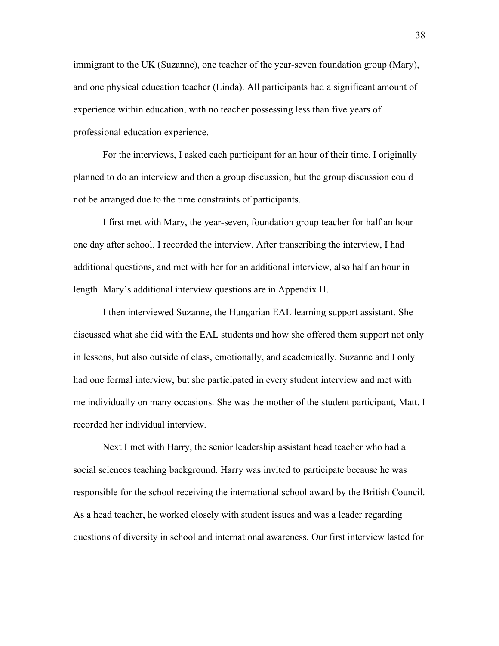immigrant to the UK (Suzanne), one teacher of the year-seven foundation group (Mary), and one physical education teacher (Linda). All participants had a significant amount of experience within education, with no teacher possessing less than five years of professional education experience.

For the interviews, I asked each participant for an hour of their time. I originally planned to do an interview and then a group discussion, but the group discussion could not be arranged due to the time constraints of participants.

I first met with Mary, the year-seven, foundation group teacher for half an hour one day after school. I recorded the interview. After transcribing the interview, I had additional questions, and met with her for an additional interview, also half an hour in length. Mary's additional interview questions are in Appendix H.

I then interviewed Suzanne, the Hungarian EAL learning support assistant. She discussed what she did with the EAL students and how she offered them support not only in lessons, but also outside of class, emotionally, and academically. Suzanne and I only had one formal interview, but she participated in every student interview and met with me individually on many occasions. She was the mother of the student participant, Matt. I recorded her individual interview.

Next I met with Harry, the senior leadership assistant head teacher who had a social sciences teaching background. Harry was invited to participate because he was responsible for the school receiving the international school award by the British Council. As a head teacher, he worked closely with student issues and was a leader regarding questions of diversity in school and international awareness. Our first interview lasted for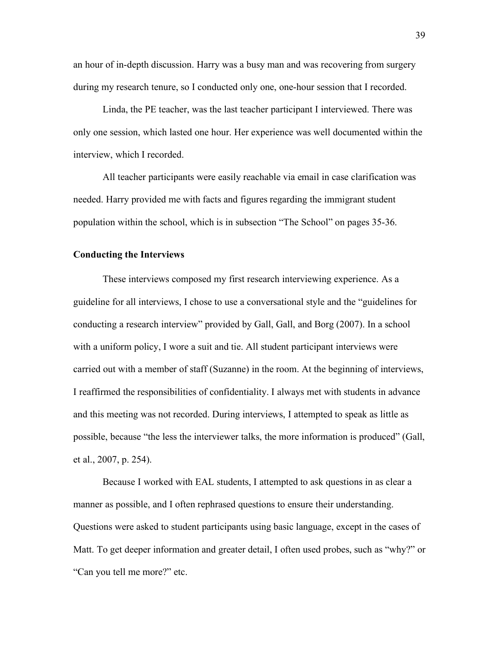an hour of in-depth discussion. Harry was a busy man and was recovering from surgery during my research tenure, so I conducted only one, one-hour session that I recorded.

Linda, the PE teacher, was the last teacher participant I interviewed. There was only one session, which lasted one hour. Her experience was well documented within the interview, which I recorded.

All teacher participants were easily reachable via email in case clarification was needed. Harry provided me with facts and figures regarding the immigrant student population within the school, which is in subsection "The School" on pages 35-36.

### **Conducting the Interviews**

These interviews composed my first research interviewing experience. As a guideline for all interviews, I chose to use a conversational style and the "guidelines for conducting a research interview" provided by Gall, Gall, and Borg (2007). In a school with a uniform policy, I wore a suit and tie. All student participant interviews were carried out with a member of staff (Suzanne) in the room. At the beginning of interviews, I reaffirmed the responsibilities of confidentiality. I always met with students in advance and this meeting was not recorded. During interviews, I attempted to speak as little as possible, because "the less the interviewer talks, the more information is produced" (Gall, et al., 2007, p. 254).

Because I worked with EAL students, I attempted to ask questions in as clear a manner as possible, and I often rephrased questions to ensure their understanding. Questions were asked to student participants using basic language, except in the cases of Matt. To get deeper information and greater detail, I often used probes, such as "why?" or "Can you tell me more?" etc.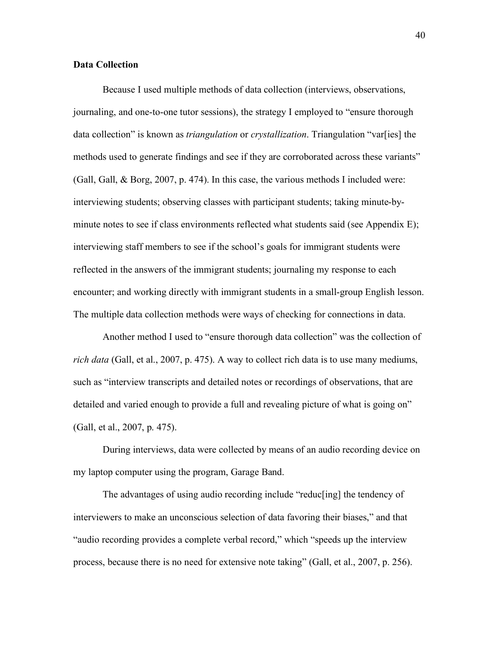## **Data Collection**

Because I used multiple methods of data collection (interviews, observations, journaling, and one-to-one tutor sessions), the strategy I employed to "ensure thorough data collection" is known as *triangulation* or *crystallization*. Triangulation "var[ies] the methods used to generate findings and see if they are corroborated across these variants" (Gall, Gall, & Borg, 2007, p. 474). In this case, the various methods I included were: interviewing students; observing classes with participant students; taking minute-byminute notes to see if class environments reflected what students said (see Appendix E); interviewing staff members to see if the school's goals for immigrant students were reflected in the answers of the immigrant students; journaling my response to each encounter; and working directly with immigrant students in a small-group English lesson. The multiple data collection methods were ways of checking for connections in data.

Another method I used to "ensure thorough data collection" was the collection of *rich data* (Gall, et al., 2007, p. 475). A way to collect rich data is to use many mediums, such as "interview transcripts and detailed notes or recordings of observations, that are detailed and varied enough to provide a full and revealing picture of what is going on" (Gall, et al., 2007, p. 475).

During interviews, data were collected by means of an audio recording device on my laptop computer using the program, Garage Band.

The advantages of using audio recording include "reduc[ing] the tendency of interviewers to make an unconscious selection of data favoring their biases," and that "audio recording provides a complete verbal record," which "speeds up the interview process, because there is no need for extensive note taking" (Gall, et al., 2007, p. 256).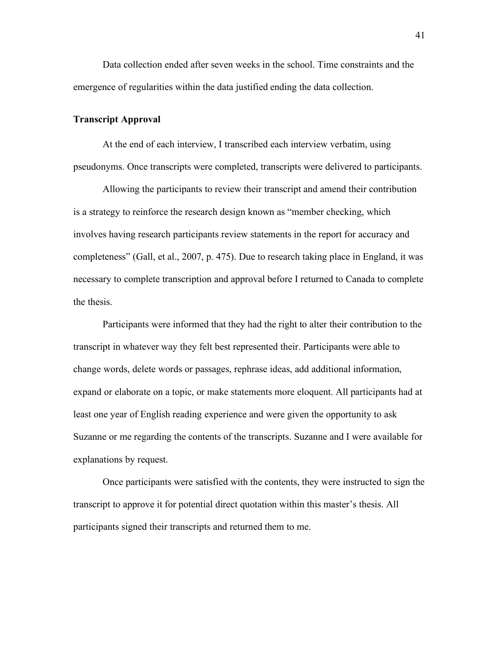Data collection ended after seven weeks in the school. Time constraints and the emergence of regularities within the data justified ending the data collection.

### **Transcript Approval**

At the end of each interview, I transcribed each interview verbatim, using pseudonyms. Once transcripts were completed, transcripts were delivered to participants.

Allowing the participants to review their transcript and amend their contribution is a strategy to reinforce the research design known as "member checking, which involves having research participants review statements in the report for accuracy and completeness" (Gall, et al., 2007, p. 475). Due to research taking place in England, it was necessary to complete transcription and approval before I returned to Canada to complete the thesis.

Participants were informed that they had the right to alter their contribution to the transcript in whatever way they felt best represented their. Participants were able to change words, delete words or passages, rephrase ideas, add additional information, expand or elaborate on a topic, or make statements more eloquent. All participants had at least one year of English reading experience and were given the opportunity to ask Suzanne or me regarding the contents of the transcripts. Suzanne and I were available for explanations by request.

Once participants were satisfied with the contents, they were instructed to sign the transcript to approve it for potential direct quotation within this master's thesis. All participants signed their transcripts and returned them to me.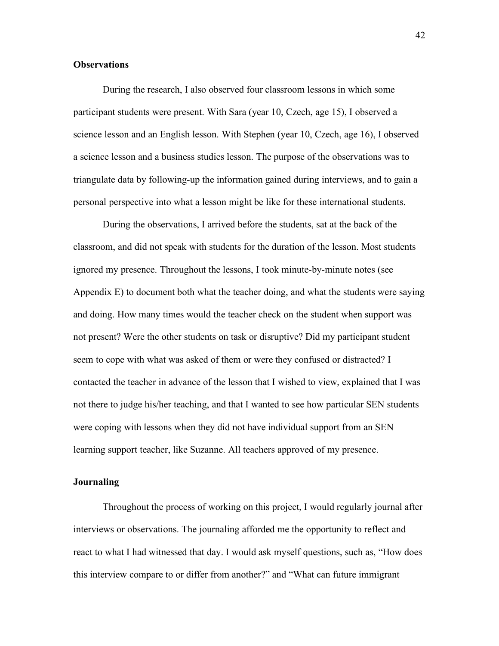### **Observations**

During the research, I also observed four classroom lessons in which some participant students were present. With Sara (year 10, Czech, age 15), I observed a science lesson and an English lesson. With Stephen (year 10, Czech, age 16), I observed a science lesson and a business studies lesson. The purpose of the observations was to triangulate data by following-up the information gained during interviews, and to gain a personal perspective into what a lesson might be like for these international students.

During the observations, I arrived before the students, sat at the back of the classroom, and did not speak with students for the duration of the lesson. Most students ignored my presence. Throughout the lessons, I took minute-by-minute notes (see Appendix E) to document both what the teacher doing, and what the students were saying and doing. How many times would the teacher check on the student when support was not present? Were the other students on task or disruptive? Did my participant student seem to cope with what was asked of them or were they confused or distracted? I contacted the teacher in advance of the lesson that I wished to view, explained that I was not there to judge his/her teaching, and that I wanted to see how particular SEN students were coping with lessons when they did not have individual support from an SEN learning support teacher, like Suzanne. All teachers approved of my presence.

### **Journaling**

Throughout the process of working on this project, I would regularly journal after interviews or observations. The journaling afforded me the opportunity to reflect and react to what I had witnessed that day. I would ask myself questions, such as, "How does this interview compare to or differ from another?" and "What can future immigrant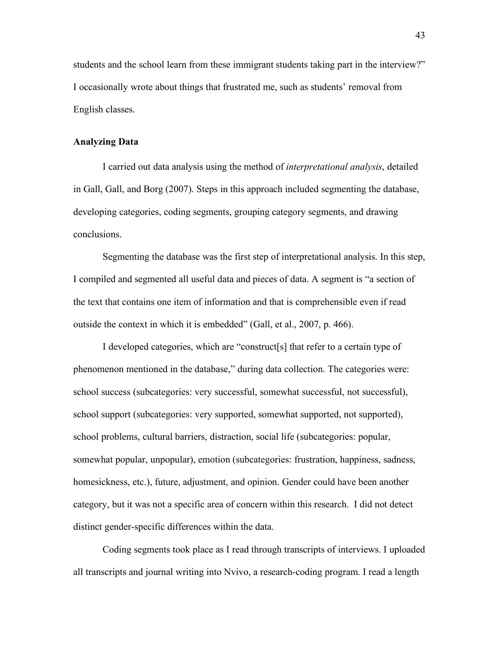students and the school learn from these immigrant students taking part in the interview?" I occasionally wrote about things that frustrated me, such as students' removal from English classes.

#### **Analyzing Data**

I carried out data analysis using the method of *interpretational analysis*, detailed in Gall, Gall, and Borg (2007). Steps in this approach included segmenting the database, developing categories, coding segments, grouping category segments, and drawing conclusions.

Segmenting the database was the first step of interpretational analysis. In this step, I compiled and segmented all useful data and pieces of data. A segment is "a section of the text that contains one item of information and that is comprehensible even if read outside the context in which it is embedded" (Gall, et al., 2007, p. 466).

I developed categories, which are "construct[s] that refer to a certain type of phenomenon mentioned in the database," during data collection. The categories were: school success (subcategories: very successful, somewhat successful, not successful), school support (subcategories: very supported, somewhat supported, not supported), school problems, cultural barriers, distraction, social life (subcategories: popular, somewhat popular, unpopular), emotion (subcategories: frustration, happiness, sadness, homesickness, etc.), future, adjustment, and opinion. Gender could have been another category, but it was not a specific area of concern within this research. I did not detect distinct gender-specific differences within the data.

Coding segments took place as I read through transcripts of interviews. I uploaded all transcripts and journal writing into Nvivo, a research-coding program. I read a length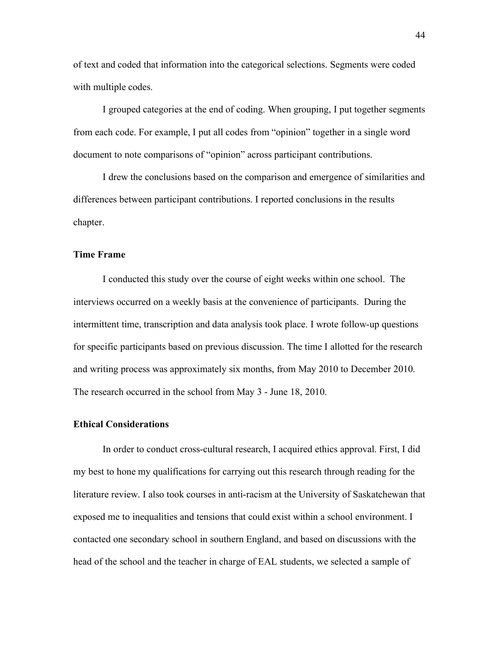of text and coded that information into the categorical selections. Segments were coded with multiple codes.

I grouped categories at the end of coding. When grouping, I put together segments from each code. For example, I put all codes from "opinion" together in a single word document to note comparisons of "opinion" across participant contributions.

I drew the conclusions based on the comparison and emergence of similarities and differences between participant contributions. I reported conclusions in the results chapter.

#### **Time Frame**

I conducted this study over the course of eight weeks within one school. The interviews occurred on a weekly basis at the convenience of participants. During the intermittent time, transcription and data analysis took place. I wrote follow-up questions for specific participants based on previous discussion. The time I allotted for the research and writing process was approximately six months, from May 2010 to December 2010. The research occurred in the school from May 3 - June 18, 2010.

#### **Ethical Considerations**

In order to conduct cross-cultural research, I acquired ethics approval. First, I did my best to hone my qualifications for carrying out this research through reading for the literature review. I also took courses in anti-racism at the University of Saskatchewan that exposed me to inequalities and tensions that could exist within a school environment. I contacted one secondary school in southern England, and based on discussions with the head of the school and the teacher in charge of EAL students, we selected a sample of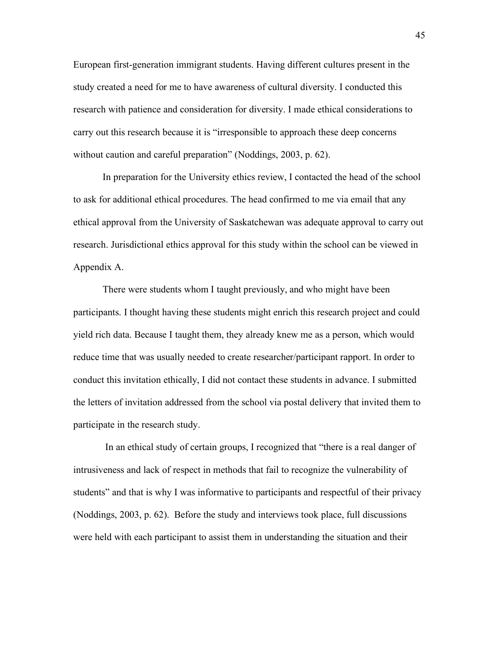European first-generation immigrant students. Having different cultures present in the study created a need for me to have awareness of cultural diversity. I conducted this research with patience and consideration for diversity. I made ethical considerations to carry out this research because it is "irresponsible to approach these deep concerns without caution and careful preparation" (Noddings, 2003, p. 62).

In preparation for the University ethics review, I contacted the head of the school to ask for additional ethical procedures. The head confirmed to me via email that any ethical approval from the University of Saskatchewan was adequate approval to carry out research. Jurisdictional ethics approval for this study within the school can be viewed in Appendix A.

There were students whom I taught previously, and who might have been participants. I thought having these students might enrich this research project and could yield rich data. Because I taught them, they already knew me as a person, which would reduce time that was usually needed to create researcher/participant rapport. In order to conduct this invitation ethically, I did not contact these students in advance. I submitted the letters of invitation addressed from the school via postal delivery that invited them to participate in the research study.

 In an ethical study of certain groups, I recognized that "there is a real danger of intrusiveness and lack of respect in methods that fail to recognize the vulnerability of students" and that is why I was informative to participants and respectful of their privacy (Noddings, 2003, p. 62). Before the study and interviews took place, full discussions were held with each participant to assist them in understanding the situation and their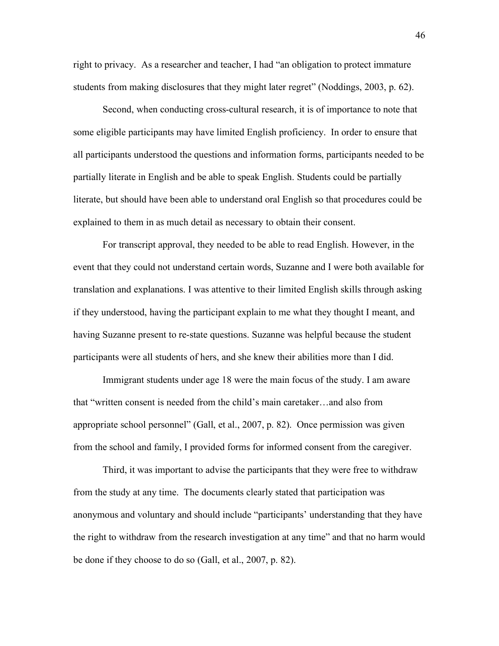right to privacy. As a researcher and teacher, I had "an obligation to protect immature students from making disclosures that they might later regret" (Noddings, 2003, p. 62).

Second, when conducting cross-cultural research, it is of importance to note that some eligible participants may have limited English proficiency. In order to ensure that all participants understood the questions and information forms, participants needed to be partially literate in English and be able to speak English. Students could be partially literate, but should have been able to understand oral English so that procedures could be explained to them in as much detail as necessary to obtain their consent.

For transcript approval, they needed to be able to read English. However, in the event that they could not understand certain words, Suzanne and I were both available for translation and explanations. I was attentive to their limited English skills through asking if they understood, having the participant explain to me what they thought I meant, and having Suzanne present to re-state questions. Suzanne was helpful because the student participants were all students of hers, and she knew their abilities more than I did.

Immigrant students under age 18 were the main focus of the study. I am aware that "written consent is needed from the child's main caretaker…and also from appropriate school personnel" (Gall, et al., 2007, p. 82). Once permission was given from the school and family, I provided forms for informed consent from the caregiver.

Third, it was important to advise the participants that they were free to withdraw from the study at any time. The documents clearly stated that participation was anonymous and voluntary and should include "participants' understanding that they have the right to withdraw from the research investigation at any time" and that no harm would be done if they choose to do so (Gall, et al., 2007, p. 82).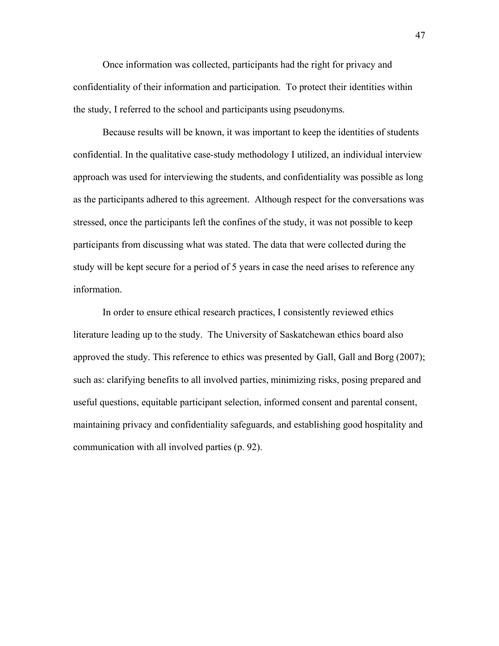Once information was collected, participants had the right for privacy and confidentiality of their information and participation. To protect their identities within the study, I referred to the school and participants using pseudonyms.

Because results will be known, it was important to keep the identities of students confidential. In the qualitative case-study methodology I utilized, an individual interview approach was used for interviewing the students, and confidentiality was possible as long as the participants adhered to this agreement. Although respect for the conversations was stressed, once the participants left the confines of the study, it was not possible to keep participants from discussing what was stated. The data that were collected during the study will be kept secure for a period of 5 years in case the need arises to reference any information.

In order to ensure ethical research practices, I consistently reviewed ethics literature leading up to the study. The University of Saskatchewan ethics board also approved the study. This reference to ethics was presented by Gall, Gall and Borg (2007); such as: clarifying benefits to all involved parties, minimizing risks, posing prepared and useful questions, equitable participant selection, informed consent and parental consent, maintaining privacy and confidentiality safeguards, and establishing good hospitality and communication with all involved parties (p. 92).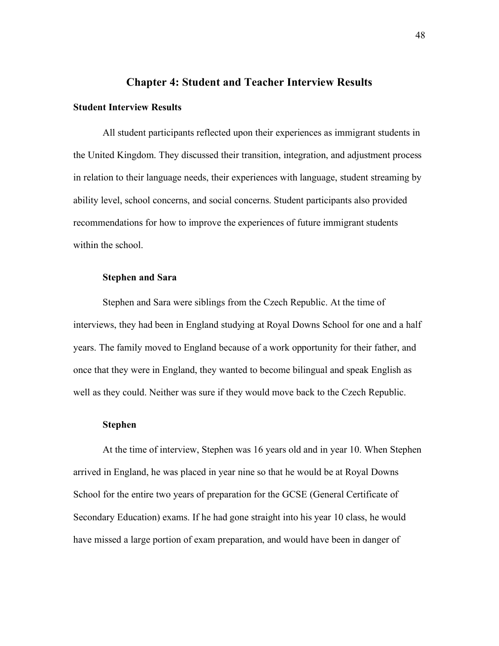# **Chapter 4: Student and Teacher Interview Results**

# **Student Interview Results**

All student participants reflected upon their experiences as immigrant students in the United Kingdom. They discussed their transition, integration, and adjustment process in relation to their language needs, their experiences with language, student streaming by ability level, school concerns, and social concerns. Student participants also provided recommendations for how to improve the experiences of future immigrant students within the school.

## **Stephen and Sara**

Stephen and Sara were siblings from the Czech Republic. At the time of interviews, they had been in England studying at Royal Downs School for one and a half years. The family moved to England because of a work opportunity for their father, and once that they were in England, they wanted to become bilingual and speak English as well as they could. Neither was sure if they would move back to the Czech Republic.

#### **Stephen**

At the time of interview, Stephen was 16 years old and in year 10. When Stephen arrived in England, he was placed in year nine so that he would be at Royal Downs School for the entire two years of preparation for the GCSE (General Certificate of Secondary Education) exams. If he had gone straight into his year 10 class, he would have missed a large portion of exam preparation, and would have been in danger of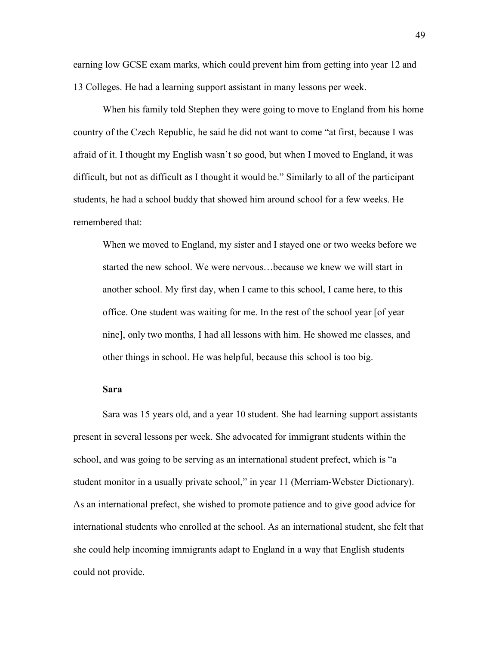earning low GCSE exam marks, which could prevent him from getting into year 12 and 13 Colleges. He had a learning support assistant in many lessons per week.

When his family told Stephen they were going to move to England from his home country of the Czech Republic, he said he did not want to come "at first, because I was afraid of it. I thought my English wasn't so good, but when I moved to England, it was difficult, but not as difficult as I thought it would be." Similarly to all of the participant students, he had a school buddy that showed him around school for a few weeks. He remembered that:

When we moved to England, my sister and I stayed one or two weeks before we started the new school. We were nervous…because we knew we will start in another school. My first day, when I came to this school, I came here, to this office. One student was waiting for me. In the rest of the school year [of year nine], only two months, I had all lessons with him. He showed me classes, and other things in school. He was helpful, because this school is too big.

#### **Sara**

Sara was 15 years old, and a year 10 student. She had learning support assistants present in several lessons per week. She advocated for immigrant students within the school, and was going to be serving as an international student prefect, which is "a student monitor in a usually private school," in year 11 (Merriam-Webster Dictionary). As an international prefect, she wished to promote patience and to give good advice for international students who enrolled at the school. As an international student, she felt that she could help incoming immigrants adapt to England in a way that English students could not provide.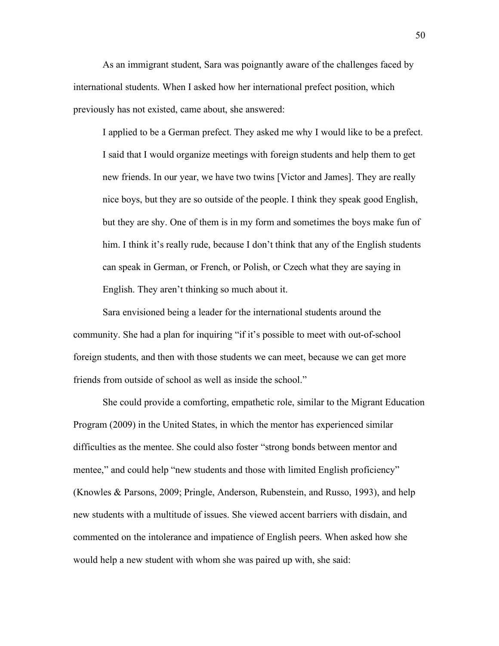As an immigrant student, Sara was poignantly aware of the challenges faced by international students. When I asked how her international prefect position, which previously has not existed, came about, she answered:

I applied to be a German prefect. They asked me why I would like to be a prefect. I said that I would organize meetings with foreign students and help them to get new friends. In our year, we have two twins [Victor and James]. They are really nice boys, but they are so outside of the people. I think they speak good English, but they are shy. One of them is in my form and sometimes the boys make fun of him. I think it's really rude, because I don't think that any of the English students can speak in German, or French, or Polish, or Czech what they are saying in English. They aren't thinking so much about it.

Sara envisioned being a leader for the international students around the community. She had a plan for inquiring "if it's possible to meet with out-of-school foreign students, and then with those students we can meet, because we can get more friends from outside of school as well as inside the school."

She could provide a comforting, empathetic role, similar to the Migrant Education Program (2009) in the United States, in which the mentor has experienced similar difficulties as the mentee. She could also foster "strong bonds between mentor and mentee," and could help "new students and those with limited English proficiency" (Knowles & Parsons, 2009; Pringle, Anderson, Rubenstein, and Russo, 1993), and help new students with a multitude of issues. She viewed accent barriers with disdain, and commented on the intolerance and impatience of English peers. When asked how she would help a new student with whom she was paired up with, she said: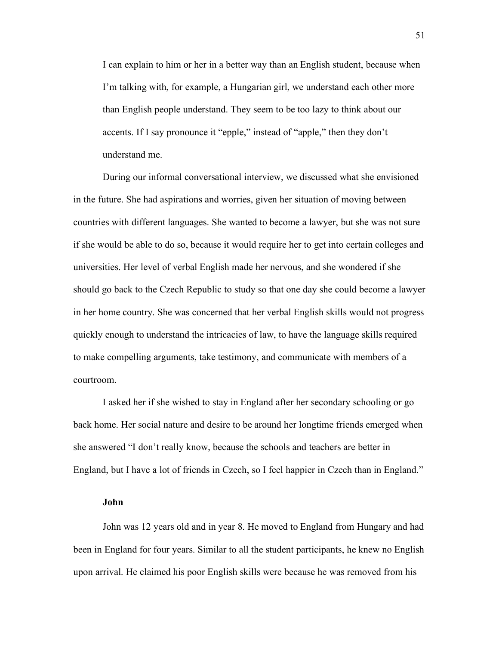I can explain to him or her in a better way than an English student, because when I'm talking with, for example, a Hungarian girl, we understand each other more than English people understand. They seem to be too lazy to think about our accents. If I say pronounce it "epple," instead of "apple," then they don't understand me.

During our informal conversational interview, we discussed what she envisioned in the future. She had aspirations and worries, given her situation of moving between countries with different languages. She wanted to become a lawyer, but she was not sure if she would be able to do so, because it would require her to get into certain colleges and universities. Her level of verbal English made her nervous, and she wondered if she should go back to the Czech Republic to study so that one day she could become a lawyer in her home country. She was concerned that her verbal English skills would not progress quickly enough to understand the intricacies of law, to have the language skills required to make compelling arguments, take testimony, and communicate with members of a courtroom.

I asked her if she wished to stay in England after her secondary schooling or go back home. Her social nature and desire to be around her longtime friends emerged when she answered "I don't really know, because the schools and teachers are better in England, but I have a lot of friends in Czech, so I feel happier in Czech than in England."

#### **John**

John was 12 years old and in year 8. He moved to England from Hungary and had been in England for four years. Similar to all the student participants, he knew no English upon arrival. He claimed his poor English skills were because he was removed from his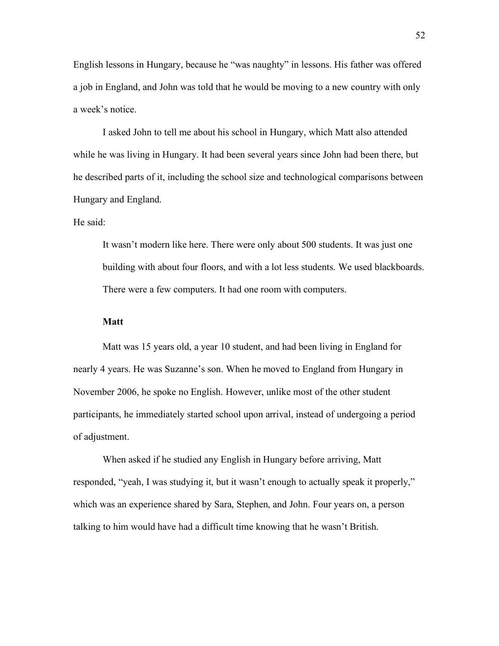English lessons in Hungary, because he "was naughty" in lessons. His father was offered a job in England, and John was told that he would be moving to a new country with only a week's notice.

I asked John to tell me about his school in Hungary, which Matt also attended while he was living in Hungary. It had been several years since John had been there, but he described parts of it, including the school size and technological comparisons between Hungary and England.

He said:

It wasn't modern like here. There were only about 500 students. It was just one building with about four floors, and with a lot less students. We used blackboards. There were a few computers. It had one room with computers.

### **Matt**

Matt was 15 years old, a year 10 student, and had been living in England for nearly 4 years. He was Suzanne's son. When he moved to England from Hungary in November 2006, he spoke no English. However, unlike most of the other student participants, he immediately started school upon arrival, instead of undergoing a period of adjustment.

When asked if he studied any English in Hungary before arriving, Matt responded, "yeah, I was studying it, but it wasn't enough to actually speak it properly," which was an experience shared by Sara, Stephen, and John. Four years on, a person talking to him would have had a difficult time knowing that he wasn't British.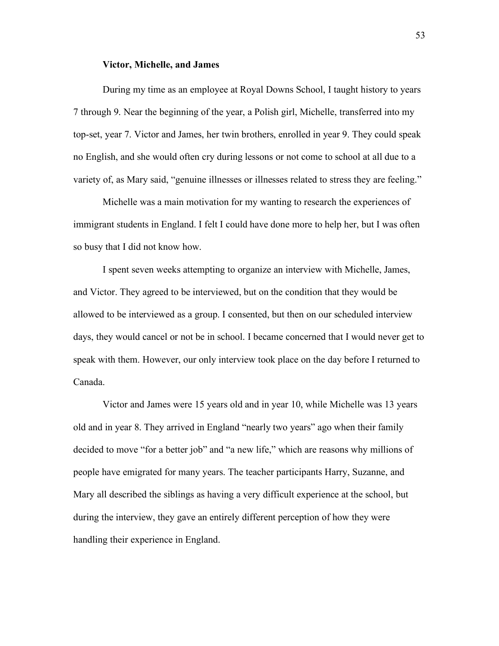### **Victor, Michelle, and James**

During my time as an employee at Royal Downs School, I taught history to years 7 through 9. Near the beginning of the year, a Polish girl, Michelle, transferred into my top-set, year 7. Victor and James, her twin brothers, enrolled in year 9. They could speak no English, and she would often cry during lessons or not come to school at all due to a variety of, as Mary said, "genuine illnesses or illnesses related to stress they are feeling."

Michelle was a main motivation for my wanting to research the experiences of immigrant students in England. I felt I could have done more to help her, but I was often so busy that I did not know how.

I spent seven weeks attempting to organize an interview with Michelle, James, and Victor. They agreed to be interviewed, but on the condition that they would be allowed to be interviewed as a group. I consented, but then on our scheduled interview days, they would cancel or not be in school. I became concerned that I would never get to speak with them. However, our only interview took place on the day before I returned to Canada.

Victor and James were 15 years old and in year 10, while Michelle was 13 years old and in year 8. They arrived in England "nearly two years" ago when their family decided to move "for a better job" and "a new life," which are reasons why millions of people have emigrated for many years. The teacher participants Harry, Suzanne, and Mary all described the siblings as having a very difficult experience at the school, but during the interview, they gave an entirely different perception of how they were handling their experience in England.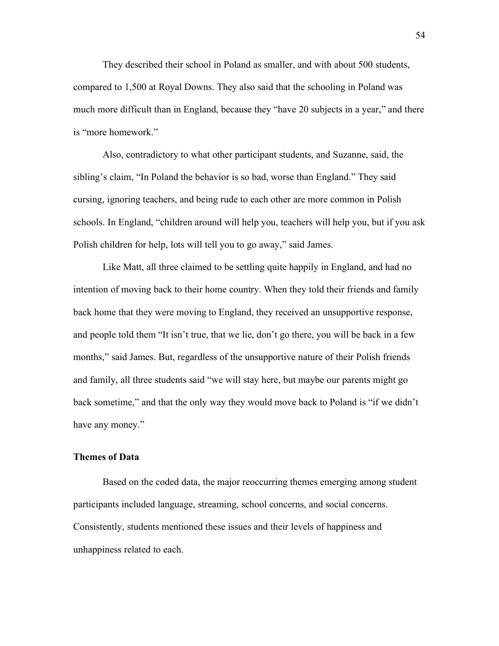They described their school in Poland as smaller, and with about 500 students, compared to 1,500 at Royal Downs. They also said that the schooling in Poland was much more difficult than in England, because they "have 20 subjects in a year," and there is "more homework."

Also, contradictory to what other participant students, and Suzanne, said, the sibling's claim, "In Poland the behavior is so bad, worse than England." They said cursing, ignoring teachers, and being rude to each other are more common in Polish schools. In England, "children around will help you, teachers will help you, but if you ask Polish children for help, lots will tell you to go away," said James.

Like Matt, all three claimed to be settling quite happily in England, and had no intention of moving back to their home country. When they told their friends and family back home that they were moving to England, they received an unsupportive response, and people told them "It isn't true, that we lie, don't go there, you will be back in a few months," said James. But, regardless of the unsupportive nature of their Polish friends and family, all three students said "we will stay here, but maybe our parents might go back sometime," and that the only way they would move back to Poland is "if we didn't have any money."

## **Themes of Data**

Based on the coded data, the major reoccurring themes emerging among student participants included language, streaming, school concerns, and social concerns. Consistently, students mentioned these issues and their levels of happiness and unhappiness related to each.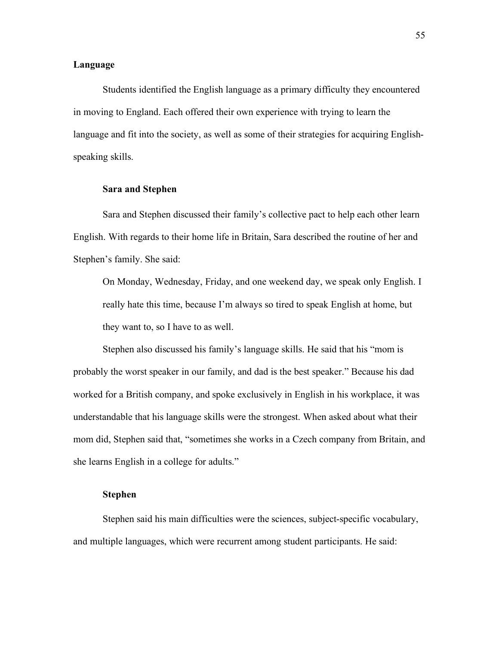# **Language**

Students identified the English language as a primary difficulty they encountered in moving to England. Each offered their own experience with trying to learn the language and fit into the society, as well as some of their strategies for acquiring Englishspeaking skills.

### **Sara and Stephen**

Sara and Stephen discussed their family's collective pact to help each other learn English. With regards to their home life in Britain, Sara described the routine of her and Stephen's family. She said:

On Monday, Wednesday, Friday, and one weekend day, we speak only English. I really hate this time, because I'm always so tired to speak English at home, but they want to, so I have to as well.

Stephen also discussed his family's language skills. He said that his "mom is probably the worst speaker in our family, and dad is the best speaker." Because his dad worked for a British company, and spoke exclusively in English in his workplace, it was understandable that his language skills were the strongest. When asked about what their mom did, Stephen said that, "sometimes she works in a Czech company from Britain, and she learns English in a college for adults."

## **Stephen**

Stephen said his main difficulties were the sciences, subject-specific vocabulary, and multiple languages, which were recurrent among student participants. He said: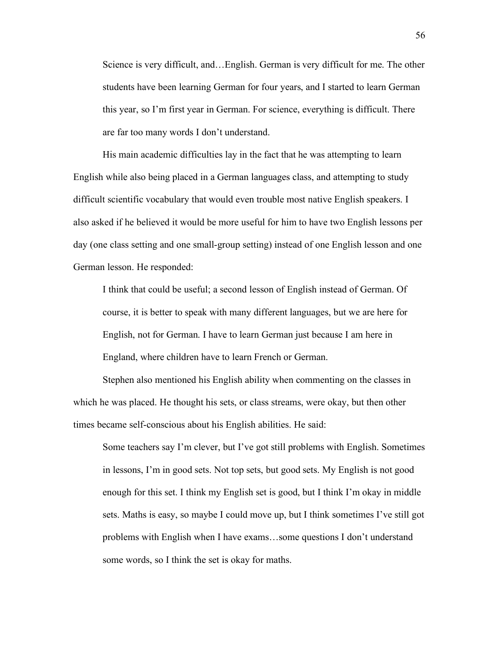Science is very difficult, and…English. German is very difficult for me. The other students have been learning German for four years, and I started to learn German this year, so I'm first year in German. For science, everything is difficult. There are far too many words I don't understand.

His main academic difficulties lay in the fact that he was attempting to learn English while also being placed in a German languages class, and attempting to study difficult scientific vocabulary that would even trouble most native English speakers. I also asked if he believed it would be more useful for him to have two English lessons per day (one class setting and one small-group setting) instead of one English lesson and one German lesson. He responded:

I think that could be useful; a second lesson of English instead of German. Of course, it is better to speak with many different languages, but we are here for English, not for German. I have to learn German just because I am here in England, where children have to learn French or German.

Stephen also mentioned his English ability when commenting on the classes in which he was placed. He thought his sets, or class streams, were okay, but then other times became self-conscious about his English abilities. He said:

Some teachers say I'm clever, but I've got still problems with English. Sometimes in lessons, I'm in good sets. Not top sets, but good sets. My English is not good enough for this set. I think my English set is good, but I think I'm okay in middle sets. Maths is easy, so maybe I could move up, but I think sometimes I've still got problems with English when I have exams…some questions I don't understand some words, so I think the set is okay for maths.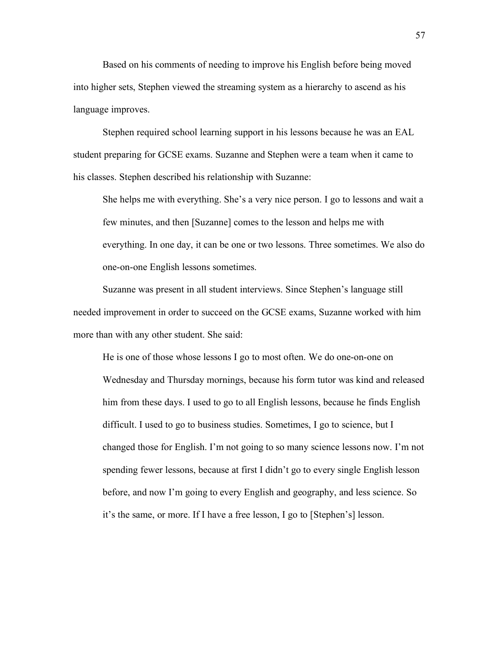Based on his comments of needing to improve his English before being moved into higher sets, Stephen viewed the streaming system as a hierarchy to ascend as his language improves.

Stephen required school learning support in his lessons because he was an EAL student preparing for GCSE exams. Suzanne and Stephen were a team when it came to his classes. Stephen described his relationship with Suzanne:

She helps me with everything. She's a very nice person. I go to lessons and wait a few minutes, and then [Suzanne] comes to the lesson and helps me with everything. In one day, it can be one or two lessons. Three sometimes. We also do one-on-one English lessons sometimes.

Suzanne was present in all student interviews. Since Stephen's language still needed improvement in order to succeed on the GCSE exams, Suzanne worked with him more than with any other student. She said:

He is one of those whose lessons I go to most often. We do one-on-one on Wednesday and Thursday mornings, because his form tutor was kind and released him from these days. I used to go to all English lessons, because he finds English difficult. I used to go to business studies. Sometimes, I go to science, but I changed those for English. I'm not going to so many science lessons now. I'm not spending fewer lessons, because at first I didn't go to every single English lesson before, and now I'm going to every English and geography, and less science. So it's the same, or more. If I have a free lesson, I go to [Stephen's] lesson.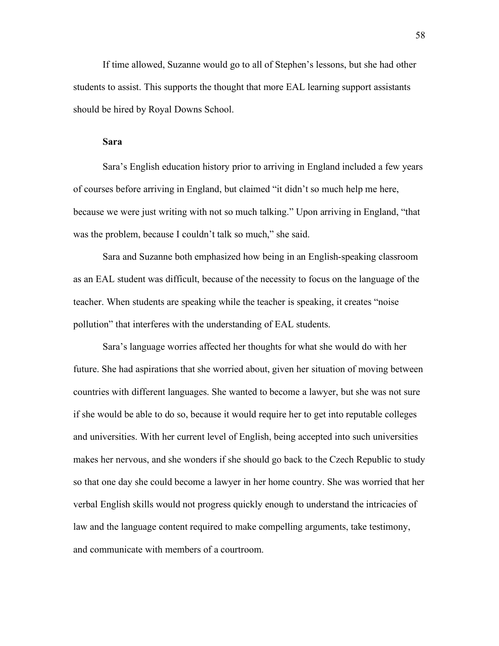If time allowed, Suzanne would go to all of Stephen's lessons, but she had other students to assist. This supports the thought that more EAL learning support assistants should be hired by Royal Downs School.

#### **Sara**

Sara's English education history prior to arriving in England included a few years of courses before arriving in England, but claimed "it didn't so much help me here, because we were just writing with not so much talking." Upon arriving in England, "that was the problem, because I couldn't talk so much," she said.

Sara and Suzanne both emphasized how being in an English-speaking classroom as an EAL student was difficult, because of the necessity to focus on the language of the teacher. When students are speaking while the teacher is speaking, it creates "noise pollution" that interferes with the understanding of EAL students.

Sara's language worries affected her thoughts for what she would do with her future. She had aspirations that she worried about, given her situation of moving between countries with different languages. She wanted to become a lawyer, but she was not sure if she would be able to do so, because it would require her to get into reputable colleges and universities. With her current level of English, being accepted into such universities makes her nervous, and she wonders if she should go back to the Czech Republic to study so that one day she could become a lawyer in her home country. She was worried that her verbal English skills would not progress quickly enough to understand the intricacies of law and the language content required to make compelling arguments, take testimony, and communicate with members of a courtroom.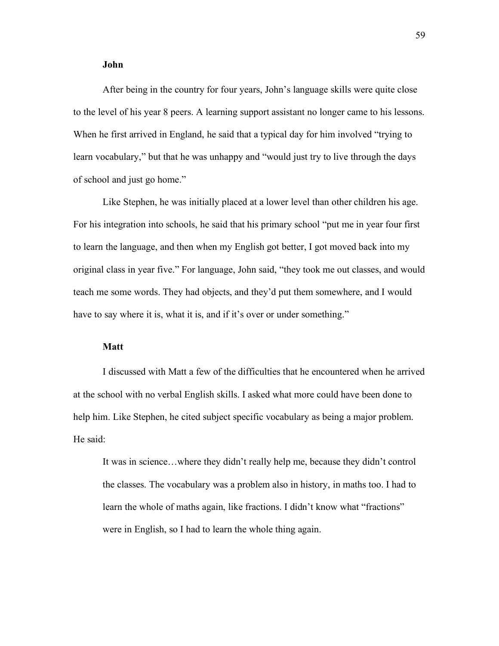### **John**

After being in the country for four years, John's language skills were quite close to the level of his year 8 peers. A learning support assistant no longer came to his lessons. When he first arrived in England, he said that a typical day for him involved "trying to learn vocabulary," but that he was unhappy and "would just try to live through the days of school and just go home."

Like Stephen, he was initially placed at a lower level than other children his age. For his integration into schools, he said that his primary school "put me in year four first to learn the language, and then when my English got better, I got moved back into my original class in year five." For language, John said, "they took me out classes, and would teach me some words. They had objects, and they'd put them somewhere, and I would have to say where it is, what it is, and if it's over or under something."

## **Matt**

I discussed with Matt a few of the difficulties that he encountered when he arrived at the school with no verbal English skills. I asked what more could have been done to help him. Like Stephen, he cited subject specific vocabulary as being a major problem. He said:

It was in science…where they didn't really help me, because they didn't control the classes. The vocabulary was a problem also in history, in maths too. I had to learn the whole of maths again, like fractions. I didn't know what "fractions" were in English, so I had to learn the whole thing again.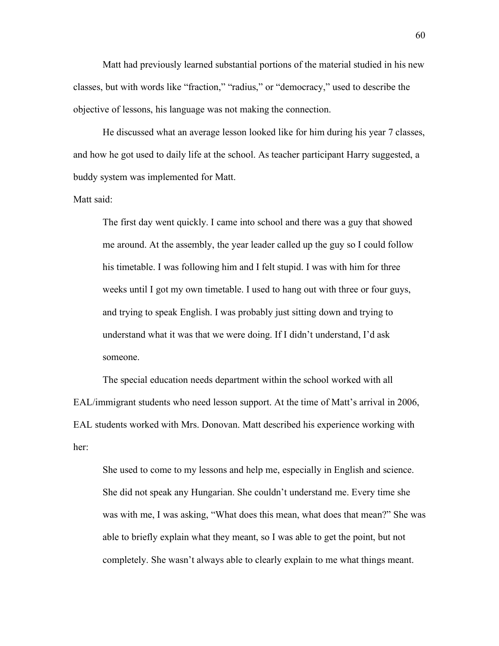Matt had previously learned substantial portions of the material studied in his new classes, but with words like "fraction," "radius," or "democracy," used to describe the objective of lessons, his language was not making the connection.

He discussed what an average lesson looked like for him during his year 7 classes, and how he got used to daily life at the school. As teacher participant Harry suggested, a buddy system was implemented for Matt.

Matt said:

The first day went quickly. I came into school and there was a guy that showed me around. At the assembly, the year leader called up the guy so I could follow his timetable. I was following him and I felt stupid. I was with him for three weeks until I got my own timetable. I used to hang out with three or four guys, and trying to speak English. I was probably just sitting down and trying to understand what it was that we were doing. If I didn't understand, I'd ask someone.

The special education needs department within the school worked with all EAL/immigrant students who need lesson support. At the time of Matt's arrival in 2006, EAL students worked with Mrs. Donovan. Matt described his experience working with her:

She used to come to my lessons and help me, especially in English and science. She did not speak any Hungarian. She couldn't understand me. Every time she was with me, I was asking, "What does this mean, what does that mean?" She was able to briefly explain what they meant, so I was able to get the point, but not completely. She wasn't always able to clearly explain to me what things meant.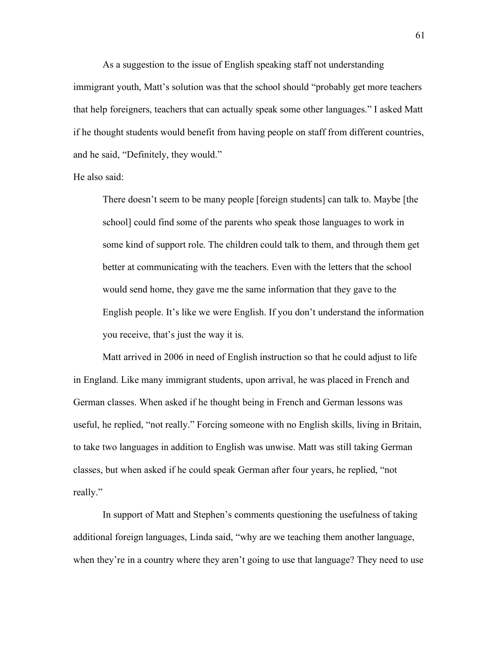As a suggestion to the issue of English speaking staff not understanding immigrant youth, Matt's solution was that the school should "probably get more teachers that help foreigners, teachers that can actually speak some other languages." I asked Matt if he thought students would benefit from having people on staff from different countries, and he said, "Definitely, they would."

### He also said:

There doesn't seem to be many people [foreign students] can talk to. Maybe [the school] could find some of the parents who speak those languages to work in some kind of support role. The children could talk to them, and through them get better at communicating with the teachers. Even with the letters that the school would send home, they gave me the same information that they gave to the English people. It's like we were English. If you don't understand the information you receive, that's just the way it is.

Matt arrived in 2006 in need of English instruction so that he could adjust to life in England. Like many immigrant students, upon arrival, he was placed in French and German classes. When asked if he thought being in French and German lessons was useful, he replied, "not really." Forcing someone with no English skills, living in Britain, to take two languages in addition to English was unwise. Matt was still taking German classes, but when asked if he could speak German after four years, he replied, "not really."

In support of Matt and Stephen's comments questioning the usefulness of taking additional foreign languages, Linda said, "why are we teaching them another language, when they're in a country where they aren't going to use that language? They need to use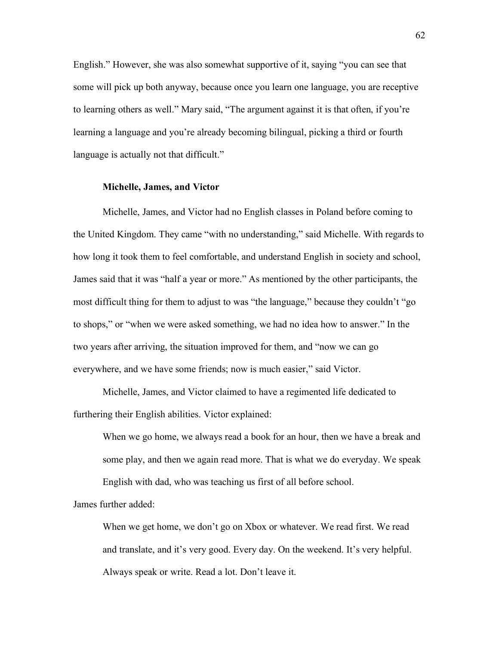English." However, she was also somewhat supportive of it, saying "you can see that some will pick up both anyway, because once you learn one language, you are receptive to learning others as well." Mary said, "The argument against it is that often, if you're learning a language and you're already becoming bilingual, picking a third or fourth language is actually not that difficult."

#### **Michelle, James, and Victor**

Michelle, James, and Victor had no English classes in Poland before coming to the United Kingdom. They came "with no understanding," said Michelle. With regards to how long it took them to feel comfortable, and understand English in society and school, James said that it was "half a year or more." As mentioned by the other participants, the most difficult thing for them to adjust to was "the language," because they couldn't "go to shops," or "when we were asked something, we had no idea how to answer." In the two years after arriving, the situation improved for them, and "now we can go everywhere, and we have some friends; now is much easier," said Victor.

Michelle, James, and Victor claimed to have a regimented life dedicated to furthering their English abilities. Victor explained:

When we go home, we always read a book for an hour, then we have a break and some play, and then we again read more. That is what we do everyday. We speak English with dad, who was teaching us first of all before school.

James further added:

When we get home, we don't go on Xbox or whatever. We read first. We read and translate, and it's very good. Every day. On the weekend. It's very helpful. Always speak or write. Read a lot. Don't leave it.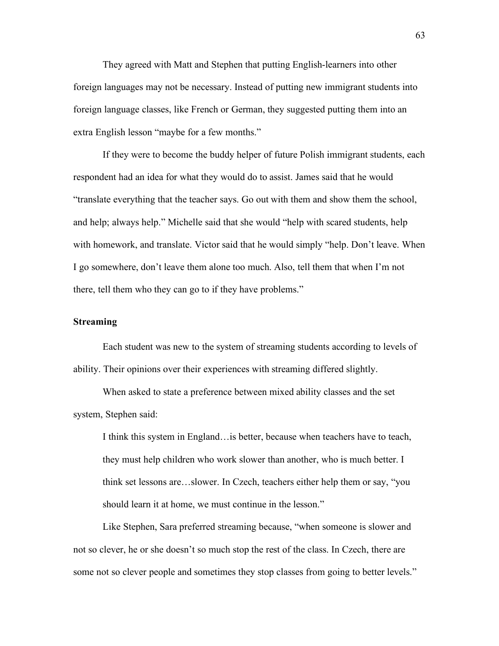They agreed with Matt and Stephen that putting English-learners into other foreign languages may not be necessary. Instead of putting new immigrant students into foreign language classes, like French or German, they suggested putting them into an extra English lesson "maybe for a few months."

If they were to become the buddy helper of future Polish immigrant students, each respondent had an idea for what they would do to assist. James said that he would "translate everything that the teacher says. Go out with them and show them the school, and help; always help." Michelle said that she would "help with scared students, help with homework, and translate. Victor said that he would simply "help. Don't leave. When I go somewhere, don't leave them alone too much. Also, tell them that when I'm not there, tell them who they can go to if they have problems."

## **Streaming**

Each student was new to the system of streaming students according to levels of ability. Their opinions over their experiences with streaming differed slightly.

When asked to state a preference between mixed ability classes and the set system, Stephen said:

I think this system in England…is better, because when teachers have to teach, they must help children who work slower than another, who is much better. I think set lessons are…slower. In Czech, teachers either help them or say, "you should learn it at home, we must continue in the lesson."

Like Stephen, Sara preferred streaming because, "when someone is slower and not so clever, he or she doesn't so much stop the rest of the class. In Czech, there are some not so clever people and sometimes they stop classes from going to better levels."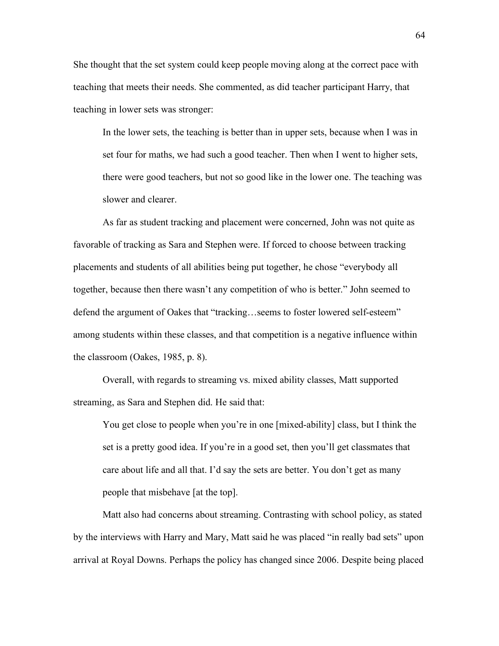She thought that the set system could keep people moving along at the correct pace with teaching that meets their needs. She commented, as did teacher participant Harry, that teaching in lower sets was stronger:

In the lower sets, the teaching is better than in upper sets, because when I was in set four for maths, we had such a good teacher. Then when I went to higher sets, there were good teachers, but not so good like in the lower one. The teaching was slower and clearer.

As far as student tracking and placement were concerned, John was not quite as favorable of tracking as Sara and Stephen were. If forced to choose between tracking placements and students of all abilities being put together, he chose "everybody all together, because then there wasn't any competition of who is better." John seemed to defend the argument of Oakes that "tracking…seems to foster lowered self-esteem" among students within these classes, and that competition is a negative influence within the classroom (Oakes, 1985, p. 8).

Overall, with regards to streaming vs. mixed ability classes, Matt supported streaming, as Sara and Stephen did. He said that:

You get close to people when you're in one [mixed-ability] class, but I think the set is a pretty good idea. If you're in a good set, then you'll get classmates that care about life and all that. I'd say the sets are better. You don't get as many people that misbehave [at the top].

Matt also had concerns about streaming. Contrasting with school policy, as stated by the interviews with Harry and Mary, Matt said he was placed "in really bad sets" upon arrival at Royal Downs. Perhaps the policy has changed since 2006. Despite being placed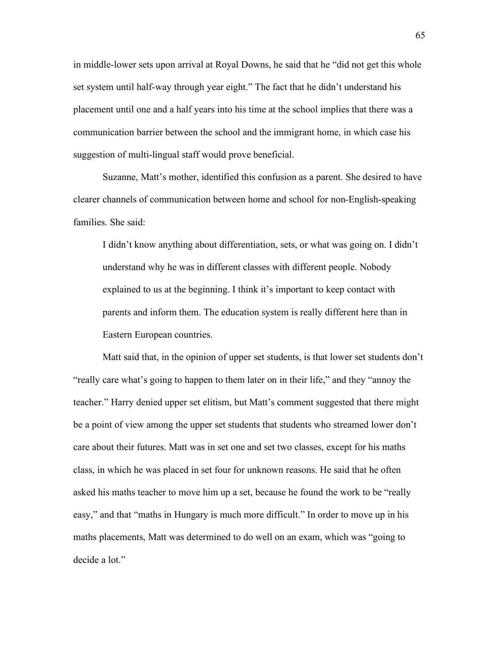in middle-lower sets upon arrival at Royal Downs, he said that he "did not get this whole set system until half-way through year eight." The fact that he didn't understand his placement until one and a half years into his time at the school implies that there was a communication barrier between the school and the immigrant home, in which case his suggestion of multi-lingual staff would prove beneficial.

Suzanne, Matt's mother, identified this confusion as a parent. She desired to have clearer channels of communication between home and school for non-English-speaking families. She said:

I didn't know anything about differentiation, sets, or what was going on. I didn't understand why he was in different classes with different people. Nobody explained to us at the beginning. I think it's important to keep contact with parents and inform them. The education system is really different here than in Eastern European countries.

Matt said that, in the opinion of upper set students, is that lower set students don't "really care what's going to happen to them later on in their life," and they "annoy the teacher." Harry denied upper set elitism, but Matt's comment suggested that there might be a point of view among the upper set students that students who streamed lower don't care about their futures. Matt was in set one and set two classes, except for his maths class, in which he was placed in set four for unknown reasons. He said that he often asked his maths teacher to move him up a set, because he found the work to be "really easy," and that "maths in Hungary is much more difficult." In order to move up in his maths placements, Matt was determined to do well on an exam, which was "going to decide a lot."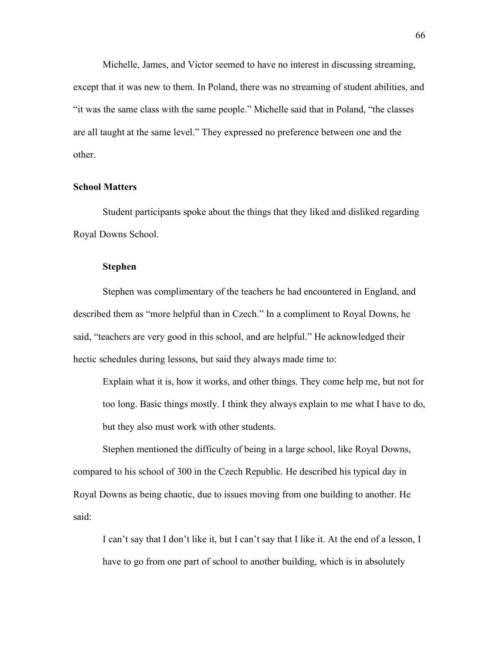Michelle, James, and Victor seemed to have no interest in discussing streaming, except that it was new to them. In Poland, there was no streaming of student abilities, and "it was the same class with the same people." Michelle said that in Poland, "the classes are all taught at the same level." They expressed no preference between one and the other.

### **School Matters**

Student participants spoke about the things that they liked and disliked regarding Royal Downs School.

## **Stephen**

Stephen was complimentary of the teachers he had encountered in England, and described them as "more helpful than in Czech." In a compliment to Royal Downs, he said, "teachers are very good in this school, and are helpful." He acknowledged their hectic schedules during lessons, but said they always made time to:

Explain what it is, how it works, and other things. They come help me, but not for too long. Basic things mostly. I think they always explain to me what I have to do, but they also must work with other students.

Stephen mentioned the difficulty of being in a large school, like Royal Downs, compared to his school of 300 in the Czech Republic. He described his typical day in Royal Downs as being chaotic, due to issues moving from one building to another. He said:

I can't say that I don't like it, but I can't say that I like it. At the end of a lesson, I have to go from one part of school to another building, which is in absolutely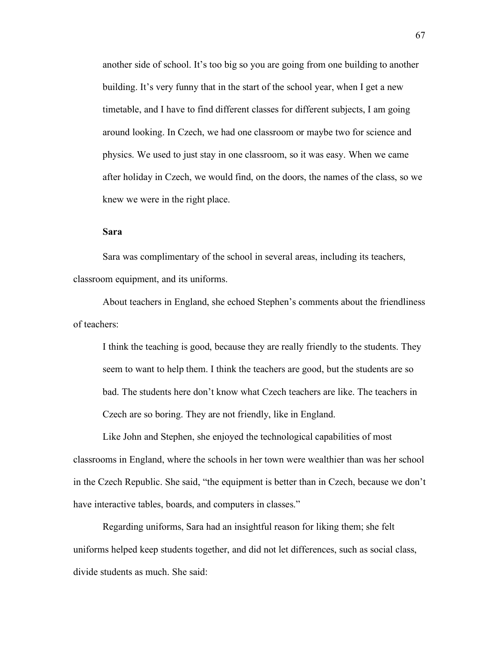another side of school. It's too big so you are going from one building to another building. It's very funny that in the start of the school year, when I get a new timetable, and I have to find different classes for different subjects, I am going around looking. In Czech, we had one classroom or maybe two for science and physics. We used to just stay in one classroom, so it was easy. When we came after holiday in Czech, we would find, on the doors, the names of the class, so we knew we were in the right place.

## **Sara**

Sara was complimentary of the school in several areas, including its teachers, classroom equipment, and its uniforms.

About teachers in England, she echoed Stephen's comments about the friendliness of teachers:

I think the teaching is good, because they are really friendly to the students. They seem to want to help them. I think the teachers are good, but the students are so bad. The students here don't know what Czech teachers are like. The teachers in Czech are so boring. They are not friendly, like in England.

Like John and Stephen, she enjoyed the technological capabilities of most classrooms in England, where the schools in her town were wealthier than was her school in the Czech Republic. She said, "the equipment is better than in Czech, because we don't have interactive tables, boards, and computers in classes."

Regarding uniforms, Sara had an insightful reason for liking them; she felt uniforms helped keep students together, and did not let differences, such as social class, divide students as much. She said: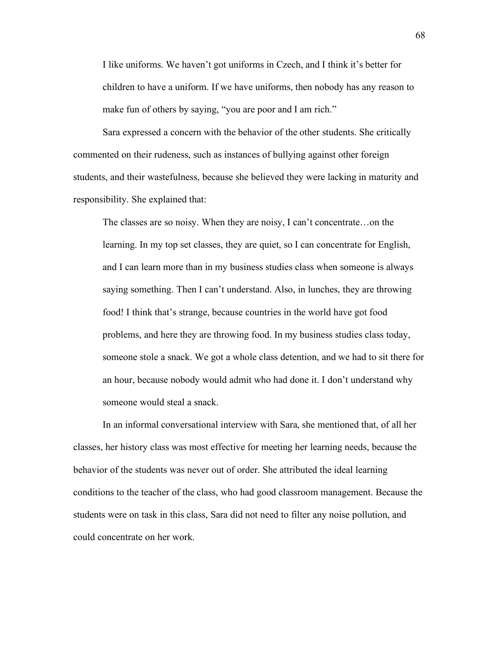I like uniforms. We haven't got uniforms in Czech, and I think it's better for children to have a uniform. If we have uniforms, then nobody has any reason to make fun of others by saying, "you are poor and I am rich."

Sara expressed a concern with the behavior of the other students. She critically commented on their rudeness, such as instances of bullying against other foreign students, and their wastefulness, because she believed they were lacking in maturity and responsibility. She explained that:

The classes are so noisy. When they are noisy, I can't concentrate…on the learning. In my top set classes, they are quiet, so I can concentrate for English, and I can learn more than in my business studies class when someone is always saying something. Then I can't understand. Also, in lunches, they are throwing food! I think that's strange, because countries in the world have got food problems, and here they are throwing food. In my business studies class today, someone stole a snack. We got a whole class detention, and we had to sit there for an hour, because nobody would admit who had done it. I don't understand why someone would steal a snack.

In an informal conversational interview with Sara, she mentioned that, of all her classes, her history class was most effective for meeting her learning needs, because the behavior of the students was never out of order. She attributed the ideal learning conditions to the teacher of the class, who had good classroom management. Because the students were on task in this class, Sara did not need to filter any noise pollution, and could concentrate on her work.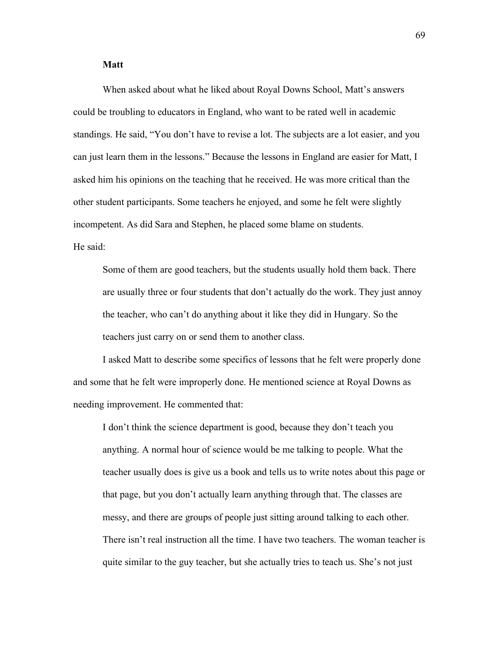## **Matt**

When asked about what he liked about Royal Downs School, Matt's answers could be troubling to educators in England, who want to be rated well in academic standings. He said, "You don't have to revise a lot. The subjects are a lot easier, and you can just learn them in the lessons." Because the lessons in England are easier for Matt, I asked him his opinions on the teaching that he received. He was more critical than the other student participants. Some teachers he enjoyed, and some he felt were slightly incompetent. As did Sara and Stephen, he placed some blame on students. He said:

Some of them are good teachers, but the students usually hold them back. There are usually three or four students that don't actually do the work. They just annoy the teacher, who can't do anything about it like they did in Hungary. So the teachers just carry on or send them to another class.

I asked Matt to describe some specifics of lessons that he felt were properly done and some that he felt were improperly done. He mentioned science at Royal Downs as needing improvement. He commented that:

I don't think the science department is good, because they don't teach you anything. A normal hour of science would be me talking to people. What the teacher usually does is give us a book and tells us to write notes about this page or that page, but you don't actually learn anything through that. The classes are messy, and there are groups of people just sitting around talking to each other. There isn't real instruction all the time. I have two teachers. The woman teacher is quite similar to the guy teacher, but she actually tries to teach us. She's not just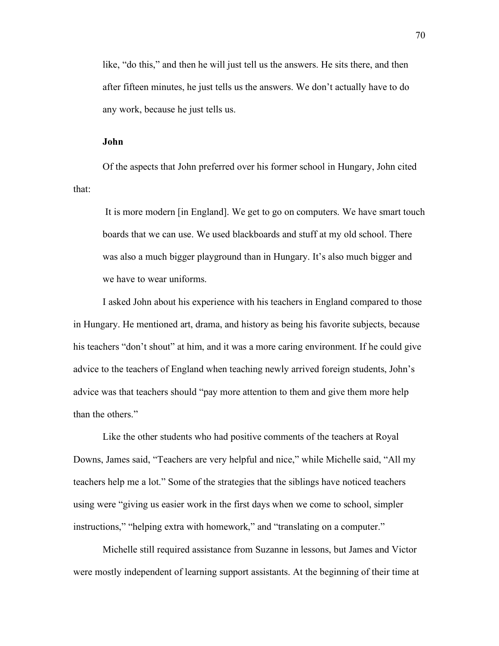like, "do this," and then he will just tell us the answers. He sits there, and then after fifteen minutes, he just tells us the answers. We don't actually have to do any work, because he just tells us.

### **John**

Of the aspects that John preferred over his former school in Hungary, John cited that:

It is more modern [in England]. We get to go on computers. We have smart touch boards that we can use. We used blackboards and stuff at my old school. There was also a much bigger playground than in Hungary. It's also much bigger and we have to wear uniforms.

I asked John about his experience with his teachers in England compared to those in Hungary. He mentioned art, drama, and history as being his favorite subjects, because his teachers "don't shout" at him, and it was a more caring environment. If he could give advice to the teachers of England when teaching newly arrived foreign students, John's advice was that teachers should "pay more attention to them and give them more help than the others."

Like the other students who had positive comments of the teachers at Royal Downs, James said, "Teachers are very helpful and nice," while Michelle said, "All my teachers help me a lot." Some of the strategies that the siblings have noticed teachers using were "giving us easier work in the first days when we come to school, simpler instructions," "helping extra with homework," and "translating on a computer."

Michelle still required assistance from Suzanne in lessons, but James and Victor were mostly independent of learning support assistants. At the beginning of their time at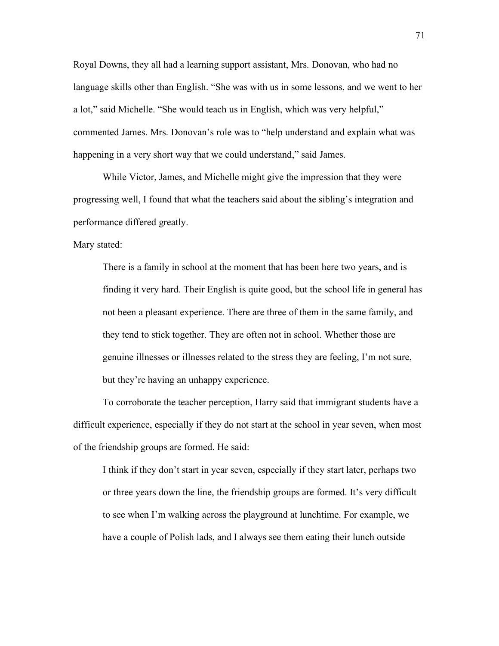Royal Downs, they all had a learning support assistant, Mrs. Donovan, who had no language skills other than English. "She was with us in some lessons, and we went to her a lot," said Michelle. "She would teach us in English, which was very helpful," commented James. Mrs. Donovan's role was to "help understand and explain what was happening in a very short way that we could understand," said James.

While Victor, James, and Michelle might give the impression that they were progressing well, I found that what the teachers said about the sibling's integration and performance differed greatly.

Mary stated:

There is a family in school at the moment that has been here two years, and is finding it very hard. Their English is quite good, but the school life in general has not been a pleasant experience. There are three of them in the same family, and they tend to stick together. They are often not in school. Whether those are genuine illnesses or illnesses related to the stress they are feeling, I'm not sure, but they're having an unhappy experience.

To corroborate the teacher perception, Harry said that immigrant students have a difficult experience, especially if they do not start at the school in year seven, when most of the friendship groups are formed. He said:

I think if they don't start in year seven, especially if they start later, perhaps two or three years down the line, the friendship groups are formed. It's very difficult to see when I'm walking across the playground at lunchtime. For example, we have a couple of Polish lads, and I always see them eating their lunch outside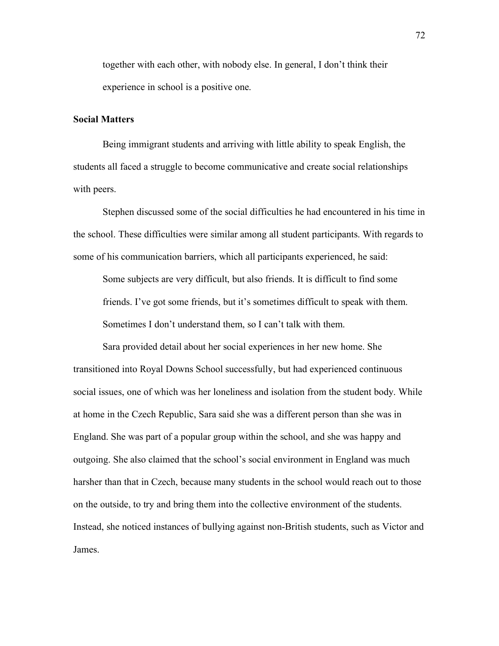together with each other, with nobody else. In general, I don't think their experience in school is a positive one.

## **Social Matters**

Being immigrant students and arriving with little ability to speak English, the students all faced a struggle to become communicative and create social relationships with peers.

Stephen discussed some of the social difficulties he had encountered in his time in the school. These difficulties were similar among all student participants. With regards to some of his communication barriers, which all participants experienced, he said:

Some subjects are very difficult, but also friends. It is difficult to find some friends. I've got some friends, but it's sometimes difficult to speak with them. Sometimes I don't understand them, so I can't talk with them.

Sara provided detail about her social experiences in her new home. She transitioned into Royal Downs School successfully, but had experienced continuous social issues, one of which was her loneliness and isolation from the student body. While at home in the Czech Republic, Sara said she was a different person than she was in England. She was part of a popular group within the school, and she was happy and outgoing. She also claimed that the school's social environment in England was much harsher than that in Czech, because many students in the school would reach out to those on the outside, to try and bring them into the collective environment of the students. Instead, she noticed instances of bullying against non-British students, such as Victor and James.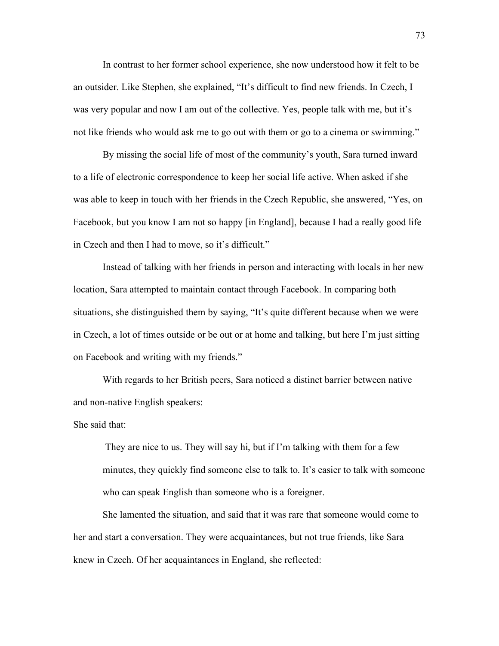In contrast to her former school experience, she now understood how it felt to be an outsider. Like Stephen, she explained, "It's difficult to find new friends. In Czech, I was very popular and now I am out of the collective. Yes, people talk with me, but it's not like friends who would ask me to go out with them or go to a cinema or swimming."

By missing the social life of most of the community's youth, Sara turned inward to a life of electronic correspondence to keep her social life active. When asked if she was able to keep in touch with her friends in the Czech Republic, she answered, "Yes, on Facebook, but you know I am not so happy [in England], because I had a really good life in Czech and then I had to move, so it's difficult."

Instead of talking with her friends in person and interacting with locals in her new location, Sara attempted to maintain contact through Facebook. In comparing both situations, she distinguished them by saying, "It's quite different because when we were in Czech, a lot of times outside or be out or at home and talking, but here I'm just sitting on Facebook and writing with my friends."

With regards to her British peers, Sara noticed a distinct barrier between native and non-native English speakers:

### She said that:

They are nice to us. They will say hi, but if I'm talking with them for a few minutes, they quickly find someone else to talk to. It's easier to talk with someone who can speak English than someone who is a foreigner.

She lamented the situation, and said that it was rare that someone would come to her and start a conversation. They were acquaintances, but not true friends, like Sara knew in Czech. Of her acquaintances in England, she reflected: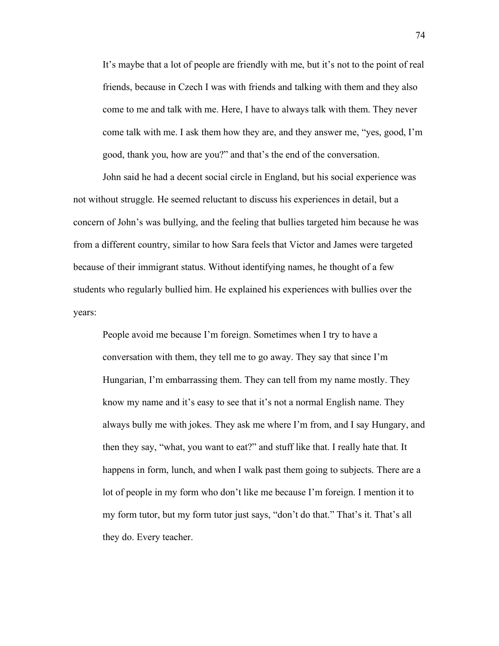It's maybe that a lot of people are friendly with me, but it's not to the point of real friends, because in Czech I was with friends and talking with them and they also come to me and talk with me. Here, I have to always talk with them. They never come talk with me. I ask them how they are, and they answer me, "yes, good, I'm good, thank you, how are you?" and that's the end of the conversation.

John said he had a decent social circle in England, but his social experience was not without struggle. He seemed reluctant to discuss his experiences in detail, but a concern of John's was bullying, and the feeling that bullies targeted him because he was from a different country, similar to how Sara feels that Victor and James were targeted because of their immigrant status. Without identifying names, he thought of a few students who regularly bullied him. He explained his experiences with bullies over the years:

People avoid me because I'm foreign. Sometimes when I try to have a conversation with them, they tell me to go away. They say that since I'm Hungarian, I'm embarrassing them. They can tell from my name mostly. They know my name and it's easy to see that it's not a normal English name. They always bully me with jokes. They ask me where I'm from, and I say Hungary, and then they say, "what, you want to eat?" and stuff like that. I really hate that. It happens in form, lunch, and when I walk past them going to subjects. There are a lot of people in my form who don't like me because I'm foreign. I mention it to my form tutor, but my form tutor just says, "don't do that." That's it. That's all they do. Every teacher.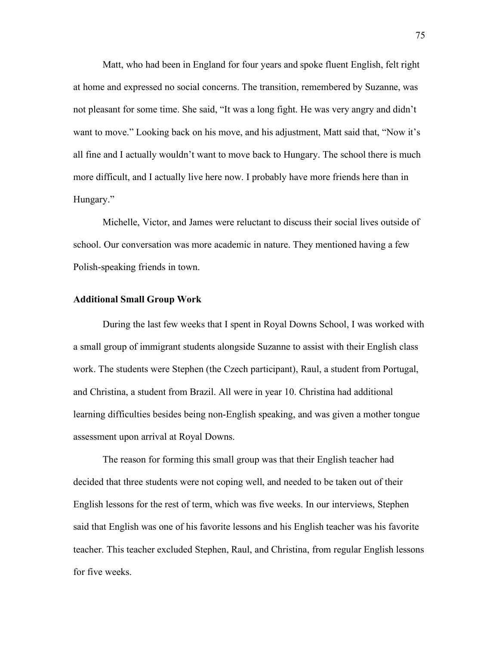Matt, who had been in England for four years and spoke fluent English, felt right at home and expressed no social concerns. The transition, remembered by Suzanne, was not pleasant for some time. She said, "It was a long fight. He was very angry and didn't want to move." Looking back on his move, and his adjustment, Matt said that, "Now it's all fine and I actually wouldn't want to move back to Hungary. The school there is much more difficult, and I actually live here now. I probably have more friends here than in Hungary."

Michelle, Victor, and James were reluctant to discuss their social lives outside of school. Our conversation was more academic in nature. They mentioned having a few Polish-speaking friends in town.

## **Additional Small Group Work**

During the last few weeks that I spent in Royal Downs School, I was worked with a small group of immigrant students alongside Suzanne to assist with their English class work. The students were Stephen (the Czech participant), Raul, a student from Portugal, and Christina, a student from Brazil. All were in year 10. Christina had additional learning difficulties besides being non-English speaking, and was given a mother tongue assessment upon arrival at Royal Downs.

The reason for forming this small group was that their English teacher had decided that three students were not coping well, and needed to be taken out of their English lessons for the rest of term, which was five weeks. In our interviews, Stephen said that English was one of his favorite lessons and his English teacher was his favorite teacher. This teacher excluded Stephen, Raul, and Christina, from regular English lessons for five weeks.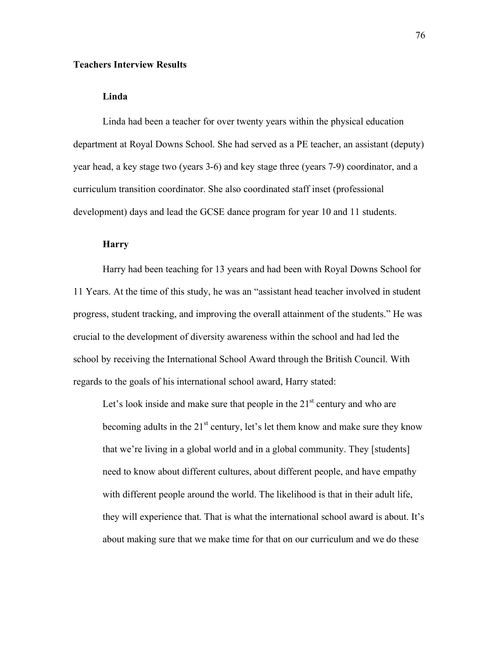# **Teachers Interview Results**

## **Linda**

Linda had been a teacher for over twenty years within the physical education department at Royal Downs School. She had served as a PE teacher, an assistant (deputy) year head, a key stage two (years 3-6) and key stage three (years 7-9) coordinator, and a curriculum transition coordinator. She also coordinated staff inset (professional development) days and lead the GCSE dance program for year 10 and 11 students.

# **Harry**

Harry had been teaching for 13 years and had been with Royal Downs School for 11 Years. At the time of this study, he was an "assistant head teacher involved in student progress, student tracking, and improving the overall attainment of the students." He was crucial to the development of diversity awareness within the school and had led the school by receiving the International School Award through the British Council. With regards to the goals of his international school award, Harry stated:

Let's look inside and make sure that people in the  $21<sup>st</sup>$  century and who are becoming adults in the  $21<sup>st</sup>$  century, let's let them know and make sure they know that we're living in a global world and in a global community. They [students] need to know about different cultures, about different people, and have empathy with different people around the world. The likelihood is that in their adult life, they will experience that. That is what the international school award is about. It's about making sure that we make time for that on our curriculum and we do these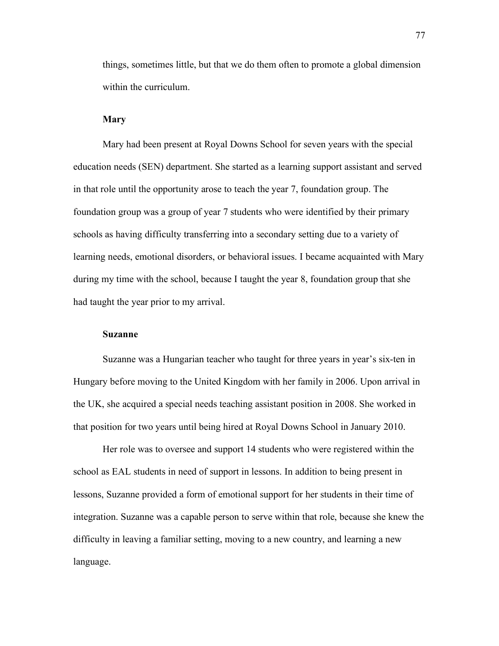things, sometimes little, but that we do them often to promote a global dimension within the curriculum.

## **Mary**

Mary had been present at Royal Downs School for seven years with the special education needs (SEN) department. She started as a learning support assistant and served in that role until the opportunity arose to teach the year 7, foundation group. The foundation group was a group of year 7 students who were identified by their primary schools as having difficulty transferring into a secondary setting due to a variety of learning needs, emotional disorders, or behavioral issues. I became acquainted with Mary during my time with the school, because I taught the year 8, foundation group that she had taught the year prior to my arrival.

### **Suzanne**

Suzanne was a Hungarian teacher who taught for three years in year's six-ten in Hungary before moving to the United Kingdom with her family in 2006. Upon arrival in the UK, she acquired a special needs teaching assistant position in 2008. She worked in that position for two years until being hired at Royal Downs School in January 2010.

Her role was to oversee and support 14 students who were registered within the school as EAL students in need of support in lessons. In addition to being present in lessons, Suzanne provided a form of emotional support for her students in their time of integration. Suzanne was a capable person to serve within that role, because she knew the difficulty in leaving a familiar setting, moving to a new country, and learning a new language.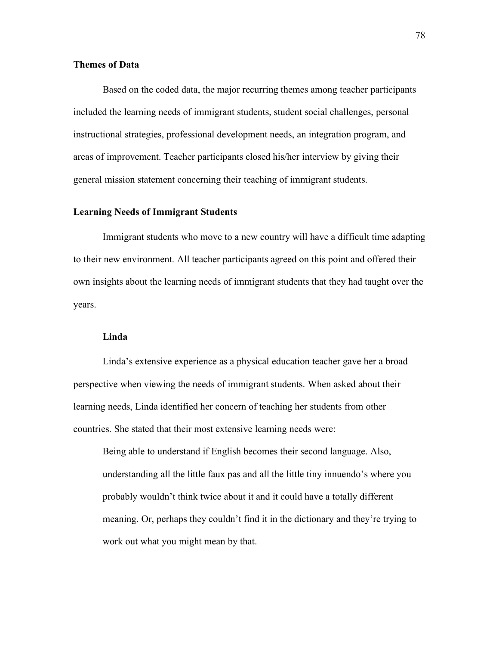## **Themes of Data**

Based on the coded data, the major recurring themes among teacher participants included the learning needs of immigrant students, student social challenges, personal instructional strategies, professional development needs, an integration program, and areas of improvement. Teacher participants closed his/her interview by giving their general mission statement concerning their teaching of immigrant students.

## **Learning Needs of Immigrant Students**

Immigrant students who move to a new country will have a difficult time adapting to their new environment. All teacher participants agreed on this point and offered their own insights about the learning needs of immigrant students that they had taught over the years.

# **Linda**

Linda's extensive experience as a physical education teacher gave her a broad perspective when viewing the needs of immigrant students. When asked about their learning needs, Linda identified her concern of teaching her students from other countries. She stated that their most extensive learning needs were:

Being able to understand if English becomes their second language. Also, understanding all the little faux pas and all the little tiny innuendo's where you probably wouldn't think twice about it and it could have a totally different meaning. Or, perhaps they couldn't find it in the dictionary and they're trying to work out what you might mean by that.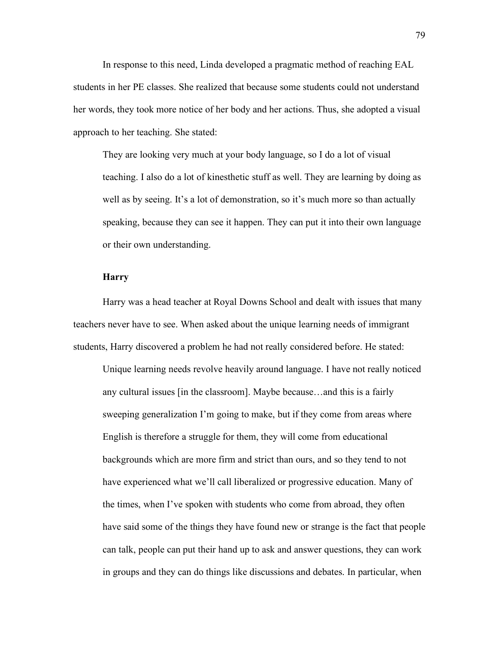In response to this need, Linda developed a pragmatic method of reaching EAL students in her PE classes. She realized that because some students could not understand her words, they took more notice of her body and her actions. Thus, she adopted a visual approach to her teaching. She stated:

They are looking very much at your body language, so I do a lot of visual teaching. I also do a lot of kinesthetic stuff as well. They are learning by doing as well as by seeing. It's a lot of demonstration, so it's much more so than actually speaking, because they can see it happen. They can put it into their own language or their own understanding.

### **Harry**

Harry was a head teacher at Royal Downs School and dealt with issues that many teachers never have to see. When asked about the unique learning needs of immigrant students, Harry discovered a problem he had not really considered before. He stated:

Unique learning needs revolve heavily around language. I have not really noticed any cultural issues [in the classroom]. Maybe because…and this is a fairly sweeping generalization I'm going to make, but if they come from areas where English is therefore a struggle for them, they will come from educational backgrounds which are more firm and strict than ours, and so they tend to not have experienced what we'll call liberalized or progressive education. Many of the times, when I've spoken with students who come from abroad, they often have said some of the things they have found new or strange is the fact that people can talk, people can put their hand up to ask and answer questions, they can work in groups and they can do things like discussions and debates. In particular, when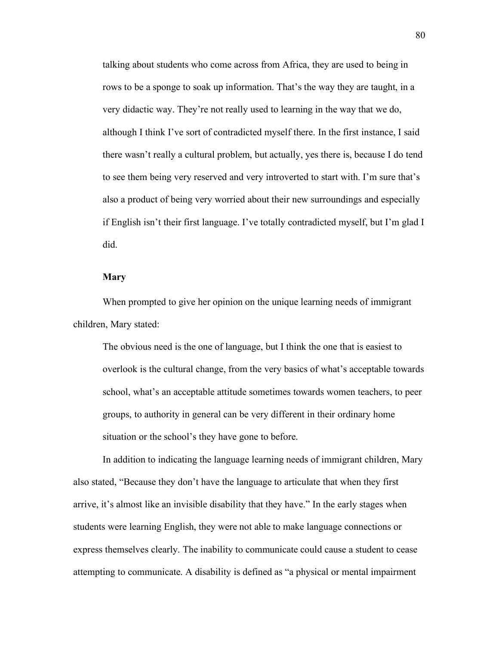talking about students who come across from Africa, they are used to being in rows to be a sponge to soak up information. That's the way they are taught, in a very didactic way. They're not really used to learning in the way that we do, although I think I've sort of contradicted myself there. In the first instance, I said there wasn't really a cultural problem, but actually, yes there is, because I do tend to see them being very reserved and very introverted to start with. I'm sure that's also a product of being very worried about their new surroundings and especially if English isn't their first language. I've totally contradicted myself, but I'm glad I did.

#### **Mary**

When prompted to give her opinion on the unique learning needs of immigrant children, Mary stated:

The obvious need is the one of language, but I think the one that is easiest to overlook is the cultural change, from the very basics of what's acceptable towards school, what's an acceptable attitude sometimes towards women teachers, to peer groups, to authority in general can be very different in their ordinary home situation or the school's they have gone to before.

In addition to indicating the language learning needs of immigrant children, Mary also stated, "Because they don't have the language to articulate that when they first arrive, it's almost like an invisible disability that they have." In the early stages when students were learning English, they were not able to make language connections or express themselves clearly. The inability to communicate could cause a student to cease attempting to communicate. A disability is defined as "a physical or mental impairment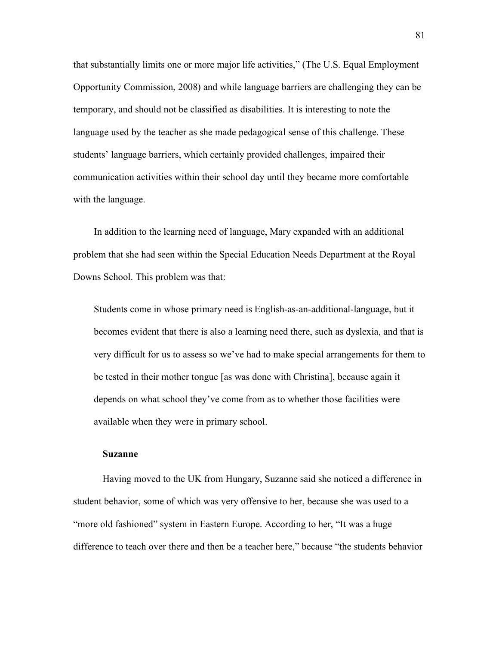that substantially limits one or more major life activities," (The U.S. Equal Employment Opportunity Commission, 2008) and while language barriers are challenging they can be temporary, and should not be classified as disabilities. It is interesting to note the language used by the teacher as she made pedagogical sense of this challenge. These students' language barriers, which certainly provided challenges, impaired their communication activities within their school day until they became more comfortable with the language.

In addition to the learning need of language, Mary expanded with an additional problem that she had seen within the Special Education Needs Department at the Royal Downs School. This problem was that:

Students come in whose primary need is English-as-an-additional-language, but it becomes evident that there is also a learning need there, such as dyslexia, and that is very difficult for us to assess so we've had to make special arrangements for them to be tested in their mother tongue [as was done with Christina], because again it depends on what school they've come from as to whether those facilities were available when they were in primary school.

#### **Suzanne**

Having moved to the UK from Hungary, Suzanne said she noticed a difference in student behavior, some of which was very offensive to her, because she was used to a "more old fashioned" system in Eastern Europe. According to her, "It was a huge difference to teach over there and then be a teacher here," because "the students behavior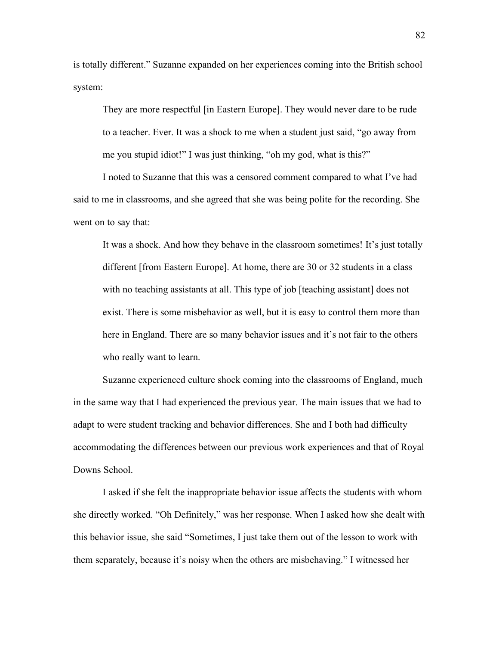is totally different." Suzanne expanded on her experiences coming into the British school system:

They are more respectful [in Eastern Europe]. They would never dare to be rude to a teacher. Ever. It was a shock to me when a student just said, "go away from me you stupid idiot!" I was just thinking, "oh my god, what is this?"

I noted to Suzanne that this was a censored comment compared to what I've had said to me in classrooms, and she agreed that she was being polite for the recording. She went on to say that:

It was a shock. And how they behave in the classroom sometimes! It's just totally different [from Eastern Europe]. At home, there are 30 or 32 students in a class with no teaching assistants at all. This type of job [teaching assistant] does not exist. There is some misbehavior as well, but it is easy to control them more than here in England. There are so many behavior issues and it's not fair to the others who really want to learn.

Suzanne experienced culture shock coming into the classrooms of England, much in the same way that I had experienced the previous year. The main issues that we had to adapt to were student tracking and behavior differences. She and I both had difficulty accommodating the differences between our previous work experiences and that of Royal Downs School.

I asked if she felt the inappropriate behavior issue affects the students with whom she directly worked. "Oh Definitely," was her response. When I asked how she dealt with this behavior issue, she said "Sometimes, I just take them out of the lesson to work with them separately, because it's noisy when the others are misbehaving." I witnessed her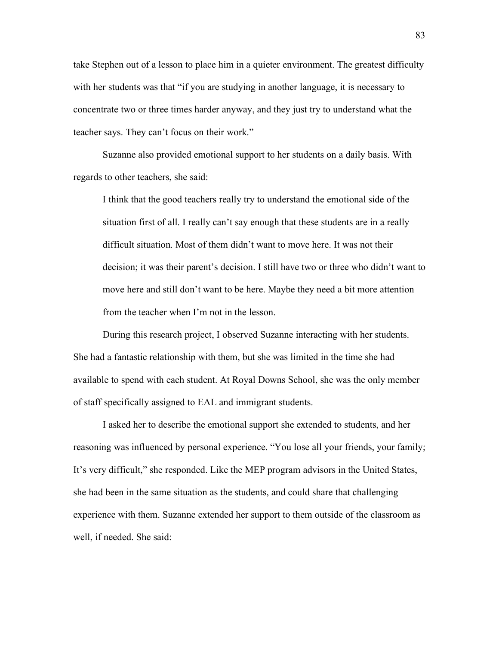take Stephen out of a lesson to place him in a quieter environment. The greatest difficulty with her students was that "if you are studying in another language, it is necessary to concentrate two or three times harder anyway, and they just try to understand what the teacher says. They can't focus on their work."

Suzanne also provided emotional support to her students on a daily basis. With regards to other teachers, she said:

I think that the good teachers really try to understand the emotional side of the situation first of all. I really can't say enough that these students are in a really difficult situation. Most of them didn't want to move here. It was not their decision; it was their parent's decision. I still have two or three who didn't want to move here and still don't want to be here. Maybe they need a bit more attention from the teacher when I'm not in the lesson.

During this research project, I observed Suzanne interacting with her students. She had a fantastic relationship with them, but she was limited in the time she had available to spend with each student. At Royal Downs School, she was the only member of staff specifically assigned to EAL and immigrant students.

I asked her to describe the emotional support she extended to students, and her reasoning was influenced by personal experience. "You lose all your friends, your family; It's very difficult," she responded. Like the MEP program advisors in the United States, she had been in the same situation as the students, and could share that challenging experience with them. Suzanne extended her support to them outside of the classroom as well, if needed. She said: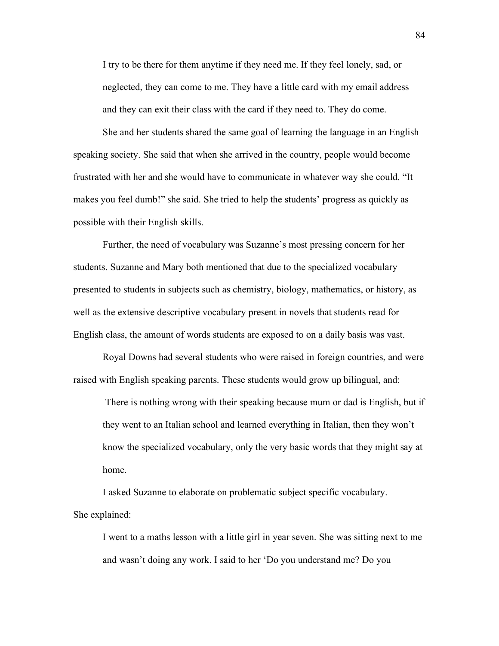I try to be there for them anytime if they need me. If they feel lonely, sad, or neglected, they can come to me. They have a little card with my email address and they can exit their class with the card if they need to. They do come.

She and her students shared the same goal of learning the language in an English speaking society. She said that when she arrived in the country, people would become frustrated with her and she would have to communicate in whatever way she could. "It makes you feel dumb!" she said. She tried to help the students' progress as quickly as possible with their English skills.

Further, the need of vocabulary was Suzanne's most pressing concern for her students. Suzanne and Mary both mentioned that due to the specialized vocabulary presented to students in subjects such as chemistry, biology, mathematics, or history, as well as the extensive descriptive vocabulary present in novels that students read for English class, the amount of words students are exposed to on a daily basis was vast.

Royal Downs had several students who were raised in foreign countries, and were raised with English speaking parents. These students would grow up bilingual, and:

There is nothing wrong with their speaking because mum or dad is English, but if they went to an Italian school and learned everything in Italian, then they won't know the specialized vocabulary, only the very basic words that they might say at home.

I asked Suzanne to elaborate on problematic subject specific vocabulary. She explained:

I went to a maths lesson with a little girl in year seven. She was sitting next to me and wasn't doing any work. I said to her 'Do you understand me? Do you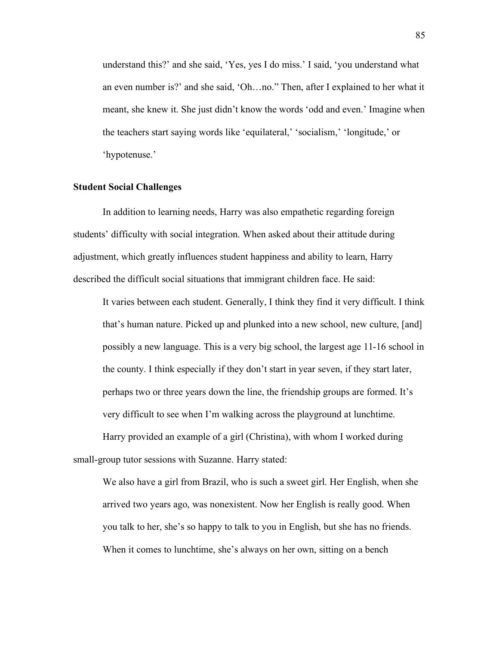understand this?' and she said, 'Yes, yes I do miss.' I said, 'you understand what an even number is?' and she said, 'Oh…no." Then, after I explained to her what it meant, she knew it. She just didn't know the words 'odd and even.' Imagine when the teachers start saying words like 'equilateral,' 'socialism,' 'longitude,' or 'hypotenuse.'

#### **Student Social Challenges**

In addition to learning needs, Harry was also empathetic regarding foreign students' difficulty with social integration. When asked about their attitude during adjustment, which greatly influences student happiness and ability to learn, Harry described the difficult social situations that immigrant children face. He said:

It varies between each student. Generally, I think they find it very difficult. I think that's human nature. Picked up and plunked into a new school, new culture, [and] possibly a new language. This is a very big school, the largest age 11-16 school in the county. I think especially if they don't start in year seven, if they start later, perhaps two or three years down the line, the friendship groups are formed. It's very difficult to see when I'm walking across the playground at lunchtime.

Harry provided an example of a girl (Christina), with whom I worked during small-group tutor sessions with Suzanne. Harry stated:

We also have a girl from Brazil, who is such a sweet girl. Her English, when she arrived two years ago, was nonexistent. Now her English is really good. When you talk to her, she's so happy to talk to you in English, but she has no friends. When it comes to lunchtime, she's always on her own, sitting on a bench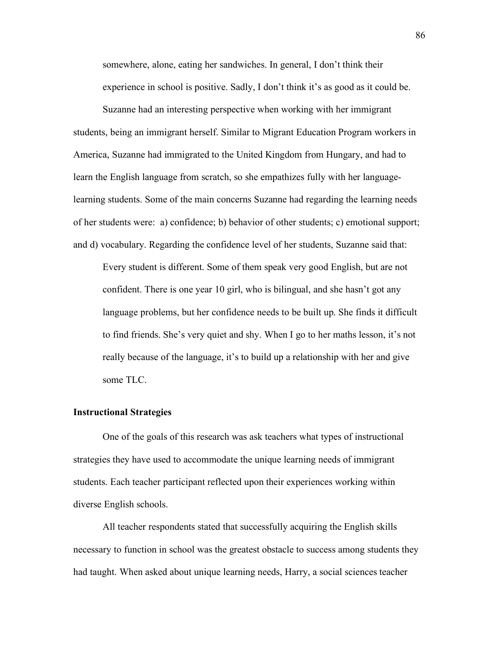somewhere, alone, eating her sandwiches. In general, I don't think their experience in school is positive. Sadly, I don't think it's as good as it could be.

Suzanne had an interesting perspective when working with her immigrant students, being an immigrant herself. Similar to Migrant Education Program workers in America, Suzanne had immigrated to the United Kingdom from Hungary, and had to learn the English language from scratch, so she empathizes fully with her languagelearning students. Some of the main concerns Suzanne had regarding the learning needs of her students were: a) confidence; b) behavior of other students; c) emotional support; and d) vocabulary. Regarding the confidence level of her students, Suzanne said that:

Every student is different. Some of them speak very good English, but are not confident. There is one year 10 girl, who is bilingual, and she hasn't got any language problems, but her confidence needs to be built up. She finds it difficult to find friends. She's very quiet and shy. When I go to her maths lesson, it's not really because of the language, it's to build up a relationship with her and give some TLC.

# **Instructional Strategies**

One of the goals of this research was ask teachers what types of instructional strategies they have used to accommodate the unique learning needs of immigrant students. Each teacher participant reflected upon their experiences working within diverse English schools.

All teacher respondents stated that successfully acquiring the English skills necessary to function in school was the greatest obstacle to success among students they had taught. When asked about unique learning needs, Harry, a social sciences teacher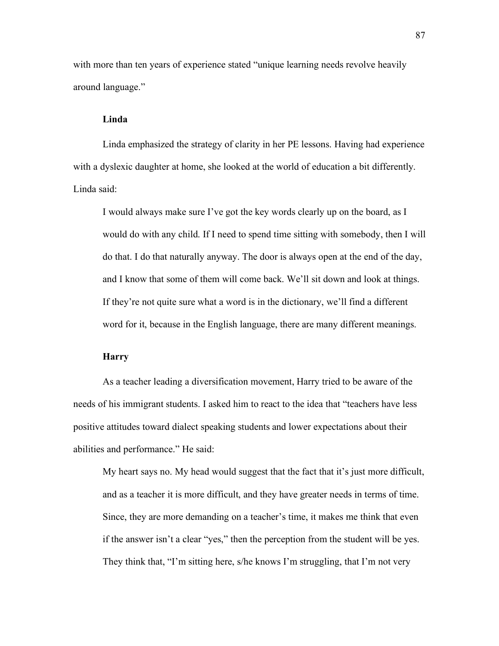with more than ten years of experience stated "unique learning needs revolve heavily around language."

## **Linda**

Linda emphasized the strategy of clarity in her PE lessons. Having had experience with a dyslexic daughter at home, she looked at the world of education a bit differently. Linda said:

I would always make sure I've got the key words clearly up on the board, as I would do with any child. If I need to spend time sitting with somebody, then I will do that. I do that naturally anyway. The door is always open at the end of the day, and I know that some of them will come back. We'll sit down and look at things. If they're not quite sure what a word is in the dictionary, we'll find a different word for it, because in the English language, there are many different meanings.

# **Harry**

As a teacher leading a diversification movement, Harry tried to be aware of the needs of his immigrant students. I asked him to react to the idea that "teachers have less positive attitudes toward dialect speaking students and lower expectations about their abilities and performance." He said:

My heart says no. My head would suggest that the fact that it's just more difficult, and as a teacher it is more difficult, and they have greater needs in terms of time. Since, they are more demanding on a teacher's time, it makes me think that even if the answer isn't a clear "yes," then the perception from the student will be yes. They think that, "I'm sitting here, s/he knows I'm struggling, that I'm not very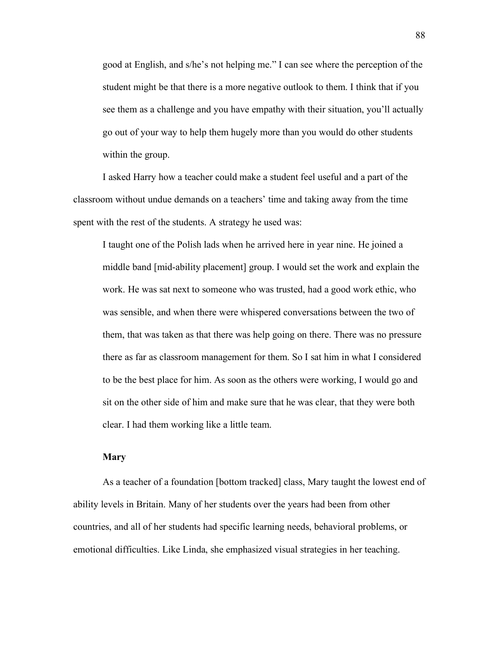good at English, and s/he's not helping me." I can see where the perception of the student might be that there is a more negative outlook to them. I think that if you see them as a challenge and you have empathy with their situation, you'll actually go out of your way to help them hugely more than you would do other students within the group.

I asked Harry how a teacher could make a student feel useful and a part of the classroom without undue demands on a teachers' time and taking away from the time spent with the rest of the students. A strategy he used was:

I taught one of the Polish lads when he arrived here in year nine. He joined a middle band [mid-ability placement] group. I would set the work and explain the work. He was sat next to someone who was trusted, had a good work ethic, who was sensible, and when there were whispered conversations between the two of them, that was taken as that there was help going on there. There was no pressure there as far as classroom management for them. So I sat him in what I considered to be the best place for him. As soon as the others were working, I would go and sit on the other side of him and make sure that he was clear, that they were both clear. I had them working like a little team.

## **Mary**

As a teacher of a foundation [bottom tracked] class, Mary taught the lowest end of ability levels in Britain. Many of her students over the years had been from other countries, and all of her students had specific learning needs, behavioral problems, or emotional difficulties. Like Linda, she emphasized visual strategies in her teaching.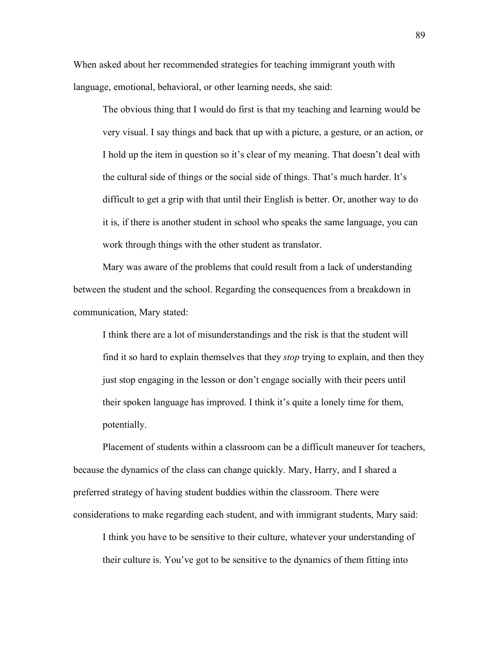When asked about her recommended strategies for teaching immigrant youth with language, emotional, behavioral, or other learning needs, she said:

The obvious thing that I would do first is that my teaching and learning would be very visual. I say things and back that up with a picture, a gesture, or an action, or I hold up the item in question so it's clear of my meaning. That doesn't deal with the cultural side of things or the social side of things. That's much harder. It's difficult to get a grip with that until their English is better. Or, another way to do it is, if there is another student in school who speaks the same language, you can work through things with the other student as translator.

Mary was aware of the problems that could result from a lack of understanding between the student and the school. Regarding the consequences from a breakdown in communication, Mary stated:

I think there are a lot of misunderstandings and the risk is that the student will find it so hard to explain themselves that they *stop* trying to explain, and then they just stop engaging in the lesson or don't engage socially with their peers until their spoken language has improved. I think it's quite a lonely time for them, potentially.

Placement of students within a classroom can be a difficult maneuver for teachers, because the dynamics of the class can change quickly. Mary, Harry, and I shared a preferred strategy of having student buddies within the classroom. There were considerations to make regarding each student, and with immigrant students, Mary said:

I think you have to be sensitive to their culture, whatever your understanding of their culture is. You've got to be sensitive to the dynamics of them fitting into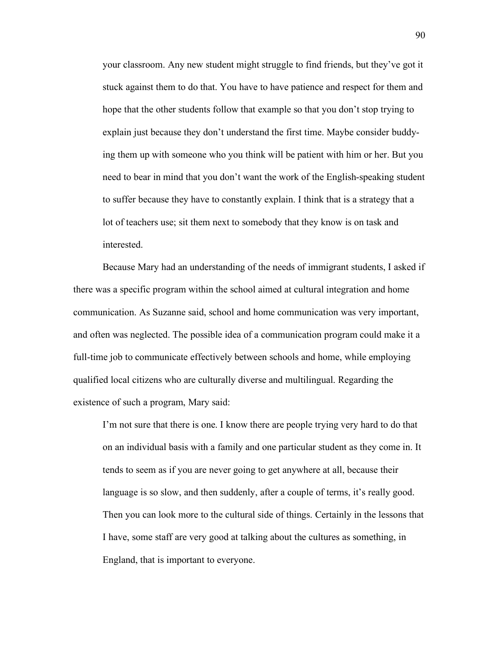your classroom. Any new student might struggle to find friends, but they've got it stuck against them to do that. You have to have patience and respect for them and hope that the other students follow that example so that you don't stop trying to explain just because they don't understand the first time. Maybe consider buddying them up with someone who you think will be patient with him or her. But you need to bear in mind that you don't want the work of the English-speaking student to suffer because they have to constantly explain. I think that is a strategy that a lot of teachers use; sit them next to somebody that they know is on task and interested.

Because Mary had an understanding of the needs of immigrant students, I asked if there was a specific program within the school aimed at cultural integration and home communication. As Suzanne said, school and home communication was very important, and often was neglected. The possible idea of a communication program could make it a full-time job to communicate effectively between schools and home, while employing qualified local citizens who are culturally diverse and multilingual. Regarding the existence of such a program, Mary said:

I'm not sure that there is one. I know there are people trying very hard to do that on an individual basis with a family and one particular student as they come in. It tends to seem as if you are never going to get anywhere at all, because their language is so slow, and then suddenly, after a couple of terms, it's really good. Then you can look more to the cultural side of things. Certainly in the lessons that I have, some staff are very good at talking about the cultures as something, in England, that is important to everyone.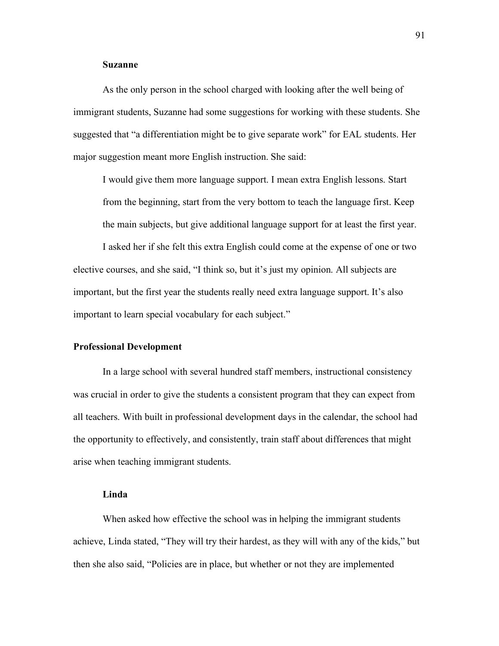## **Suzanne**

As the only person in the school charged with looking after the well being of immigrant students, Suzanne had some suggestions for working with these students. She suggested that "a differentiation might be to give separate work" for EAL students. Her major suggestion meant more English instruction. She said:

I would give them more language support. I mean extra English lessons. Start from the beginning, start from the very bottom to teach the language first. Keep the main subjects, but give additional language support for at least the first year.

I asked her if she felt this extra English could come at the expense of one or two elective courses, and she said, "I think so, but it's just my opinion. All subjects are important, but the first year the students really need extra language support. It's also important to learn special vocabulary for each subject."

### **Professional Development**

In a large school with several hundred staff members, instructional consistency was crucial in order to give the students a consistent program that they can expect from all teachers. With built in professional development days in the calendar, the school had the opportunity to effectively, and consistently, train staff about differences that might arise when teaching immigrant students.

## **Linda**

When asked how effective the school was in helping the immigrant students achieve, Linda stated, "They will try their hardest, as they will with any of the kids," but then she also said, "Policies are in place, but whether or not they are implemented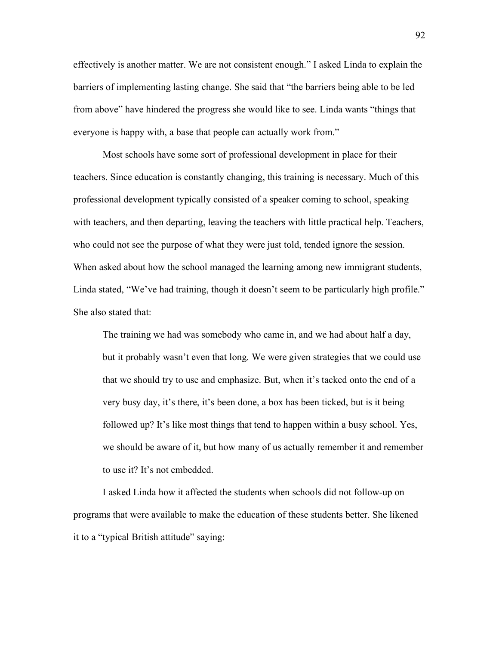effectively is another matter. We are not consistent enough." I asked Linda to explain the barriers of implementing lasting change. She said that "the barriers being able to be led from above" have hindered the progress she would like to see. Linda wants "things that everyone is happy with, a base that people can actually work from."

Most schools have some sort of professional development in place for their teachers. Since education is constantly changing, this training is necessary. Much of this professional development typically consisted of a speaker coming to school, speaking with teachers, and then departing, leaving the teachers with little practical help. Teachers, who could not see the purpose of what they were just told, tended ignore the session. When asked about how the school managed the learning among new immigrant students, Linda stated, "We've had training, though it doesn't seem to be particularly high profile." She also stated that:

The training we had was somebody who came in, and we had about half a day, but it probably wasn't even that long. We were given strategies that we could use that we should try to use and emphasize. But, when it's tacked onto the end of a very busy day, it's there, it's been done, a box has been ticked, but is it being followed up? It's like most things that tend to happen within a busy school. Yes, we should be aware of it, but how many of us actually remember it and remember to use it? It's not embedded.

I asked Linda how it affected the students when schools did not follow-up on programs that were available to make the education of these students better. She likened it to a "typical British attitude" saying: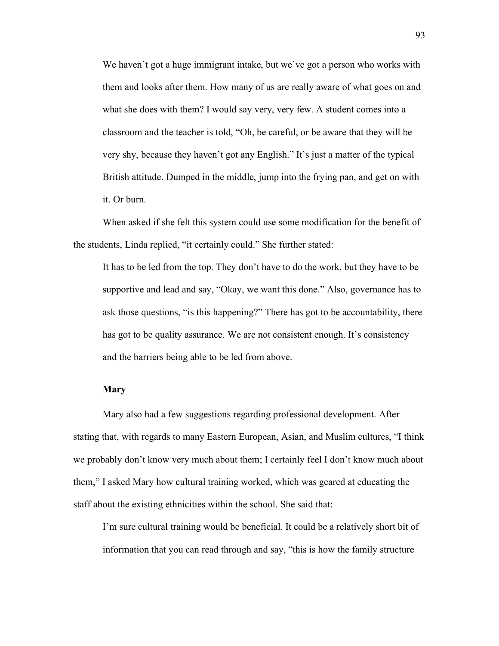We haven't got a huge immigrant intake, but we've got a person who works with them and looks after them. How many of us are really aware of what goes on and what she does with them? I would say very, very few. A student comes into a classroom and the teacher is told, "Oh, be careful, or be aware that they will be very shy, because they haven't got any English." It's just a matter of the typical British attitude. Dumped in the middle, jump into the frying pan, and get on with it. Or burn.

When asked if she felt this system could use some modification for the benefit of the students, Linda replied, "it certainly could." She further stated:

It has to be led from the top. They don't have to do the work, but they have to be supportive and lead and say, "Okay, we want this done." Also, governance has to ask those questions, "is this happening?" There has got to be accountability, there has got to be quality assurance. We are not consistent enough. It's consistency and the barriers being able to be led from above.

## **Mary**

Mary also had a few suggestions regarding professional development. After stating that, with regards to many Eastern European, Asian, and Muslim cultures, "I think we probably don't know very much about them; I certainly feel I don't know much about them," I asked Mary how cultural training worked, which was geared at educating the staff about the existing ethnicities within the school. She said that:

I'm sure cultural training would be beneficial. It could be a relatively short bit of information that you can read through and say, "this is how the family structure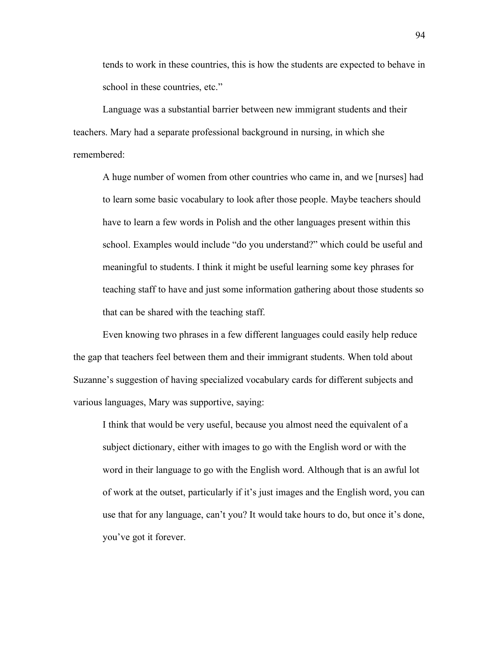tends to work in these countries, this is how the students are expected to behave in school in these countries, etc."

Language was a substantial barrier between new immigrant students and their teachers. Mary had a separate professional background in nursing, in which she remembered:

A huge number of women from other countries who came in, and we [nurses] had to learn some basic vocabulary to look after those people. Maybe teachers should have to learn a few words in Polish and the other languages present within this school. Examples would include "do you understand?" which could be useful and meaningful to students. I think it might be useful learning some key phrases for teaching staff to have and just some information gathering about those students so that can be shared with the teaching staff.

Even knowing two phrases in a few different languages could easily help reduce the gap that teachers feel between them and their immigrant students. When told about Suzanne's suggestion of having specialized vocabulary cards for different subjects and various languages, Mary was supportive, saying:

I think that would be very useful, because you almost need the equivalent of a subject dictionary, either with images to go with the English word or with the word in their language to go with the English word. Although that is an awful lot of work at the outset, particularly if it's just images and the English word, you can use that for any language, can't you? It would take hours to do, but once it's done, you've got it forever.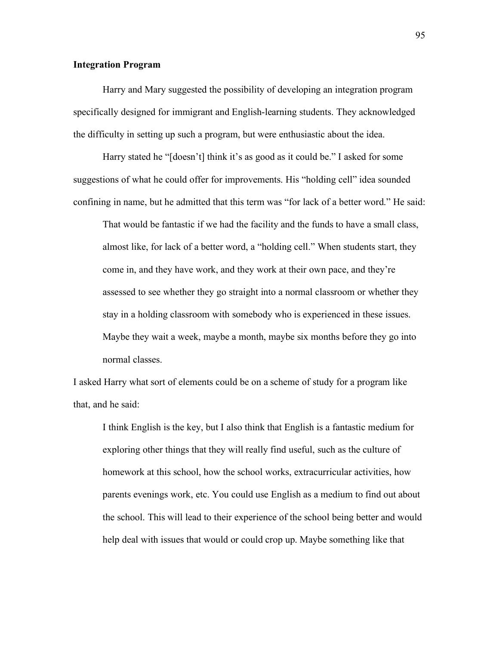### **Integration Program**

Harry and Mary suggested the possibility of developing an integration program specifically designed for immigrant and English-learning students. They acknowledged the difficulty in setting up such a program, but were enthusiastic about the idea.

Harry stated he "[doesn't] think it's as good as it could be." I asked for some suggestions of what he could offer for improvements. His "holding cell" idea sounded confining in name, but he admitted that this term was "for lack of a better word." He said:

That would be fantastic if we had the facility and the funds to have a small class, almost like, for lack of a better word, a "holding cell." When students start, they come in, and they have work, and they work at their own pace, and they're assessed to see whether they go straight into a normal classroom or whether they stay in a holding classroom with somebody who is experienced in these issues. Maybe they wait a week, maybe a month, maybe six months before they go into normal classes.

I asked Harry what sort of elements could be on a scheme of study for a program like that, and he said:

I think English is the key, but I also think that English is a fantastic medium for exploring other things that they will really find useful, such as the culture of homework at this school, how the school works, extracurricular activities, how parents evenings work, etc. You could use English as a medium to find out about the school. This will lead to their experience of the school being better and would help deal with issues that would or could crop up. Maybe something like that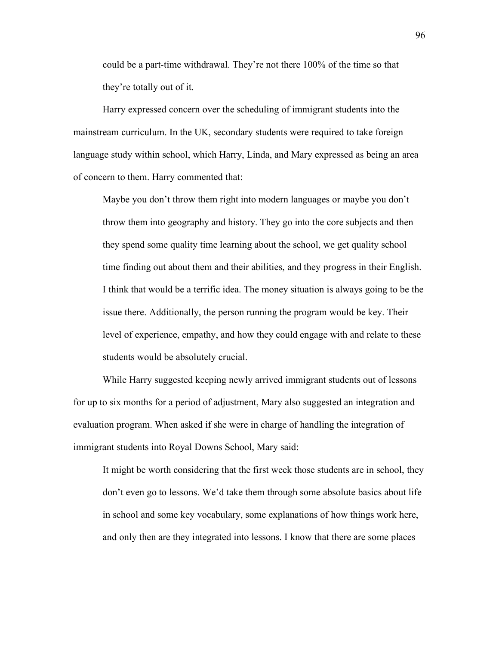could be a part-time withdrawal. They're not there 100% of the time so that they're totally out of it.

Harry expressed concern over the scheduling of immigrant students into the mainstream curriculum. In the UK, secondary students were required to take foreign language study within school, which Harry, Linda, and Mary expressed as being an area of concern to them. Harry commented that:

Maybe you don't throw them right into modern languages or maybe you don't throw them into geography and history. They go into the core subjects and then they spend some quality time learning about the school, we get quality school time finding out about them and their abilities, and they progress in their English. I think that would be a terrific idea. The money situation is always going to be the issue there. Additionally, the person running the program would be key. Their level of experience, empathy, and how they could engage with and relate to these students would be absolutely crucial.

While Harry suggested keeping newly arrived immigrant students out of lessons for up to six months for a period of adjustment, Mary also suggested an integration and evaluation program. When asked if she were in charge of handling the integration of immigrant students into Royal Downs School, Mary said:

It might be worth considering that the first week those students are in school, they don't even go to lessons. We'd take them through some absolute basics about life in school and some key vocabulary, some explanations of how things work here, and only then are they integrated into lessons. I know that there are some places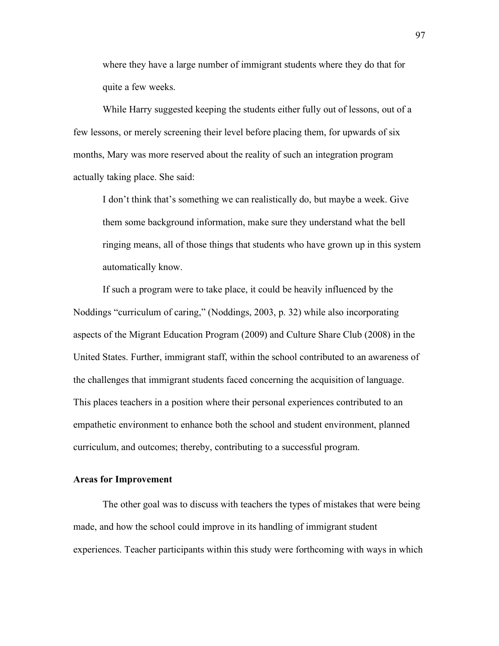where they have a large number of immigrant students where they do that for quite a few weeks.

While Harry suggested keeping the students either fully out of lessons, out of a few lessons, or merely screening their level before placing them, for upwards of six months, Mary was more reserved about the reality of such an integration program actually taking place. She said:

I don't think that's something we can realistically do, but maybe a week. Give them some background information, make sure they understand what the bell ringing means, all of those things that students who have grown up in this system automatically know.

If such a program were to take place, it could be heavily influenced by the Noddings "curriculum of caring," (Noddings, 2003, p. 32) while also incorporating aspects of the Migrant Education Program (2009) and Culture Share Club (2008) in the United States. Further, immigrant staff, within the school contributed to an awareness of the challenges that immigrant students faced concerning the acquisition of language. This places teachers in a position where their personal experiences contributed to an empathetic environment to enhance both the school and student environment, planned curriculum, and outcomes; thereby, contributing to a successful program.

# **Areas for Improvement**

The other goal was to discuss with teachers the types of mistakes that were being made, and how the school could improve in its handling of immigrant student experiences. Teacher participants within this study were forthcoming with ways in which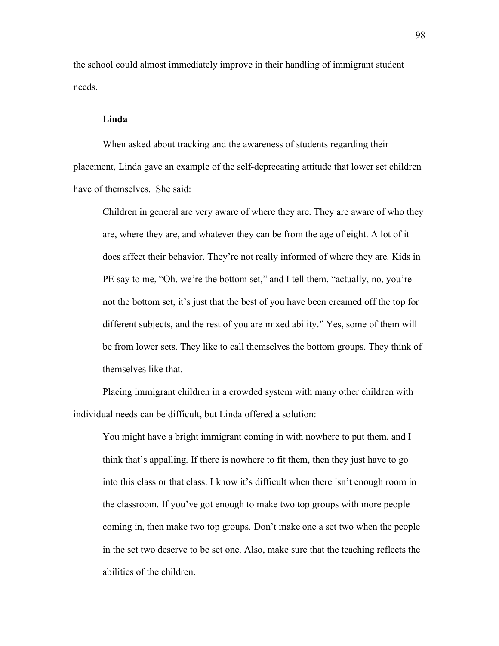the school could almost immediately improve in their handling of immigrant student needs.

## **Linda**

When asked about tracking and the awareness of students regarding their placement, Linda gave an example of the self-deprecating attitude that lower set children have of themselves. She said:

Children in general are very aware of where they are. They are aware of who they are, where they are, and whatever they can be from the age of eight. A lot of it does affect their behavior. They're not really informed of where they are. Kids in PE say to me, "Oh, we're the bottom set," and I tell them, "actually, no, you're not the bottom set, it's just that the best of you have been creamed off the top for different subjects, and the rest of you are mixed ability." Yes, some of them will be from lower sets. They like to call themselves the bottom groups. They think of themselves like that.

Placing immigrant children in a crowded system with many other children with individual needs can be difficult, but Linda offered a solution:

You might have a bright immigrant coming in with nowhere to put them, and I think that's appalling. If there is nowhere to fit them, then they just have to go into this class or that class. I know it's difficult when there isn't enough room in the classroom. If you've got enough to make two top groups with more people coming in, then make two top groups. Don't make one a set two when the people in the set two deserve to be set one. Also, make sure that the teaching reflects the abilities of the children.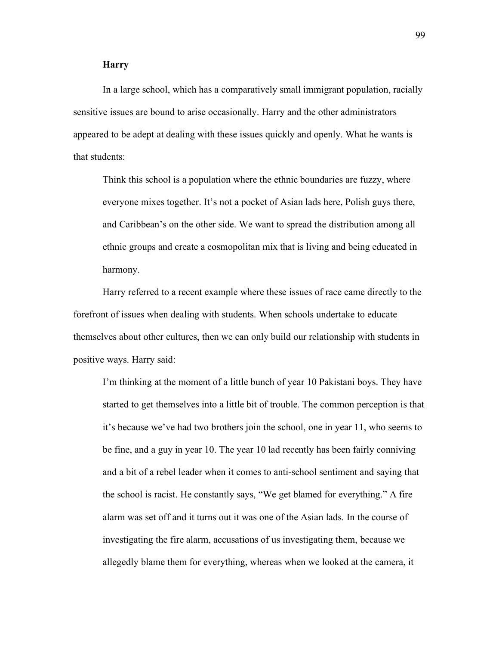## **Harry**

In a large school, which has a comparatively small immigrant population, racially sensitive issues are bound to arise occasionally. Harry and the other administrators appeared to be adept at dealing with these issues quickly and openly. What he wants is that students:

Think this school is a population where the ethnic boundaries are fuzzy, where everyone mixes together. It's not a pocket of Asian lads here, Polish guys there, and Caribbean's on the other side. We want to spread the distribution among all ethnic groups and create a cosmopolitan mix that is living and being educated in harmony.

Harry referred to a recent example where these issues of race came directly to the forefront of issues when dealing with students. When schools undertake to educate themselves about other cultures, then we can only build our relationship with students in positive ways. Harry said:

I'm thinking at the moment of a little bunch of year 10 Pakistani boys. They have started to get themselves into a little bit of trouble. The common perception is that it's because we've had two brothers join the school, one in year 11, who seems to be fine, and a guy in year 10. The year 10 lad recently has been fairly conniving and a bit of a rebel leader when it comes to anti-school sentiment and saying that the school is racist. He constantly says, "We get blamed for everything." A fire alarm was set off and it turns out it was one of the Asian lads. In the course of investigating the fire alarm, accusations of us investigating them, because we allegedly blame them for everything, whereas when we looked at the camera, it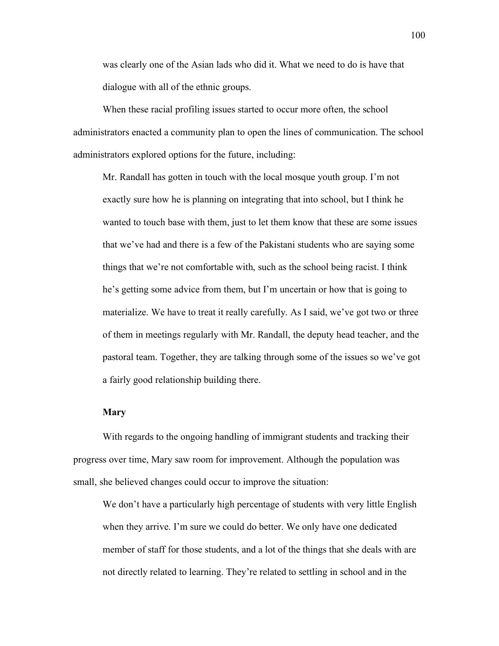was clearly one of the Asian lads who did it. What we need to do is have that dialogue with all of the ethnic groups.

When these racial profiling issues started to occur more often, the school administrators enacted a community plan to open the lines of communication. The school administrators explored options for the future, including:

Mr. Randall has gotten in touch with the local mosque youth group. I'm not exactly sure how he is planning on integrating that into school, but I think he wanted to touch base with them, just to let them know that these are some issues that we've had and there is a few of the Pakistani students who are saying some things that we're not comfortable with, such as the school being racist. I think he's getting some advice from them, but I'm uncertain or how that is going to materialize. We have to treat it really carefully. As I said, we've got two or three of them in meetings regularly with Mr. Randall, the deputy head teacher, and the pastoral team. Together, they are talking through some of the issues so we've got a fairly good relationship building there.

#### **Mary**

With regards to the ongoing handling of immigrant students and tracking their progress over time, Mary saw room for improvement. Although the population was small, she believed changes could occur to improve the situation:

We don't have a particularly high percentage of students with very little English when they arrive. I'm sure we could do better. We only have one dedicated member of staff for those students, and a lot of the things that she deals with are not directly related to learning. They're related to settling in school and in the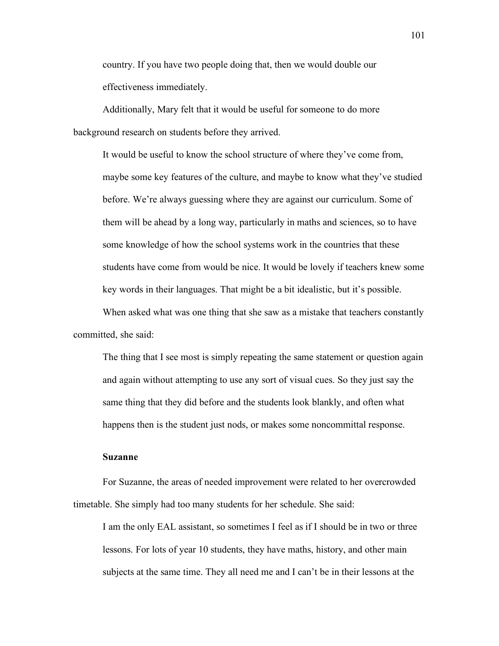country. If you have two people doing that, then we would double our effectiveness immediately.

Additionally, Mary felt that it would be useful for someone to do more background research on students before they arrived.

It would be useful to know the school structure of where they've come from, maybe some key features of the culture, and maybe to know what they've studied before. We're always guessing where they are against our curriculum. Some of them will be ahead by a long way, particularly in maths and sciences, so to have some knowledge of how the school systems work in the countries that these students have come from would be nice. It would be lovely if teachers knew some key words in their languages. That might be a bit idealistic, but it's possible.

When asked what was one thing that she saw as a mistake that teachers constantly committed, she said:

The thing that I see most is simply repeating the same statement or question again and again without attempting to use any sort of visual cues. So they just say the same thing that they did before and the students look blankly, and often what happens then is the student just nods, or makes some noncommittal response.

### **Suzanne**

For Suzanne, the areas of needed improvement were related to her overcrowded timetable. She simply had too many students for her schedule. She said:

I am the only EAL assistant, so sometimes I feel as if I should be in two or three lessons. For lots of year 10 students, they have maths, history, and other main subjects at the same time. They all need me and I can't be in their lessons at the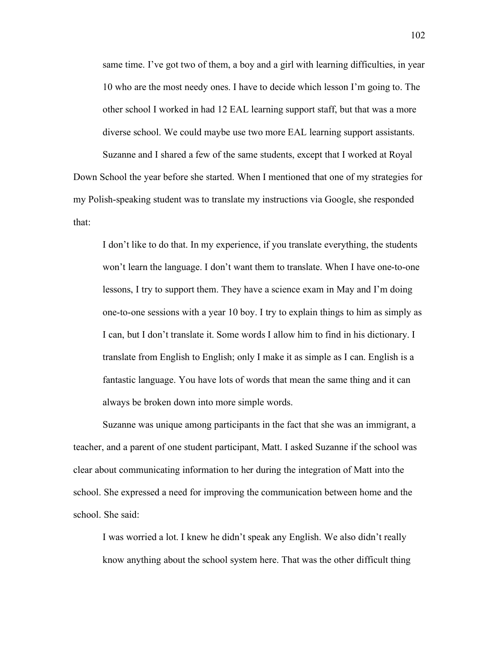same time. I've got two of them, a boy and a girl with learning difficulties, in year 10 who are the most needy ones. I have to decide which lesson I'm going to. The other school I worked in had 12 EAL learning support staff, but that was a more diverse school. We could maybe use two more EAL learning support assistants. Suzanne and I shared a few of the same students, except that I worked at Royal Down School the year before she started. When I mentioned that one of my strategies for my Polish-speaking student was to translate my instructions via Google, she responded that:

I don't like to do that. In my experience, if you translate everything, the students won't learn the language. I don't want them to translate. When I have one-to-one lessons, I try to support them. They have a science exam in May and I'm doing one-to-one sessions with a year 10 boy. I try to explain things to him as simply as I can, but I don't translate it. Some words I allow him to find in his dictionary. I translate from English to English; only I make it as simple as I can. English is a fantastic language. You have lots of words that mean the same thing and it can always be broken down into more simple words.

Suzanne was unique among participants in the fact that she was an immigrant, a teacher, and a parent of one student participant, Matt. I asked Suzanne if the school was clear about communicating information to her during the integration of Matt into the school. She expressed a need for improving the communication between home and the school. She said:

I was worried a lot. I knew he didn't speak any English. We also didn't really know anything about the school system here. That was the other difficult thing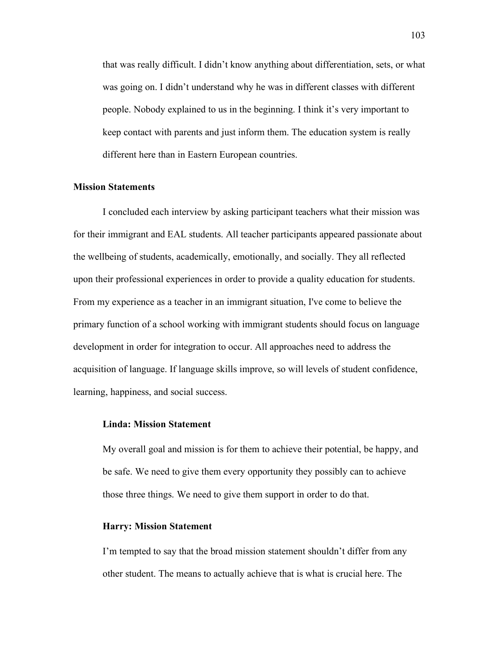that was really difficult. I didn't know anything about differentiation, sets, or what was going on. I didn't understand why he was in different classes with different people. Nobody explained to us in the beginning. I think it's very important to keep contact with parents and just inform them. The education system is really different here than in Eastern European countries.

#### **Mission Statements**

I concluded each interview by asking participant teachers what their mission was for their immigrant and EAL students. All teacher participants appeared passionate about the wellbeing of students, academically, emotionally, and socially. They all reflected upon their professional experiences in order to provide a quality education for students. From my experience as a teacher in an immigrant situation, I've come to believe the primary function of a school working with immigrant students should focus on language development in order for integration to occur. All approaches need to address the acquisition of language. If language skills improve, so will levels of student confidence, learning, happiness, and social success.

#### **Linda: Mission Statement**

My overall goal and mission is for them to achieve their potential, be happy, and be safe. We need to give them every opportunity they possibly can to achieve those three things. We need to give them support in order to do that.

### **Harry: Mission Statement**

I'm tempted to say that the broad mission statement shouldn't differ from any other student. The means to actually achieve that is what is crucial here. The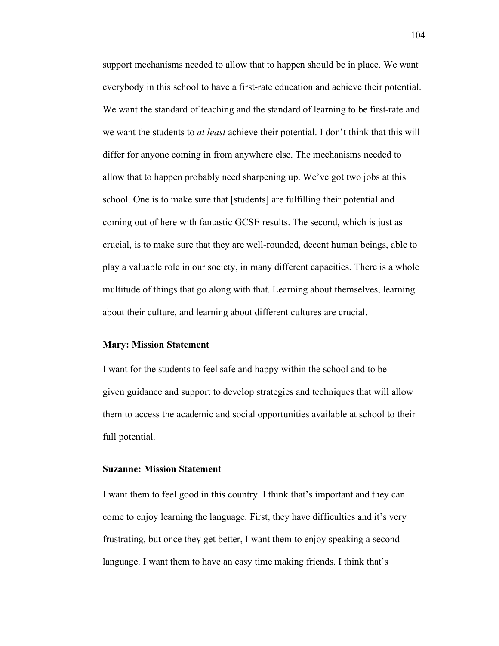support mechanisms needed to allow that to happen should be in place. We want everybody in this school to have a first-rate education and achieve their potential. We want the standard of teaching and the standard of learning to be first-rate and we want the students to *at least* achieve their potential. I don't think that this will differ for anyone coming in from anywhere else. The mechanisms needed to allow that to happen probably need sharpening up. We've got two jobs at this school. One is to make sure that [students] are fulfilling their potential and coming out of here with fantastic GCSE results. The second, which is just as crucial, is to make sure that they are well-rounded, decent human beings, able to play a valuable role in our society, in many different capacities. There is a whole multitude of things that go along with that. Learning about themselves, learning about their culture, and learning about different cultures are crucial.

#### **Mary: Mission Statement**

I want for the students to feel safe and happy within the school and to be given guidance and support to develop strategies and techniques that will allow them to access the academic and social opportunities available at school to their full potential.

### **Suzanne: Mission Statement**

I want them to feel good in this country. I think that's important and they can come to enjoy learning the language. First, they have difficulties and it's very frustrating, but once they get better, I want them to enjoy speaking a second language. I want them to have an easy time making friends. I think that's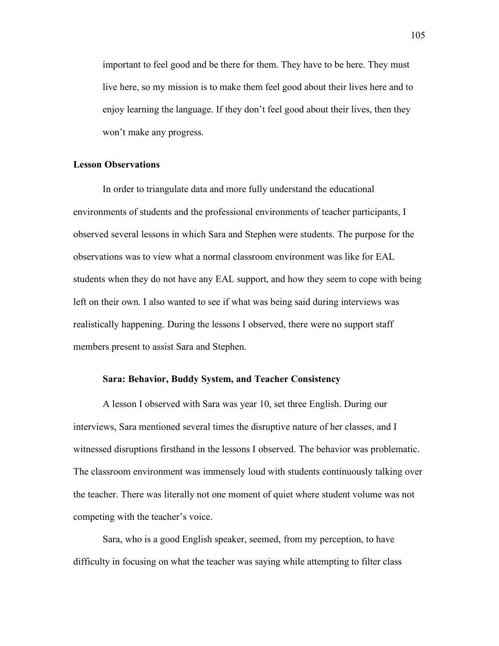important to feel good and be there for them. They have to be here. They must live here, so my mission is to make them feel good about their lives here and to enjoy learning the language. If they don't feel good about their lives, then they won't make any progress.

#### **Lesson Observations**

In order to triangulate data and more fully understand the educational environments of students and the professional environments of teacher participants, I observed several lessons in which Sara and Stephen were students. The purpose for the observations was to view what a normal classroom environment was like for EAL students when they do not have any EAL support, and how they seem to cope with being left on their own. I also wanted to see if what was being said during interviews was realistically happening. During the lessons I observed, there were no support staff members present to assist Sara and Stephen.

### **Sara: Behavior, Buddy System, and Teacher Consistency**

A lesson I observed with Sara was year 10, set three English. During our interviews, Sara mentioned several times the disruptive nature of her classes, and I witnessed disruptions firsthand in the lessons I observed. The behavior was problematic. The classroom environment was immensely loud with students continuously talking over the teacher. There was literally not one moment of quiet where student volume was not competing with the teacher's voice.

Sara, who is a good English speaker, seemed, from my perception, to have difficulty in focusing on what the teacher was saying while attempting to filter class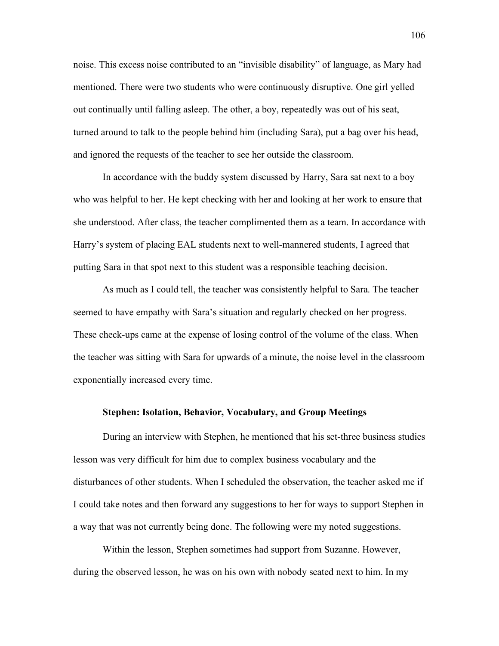noise. This excess noise contributed to an "invisible disability" of language, as Mary had mentioned. There were two students who were continuously disruptive. One girl yelled out continually until falling asleep. The other, a boy, repeatedly was out of his seat, turned around to talk to the people behind him (including Sara), put a bag over his head, and ignored the requests of the teacher to see her outside the classroom.

In accordance with the buddy system discussed by Harry, Sara sat next to a boy who was helpful to her. He kept checking with her and looking at her work to ensure that she understood. After class, the teacher complimented them as a team. In accordance with Harry's system of placing EAL students next to well-mannered students, I agreed that putting Sara in that spot next to this student was a responsible teaching decision.

As much as I could tell, the teacher was consistently helpful to Sara. The teacher seemed to have empathy with Sara's situation and regularly checked on her progress. These check-ups came at the expense of losing control of the volume of the class. When the teacher was sitting with Sara for upwards of a minute, the noise level in the classroom exponentially increased every time.

#### **Stephen: Isolation, Behavior, Vocabulary, and Group Meetings**

During an interview with Stephen, he mentioned that his set-three business studies lesson was very difficult for him due to complex business vocabulary and the disturbances of other students. When I scheduled the observation, the teacher asked me if I could take notes and then forward any suggestions to her for ways to support Stephen in a way that was not currently being done. The following were my noted suggestions.

Within the lesson, Stephen sometimes had support from Suzanne. However, during the observed lesson, he was on his own with nobody seated next to him. In my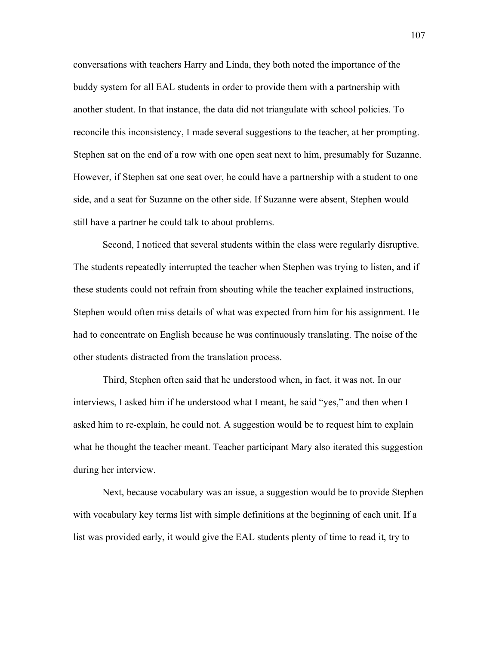conversations with teachers Harry and Linda, they both noted the importance of the buddy system for all EAL students in order to provide them with a partnership with another student. In that instance, the data did not triangulate with school policies. To reconcile this inconsistency, I made several suggestions to the teacher, at her prompting. Stephen sat on the end of a row with one open seat next to him, presumably for Suzanne. However, if Stephen sat one seat over, he could have a partnership with a student to one side, and a seat for Suzanne on the other side. If Suzanne were absent, Stephen would still have a partner he could talk to about problems.

Second, I noticed that several students within the class were regularly disruptive. The students repeatedly interrupted the teacher when Stephen was trying to listen, and if these students could not refrain from shouting while the teacher explained instructions, Stephen would often miss details of what was expected from him for his assignment. He had to concentrate on English because he was continuously translating. The noise of the other students distracted from the translation process.

Third, Stephen often said that he understood when, in fact, it was not. In our interviews, I asked him if he understood what I meant, he said "yes," and then when I asked him to re-explain, he could not. A suggestion would be to request him to explain what he thought the teacher meant. Teacher participant Mary also iterated this suggestion during her interview.

Next, because vocabulary was an issue, a suggestion would be to provide Stephen with vocabulary key terms list with simple definitions at the beginning of each unit. If a list was provided early, it would give the EAL students plenty of time to read it, try to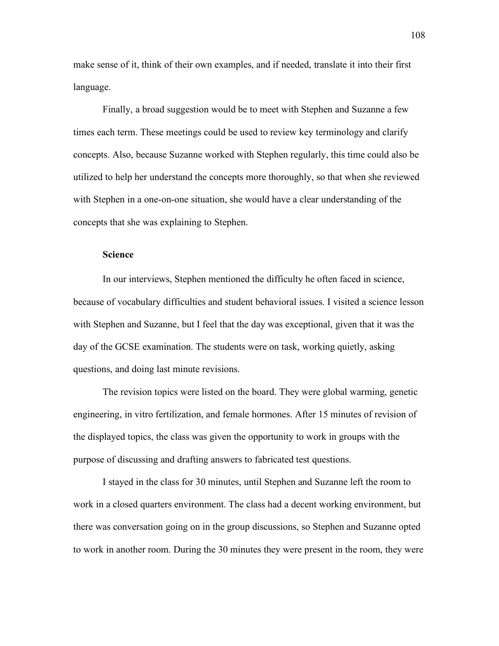make sense of it, think of their own examples, and if needed, translate it into their first language.

Finally, a broad suggestion would be to meet with Stephen and Suzanne a few times each term. These meetings could be used to review key terminology and clarify concepts. Also, because Suzanne worked with Stephen regularly, this time could also be utilized to help her understand the concepts more thoroughly, so that when she reviewed with Stephen in a one-on-one situation, she would have a clear understanding of the concepts that she was explaining to Stephen.

#### **Science**

In our interviews, Stephen mentioned the difficulty he often faced in science, because of vocabulary difficulties and student behavioral issues. I visited a science lesson with Stephen and Suzanne, but I feel that the day was exceptional, given that it was the day of the GCSE examination. The students were on task, working quietly, asking questions, and doing last minute revisions.

The revision topics were listed on the board. They were global warming, genetic engineering, in vitro fertilization, and female hormones. After 15 minutes of revision of the displayed topics, the class was given the opportunity to work in groups with the purpose of discussing and drafting answers to fabricated test questions.

I stayed in the class for 30 minutes, until Stephen and Suzanne left the room to work in a closed quarters environment. The class had a decent working environment, but there was conversation going on in the group discussions, so Stephen and Suzanne opted to work in another room. During the 30 minutes they were present in the room, they were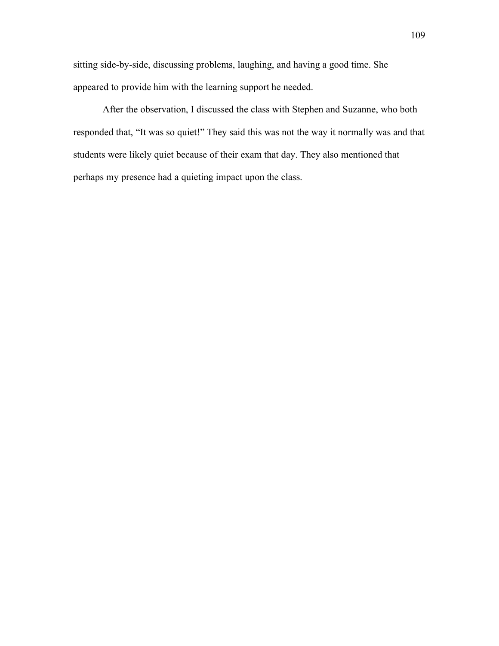sitting side-by-side, discussing problems, laughing, and having a good time. She appeared to provide him with the learning support he needed.

After the observation, I discussed the class with Stephen and Suzanne, who both responded that, "It was so quiet!" They said this was not the way it normally was and that students were likely quiet because of their exam that day. They also mentioned that perhaps my presence had a quieting impact upon the class.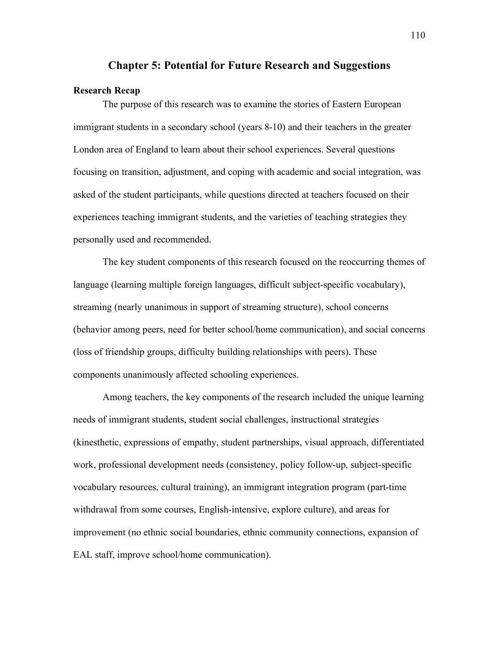#### **Chapter 5: Potential for Future Research and Suggestions**

## **Research Recap**

The purpose of this research was to examine the stories of Eastern European immigrant students in a secondary school (years 8-10) and their teachers in the greater London area of England to learn about their school experiences. Several questions focusing on transition, adjustment, and coping with academic and social integration, was asked of the student participants, while questions directed at teachers focused on their experiences teaching immigrant students, and the varieties of teaching strategies they personally used and recommended.

The key student components of this research focused on the reoccurring themes of language (learning multiple foreign languages, difficult subject-specific vocabulary), streaming (nearly unanimous in support of streaming structure), school concerns (behavior among peers, need for better school/home communication), and social concerns (loss of friendship groups, difficulty building relationships with peers). These components unanimously affected schooling experiences.

Among teachers, the key components of the research included the unique learning needs of immigrant students, student social challenges, instructional strategies (kinesthetic, expressions of empathy, student partnerships, visual approach, differentiated work, professional development needs (consistency, policy follow-up, subject-specific vocabulary resources, cultural training), an immigrant integration program (part-time withdrawal from some courses, English-intensive, explore culture), and areas for improvement (no ethnic social boundaries, ethnic community connections, expansion of EAL staff, improve school/home communication).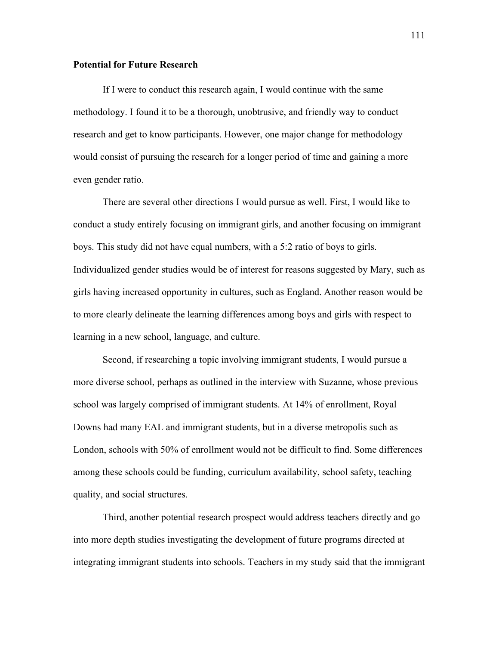### **Potential for Future Research**

If I were to conduct this research again, I would continue with the same methodology. I found it to be a thorough, unobtrusive, and friendly way to conduct research and get to know participants. However, one major change for methodology would consist of pursuing the research for a longer period of time and gaining a more even gender ratio.

There are several other directions I would pursue as well. First, I would like to conduct a study entirely focusing on immigrant girls, and another focusing on immigrant boys. This study did not have equal numbers, with a 5:2 ratio of boys to girls. Individualized gender studies would be of interest for reasons suggested by Mary, such as girls having increased opportunity in cultures, such as England. Another reason would be to more clearly delineate the learning differences among boys and girls with respect to learning in a new school, language, and culture.

Second, if researching a topic involving immigrant students, I would pursue a more diverse school, perhaps as outlined in the interview with Suzanne, whose previous school was largely comprised of immigrant students. At 14% of enrollment, Royal Downs had many EAL and immigrant students, but in a diverse metropolis such as London, schools with 50% of enrollment would not be difficult to find. Some differences among these schools could be funding, curriculum availability, school safety, teaching quality, and social structures.

Third, another potential research prospect would address teachers directly and go into more depth studies investigating the development of future programs directed at integrating immigrant students into schools. Teachers in my study said that the immigrant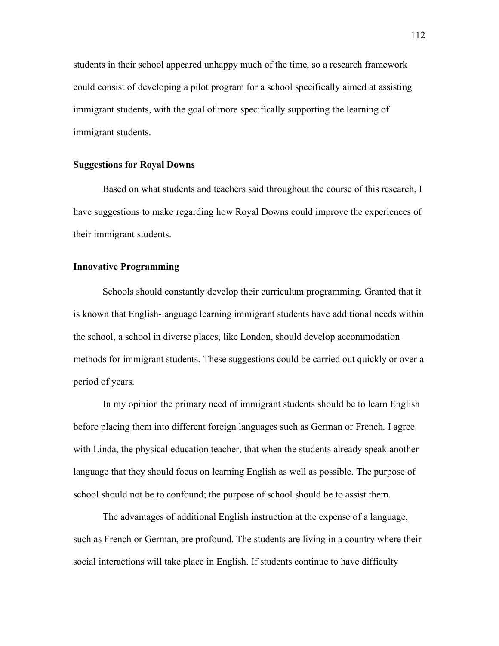students in their school appeared unhappy much of the time, so a research framework could consist of developing a pilot program for a school specifically aimed at assisting immigrant students, with the goal of more specifically supporting the learning of immigrant students.

### **Suggestions for Royal Downs**

Based on what students and teachers said throughout the course of this research, I have suggestions to make regarding how Royal Downs could improve the experiences of their immigrant students.

## **Innovative Programming**

Schools should constantly develop their curriculum programming. Granted that it is known that English-language learning immigrant students have additional needs within the school, a school in diverse places, like London, should develop accommodation methods for immigrant students. These suggestions could be carried out quickly or over a period of years.

In my opinion the primary need of immigrant students should be to learn English before placing them into different foreign languages such as German or French. I agree with Linda, the physical education teacher, that when the students already speak another language that they should focus on learning English as well as possible. The purpose of school should not be to confound; the purpose of school should be to assist them.

The advantages of additional English instruction at the expense of a language, such as French or German, are profound. The students are living in a country where their social interactions will take place in English. If students continue to have difficulty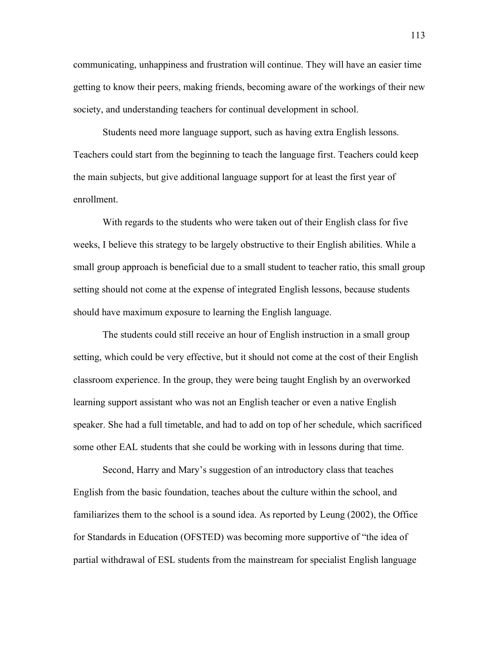communicating, unhappiness and frustration will continue. They will have an easier time getting to know their peers, making friends, becoming aware of the workings of their new society, and understanding teachers for continual development in school.

Students need more language support, such as having extra English lessons. Teachers could start from the beginning to teach the language first. Teachers could keep the main subjects, but give additional language support for at least the first year of enrollment.

With regards to the students who were taken out of their English class for five weeks, I believe this strategy to be largely obstructive to their English abilities. While a small group approach is beneficial due to a small student to teacher ratio, this small group setting should not come at the expense of integrated English lessons, because students should have maximum exposure to learning the English language.

The students could still receive an hour of English instruction in a small group setting, which could be very effective, but it should not come at the cost of their English classroom experience. In the group, they were being taught English by an overworked learning support assistant who was not an English teacher or even a native English speaker. She had a full timetable, and had to add on top of her schedule, which sacrificed some other EAL students that she could be working with in lessons during that time.

Second, Harry and Mary's suggestion of an introductory class that teaches English from the basic foundation, teaches about the culture within the school, and familiarizes them to the school is a sound idea. As reported by Leung (2002), the Office for Standards in Education (OFSTED) was becoming more supportive of "the idea of partial withdrawal of ESL students from the mainstream for specialist English language

113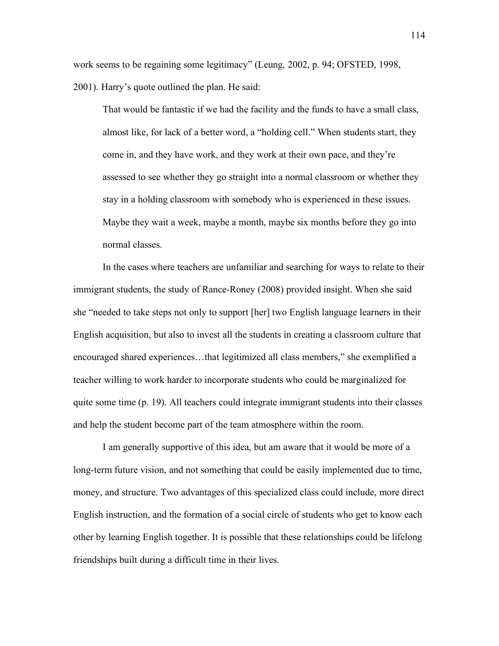work seems to be regaining some legitimacy" (Leung, 2002, p. 94; OFSTED, 1998, 2001). Harry's quote outlined the plan. He said:

That would be fantastic if we had the facility and the funds to have a small class, almost like, for lack of a better word, a "holding cell." When students start, they come in, and they have work, and they work at their own pace, and they're assessed to see whether they go straight into a normal classroom or whether they stay in a holding classroom with somebody who is experienced in these issues. Maybe they wait a week, maybe a month, maybe six months before they go into normal classes.

In the cases where teachers are unfamiliar and searching for ways to relate to their immigrant students, the study of Rance-Roney (2008) provided insight. When she said she "needed to take steps not only to support [her] two English language learners in their English acquisition, but also to invest all the students in creating a classroom culture that encouraged shared experiences…that legitimized all class members," she exemplified a teacher willing to work harder to incorporate students who could be marginalized for quite some time (p. 19). All teachers could integrate immigrant students into their classes and help the student become part of the team atmosphere within the room.

I am generally supportive of this idea, but am aware that it would be more of a long-term future vision, and not something that could be easily implemented due to time, money, and structure. Two advantages of this specialized class could include, more direct English instruction, and the formation of a social circle of students who get to know each other by learning English together. It is possible that these relationships could be lifelong friendships built during a difficult time in their lives.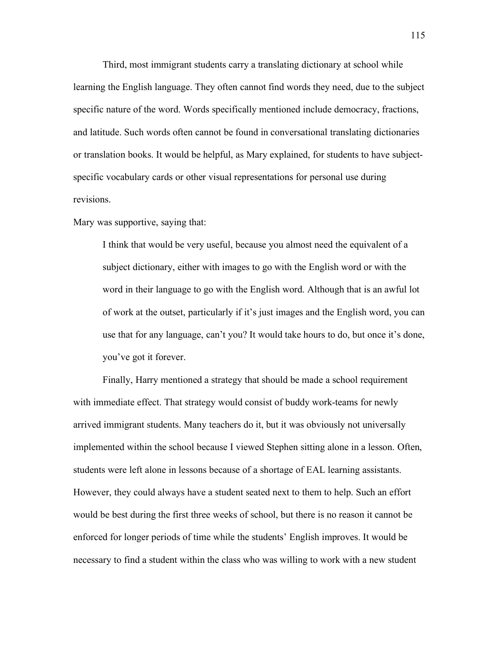Third, most immigrant students carry a translating dictionary at school while learning the English language. They often cannot find words they need, due to the subject specific nature of the word. Words specifically mentioned include democracy, fractions, and latitude. Such words often cannot be found in conversational translating dictionaries or translation books. It would be helpful, as Mary explained, for students to have subjectspecific vocabulary cards or other visual representations for personal use during revisions.

Mary was supportive, saying that:

I think that would be very useful, because you almost need the equivalent of a subject dictionary, either with images to go with the English word or with the word in their language to go with the English word. Although that is an awful lot of work at the outset, particularly if it's just images and the English word, you can use that for any language, can't you? It would take hours to do, but once it's done, you've got it forever.

Finally, Harry mentioned a strategy that should be made a school requirement with immediate effect. That strategy would consist of buddy work-teams for newly arrived immigrant students. Many teachers do it, but it was obviously not universally implemented within the school because I viewed Stephen sitting alone in a lesson. Often, students were left alone in lessons because of a shortage of EAL learning assistants. However, they could always have a student seated next to them to help. Such an effort would be best during the first three weeks of school, but there is no reason it cannot be enforced for longer periods of time while the students' English improves. It would be necessary to find a student within the class who was willing to work with a new student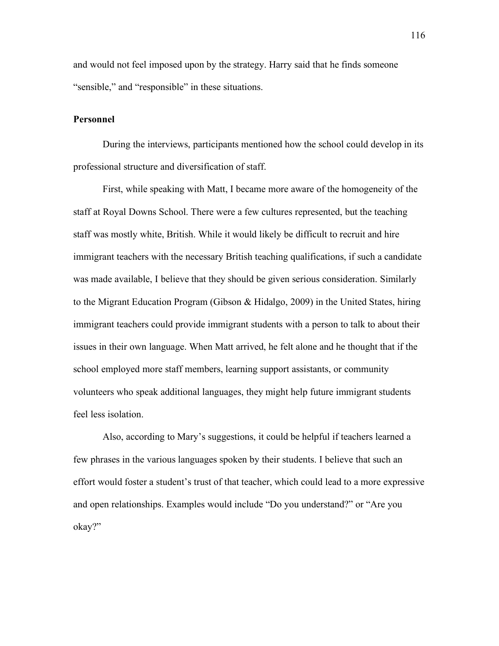and would not feel imposed upon by the strategy. Harry said that he finds someone "sensible," and "responsible" in these situations.

### **Personnel**

During the interviews, participants mentioned how the school could develop in its professional structure and diversification of staff.

First, while speaking with Matt, I became more aware of the homogeneity of the staff at Royal Downs School. There were a few cultures represented, but the teaching staff was mostly white, British. While it would likely be difficult to recruit and hire immigrant teachers with the necessary British teaching qualifications, if such a candidate was made available, I believe that they should be given serious consideration. Similarly to the Migrant Education Program (Gibson & Hidalgo, 2009) in the United States, hiring immigrant teachers could provide immigrant students with a person to talk to about their issues in their own language. When Matt arrived, he felt alone and he thought that if the school employed more staff members, learning support assistants, or community volunteers who speak additional languages, they might help future immigrant students feel less isolation.

Also, according to Mary's suggestions, it could be helpful if teachers learned a few phrases in the various languages spoken by their students. I believe that such an effort would foster a student's trust of that teacher, which could lead to a more expressive and open relationships. Examples would include "Do you understand?" or "Are you okay?"

116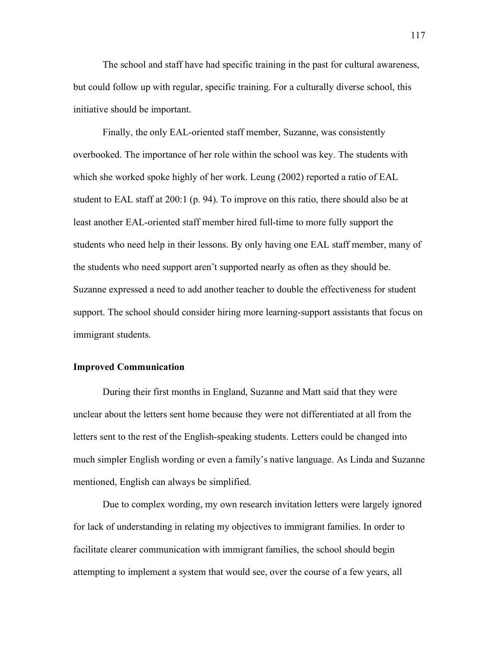The school and staff have had specific training in the past for cultural awareness, but could follow up with regular, specific training. For a culturally diverse school, this initiative should be important.

Finally, the only EAL-oriented staff member, Suzanne, was consistently overbooked. The importance of her role within the school was key. The students with which she worked spoke highly of her work. Leung (2002) reported a ratio of EAL student to EAL staff at 200:1 (p. 94). To improve on this ratio, there should also be at least another EAL-oriented staff member hired full-time to more fully support the students who need help in their lessons. By only having one EAL staff member, many of the students who need support aren't supported nearly as often as they should be. Suzanne expressed a need to add another teacher to double the effectiveness for student support. The school should consider hiring more learning-support assistants that focus on immigrant students.

### **Improved Communication**

During their first months in England, Suzanne and Matt said that they were unclear about the letters sent home because they were not differentiated at all from the letters sent to the rest of the English-speaking students. Letters could be changed into much simpler English wording or even a family's native language. As Linda and Suzanne mentioned, English can always be simplified.

Due to complex wording, my own research invitation letters were largely ignored for lack of understanding in relating my objectives to immigrant families. In order to facilitate clearer communication with immigrant families, the school should begin attempting to implement a system that would see, over the course of a few years, all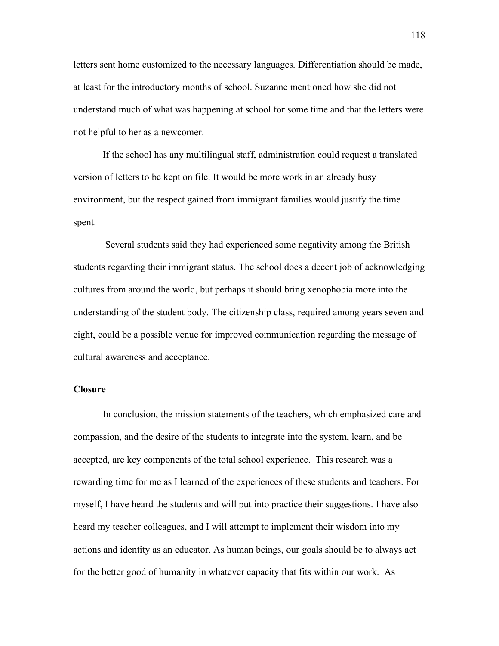letters sent home customized to the necessary languages. Differentiation should be made, at least for the introductory months of school. Suzanne mentioned how she did not understand much of what was happening at school for some time and that the letters were not helpful to her as a newcomer.

If the school has any multilingual staff, administration could request a translated version of letters to be kept on file. It would be more work in an already busy environment, but the respect gained from immigrant families would justify the time spent.

 Several students said they had experienced some negativity among the British students regarding their immigrant status. The school does a decent job of acknowledging cultures from around the world, but perhaps it should bring xenophobia more into the understanding of the student body. The citizenship class, required among years seven and eight, could be a possible venue for improved communication regarding the message of cultural awareness and acceptance.

### **Closure**

In conclusion, the mission statements of the teachers, which emphasized care and compassion, and the desire of the students to integrate into the system, learn, and be accepted, are key components of the total school experience. This research was a rewarding time for me as I learned of the experiences of these students and teachers. For myself, I have heard the students and will put into practice their suggestions. I have also heard my teacher colleagues, and I will attempt to implement their wisdom into my actions and identity as an educator. As human beings, our goals should be to always act for the better good of humanity in whatever capacity that fits within our work. As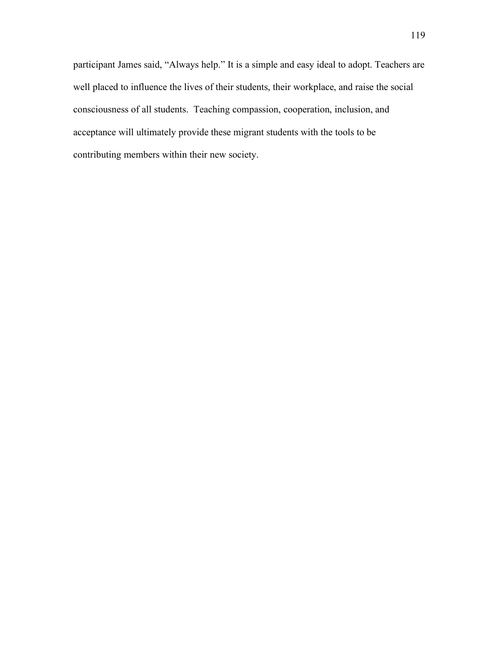participant James said, "Always help." It is a simple and easy ideal to adopt. Teachers are well placed to influence the lives of their students, their workplace, and raise the social consciousness of all students. Teaching compassion, cooperation, inclusion, and acceptance will ultimately provide these migrant students with the tools to be contributing members within their new society.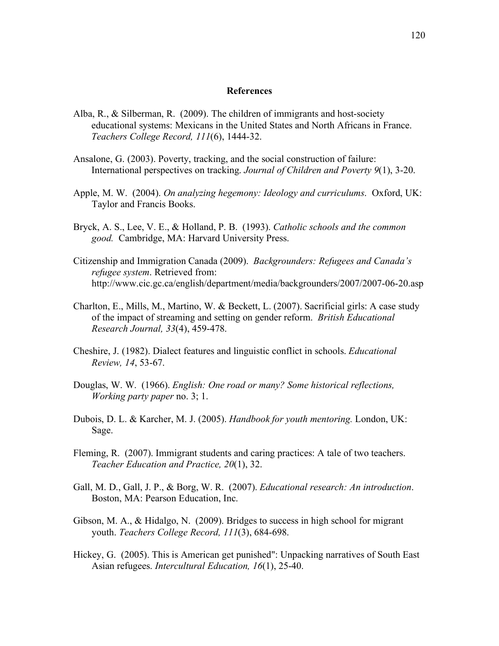#### **References**

- Alba, R., & Silberman, R. (2009). The children of immigrants and host-society educational systems: Mexicans in the United States and North Africans in France. *Teachers College Record, 111*(6), 1444-32.
- Ansalone, G. (2003). Poverty, tracking, and the social construction of failure: International perspectives on tracking. *Journal of Children and Poverty 9*(1), 3-20.
- Apple, M. W. (2004). *On analyzing hegemony: Ideology and curriculums*. Oxford, UK: Taylor and Francis Books.
- Bryck, A. S., Lee, V. E., & Holland, P. B. (1993). *Catholic schools and the common good.* Cambridge, MA: Harvard University Press.
- Citizenship and Immigration Canada (2009). *Backgrounders: Refugees and Canada's refugee system*. Retrieved from: http://www.cic.gc.ca/english/department/media/backgrounders/2007/2007-06-20.asp
- Charlton, E., Mills, M., Martino, W. & Beckett, L. (2007). Sacrificial girls: A case study of the impact of streaming and setting on gender reform. *British Educational Research Journal, 33*(4), 459-478.
- Cheshire, J. (1982). Dialect features and linguistic conflict in schools. *Educational Review, 14*, 53-67.
- Douglas, W. W. (1966). *English: One road or many? Some historical reflections, Working party paper* no. 3; 1.
- Dubois, D. L. & Karcher, M. J. (2005). *Handbook for youth mentoring.* London, UK: Sage.
- Fleming, R. (2007). Immigrant students and caring practices: A tale of two teachers. *Teacher Education and Practice, 20*(1), 32.
- Gall, M. D., Gall, J. P., & Borg, W. R. (2007). *Educational research: An introduction*. Boston, MA: Pearson Education, Inc.
- Gibson, M. A., & Hidalgo, N. (2009). Bridges to success in high school for migrant youth. *Teachers College Record, 111*(3), 684-698.
- Hickey, G. (2005). This is American get punished": Unpacking narratives of South East Asian refugees. *Intercultural Education, 16*(1), 25-40.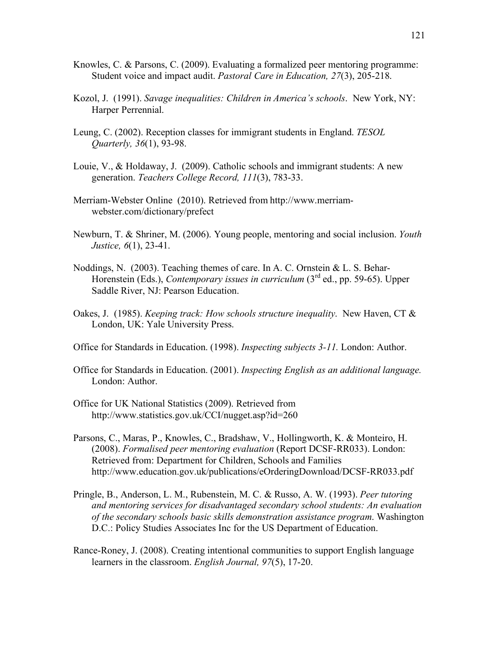- Knowles, C. & Parsons, C. (2009). Evaluating a formalized peer mentoring programme: Student voice and impact audit. *Pastoral Care in Education, 27*(3), 205-218.
- Kozol, J. (1991). *Savage inequalities: Children in America's schools*. New York, NY: Harper Perrennial.
- Leung, C. (2002). Reception classes for immigrant students in England. *TESOL Quarterly, 36*(1), 93-98.
- Louie, V., & Holdaway, J. (2009). Catholic schools and immigrant students: A new generation. *Teachers College Record, 111*(3), 783-33.
- Merriam-Webster Online (2010). Retrieved from http://www.merriamwebster.com/dictionary/prefect
- Newburn, T. & Shriner, M. (2006). Young people, mentoring and social inclusion. *Youth Justice, 6*(1), 23-41.
- Noddings, N. (2003). Teaching themes of care. In A. C. Ornstein & L. S. Behar-Horenstein (Eds.), *Contemporary issues in curriculum* (3<sup>rd</sup> ed., pp. 59-65). Upper Saddle River, NJ: Pearson Education.
- Oakes, J. (1985). *Keeping track: How schools structure inequality*. New Haven, CT & London, UK: Yale University Press.
- Office for Standards in Education. (1998). *Inspecting subjects 3-11.* London: Author.
- Office for Standards in Education. (2001). *Inspecting English as an additional language.*  London: Author.
- Office for UK National Statistics (2009). Retrieved from http://www.statistics.gov.uk/CCI/nugget.asp?id=260
- Parsons, C., Maras, P., Knowles, C., Bradshaw, V., Hollingworth, K. & Monteiro, H. (2008). *Formalised peer mentoring evaluation* (Report DCSF-RR033). London: Retrieved from: Department for Children, Schools and Families http://www.education.gov.uk/publications/eOrderingDownload/DCSF-RR033.pdf
- Pringle, B., Anderson, L. M., Rubenstein, M. C. & Russo, A. W. (1993). *Peer tutoring and mentoring services for disadvantaged secondary school students: An evaluation of the secondary schools basic skills demonstration assistance program*. Washington D.C.: Policy Studies Associates Inc for the US Department of Education.
- Rance-Roney, J. (2008). Creating intentional communities to support English language learners in the classroom. *English Journal, 97*(5), 17-20.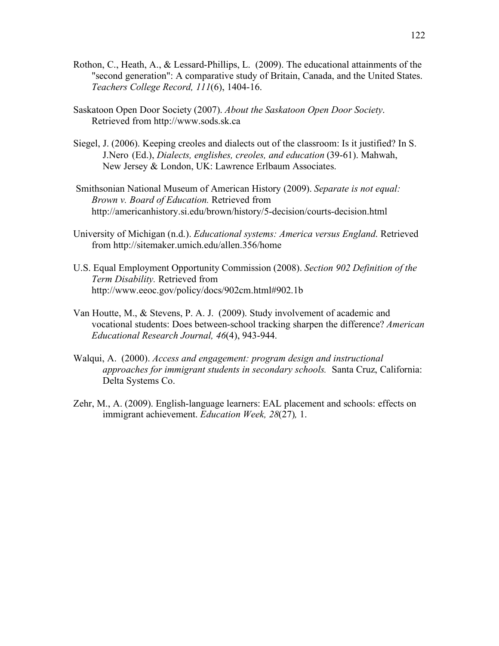- Rothon, C., Heath, A., & Lessard-Phillips, L. (2009). The educational attainments of the "second generation": A comparative study of Britain, Canada, and the United States. *Teachers College Record, 111*(6), 1404-16.
- Saskatoon Open Door Society (2007). *About the Saskatoon Open Door Society*. Retrieved from http://www.sods.sk.ca
- Siegel, J. (2006). Keeping creoles and dialects out of the classroom: Is it justified? In S. J.Nero (Ed.), *Dialects, englishes, creoles, and education* (39-61). Mahwah, New Jersey & London, UK: Lawrence Erlbaum Associates.
- Smithsonian National Museum of American History (2009). *Separate is not equal: Brown v. Board of Education.* Retrieved from http://americanhistory.si.edu/brown/history/5-decision/courts-decision.html
- University of Michigan (n.d.). *Educational systems: America versus England*. Retrieved from http://sitemaker.umich.edu/allen.356/home
- U.S. Equal Employment Opportunity Commission (2008). *Section 902 Definition of the Term Disability.* Retrieved from http://www.eeoc.gov/policy/docs/902cm.html#902.1b
- Van Houtte, M., & Stevens, P. A. J. (2009). Study involvement of academic and vocational students: Does between-school tracking sharpen the difference? *American Educational Research Journal, 46*(4), 943-944.
- Walqui, A. (2000). *Access and engagement: program design and instructional approaches for immigrant students in secondary schools.* Santa Cruz, California: Delta Systems Co.
- Zehr, M., A. (2009). English-language learners: EAL placement and schools: effects on immigrant achievement. *Education Week, 28*(27)*,* 1.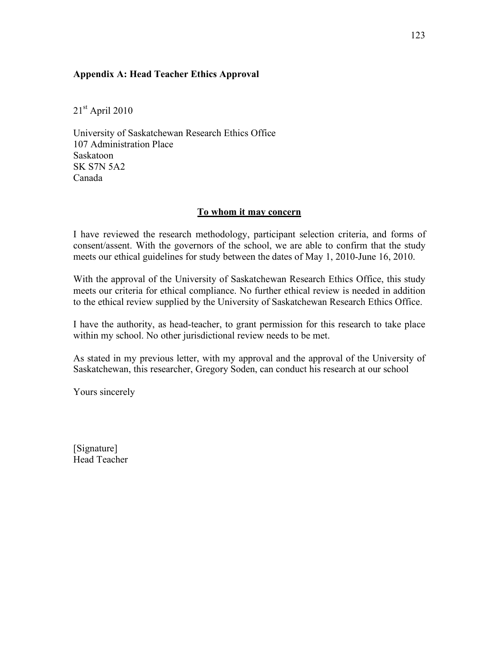# **Appendix A: Head Teacher Ethics Approval**

21st April 2010

University of Saskatchewan Research Ethics Office 107 Administration Place Saskatoon SK S7N 5A2 Canada

## **To whom it may concern**

I have reviewed the research methodology, participant selection criteria, and forms of consent/assent. With the governors of the school, we are able to confirm that the study meets our ethical guidelines for study between the dates of May 1, 2010-June 16, 2010.

With the approval of the University of Saskatchewan Research Ethics Office, this study meets our criteria for ethical compliance. No further ethical review is needed in addition to the ethical review supplied by the University of Saskatchewan Research Ethics Office.

I have the authority, as head-teacher, to grant permission for this research to take place within my school. No other jurisdictional review needs to be met.

As stated in my previous letter, with my approval and the approval of the University of Saskatchewan, this researcher, Gregory Soden, can conduct his research at our school

Yours sincerely

[Signature] Head Teacher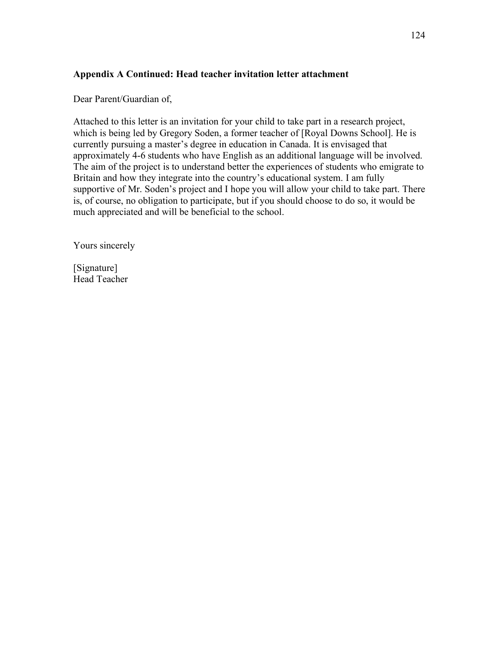# **Appendix A Continued: Head teacher invitation letter attachment**

Dear Parent/Guardian of,

Attached to this letter is an invitation for your child to take part in a research project, which is being led by Gregory Soden, a former teacher of [Royal Downs School]. He is currently pursuing a master's degree in education in Canada. It is envisaged that approximately 4-6 students who have English as an additional language will be involved. The aim of the project is to understand better the experiences of students who emigrate to Britain and how they integrate into the country's educational system. I am fully supportive of Mr. Soden's project and I hope you will allow your child to take part. There is, of course, no obligation to participate, but if you should choose to do so, it would be much appreciated and will be beneficial to the school.

Yours sincerely

[Signature] Head Teacher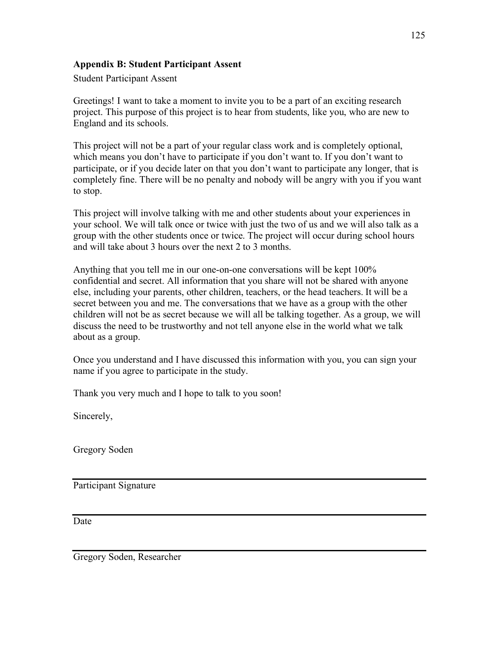# **Appendix B: Student Participant Assent**

Student Participant Assent

Greetings! I want to take a moment to invite you to be a part of an exciting research project. This purpose of this project is to hear from students, like you, who are new to England and its schools.

This project will not be a part of your regular class work and is completely optional, which means you don't have to participate if you don't want to. If you don't want to participate, or if you decide later on that you don't want to participate any longer, that is completely fine. There will be no penalty and nobody will be angry with you if you want to stop.

This project will involve talking with me and other students about your experiences in your school. We will talk once or twice with just the two of us and we will also talk as a group with the other students once or twice. The project will occur during school hours and will take about 3 hours over the next 2 to 3 months.

Anything that you tell me in our one-on-one conversations will be kept 100% confidential and secret. All information that you share will not be shared with anyone else, including your parents, other children, teachers, or the head teachers. It will be a secret between you and me. The conversations that we have as a group with the other children will not be as secret because we will all be talking together. As a group, we will discuss the need to be trustworthy and not tell anyone else in the world what we talk about as a group.

Once you understand and I have discussed this information with you, you can sign your name if you agree to participate in the study.

Thank you very much and I hope to talk to you soon!

Sincerely,

Gregory Soden

Participant Signature

Date

Gregory Soden, Researcher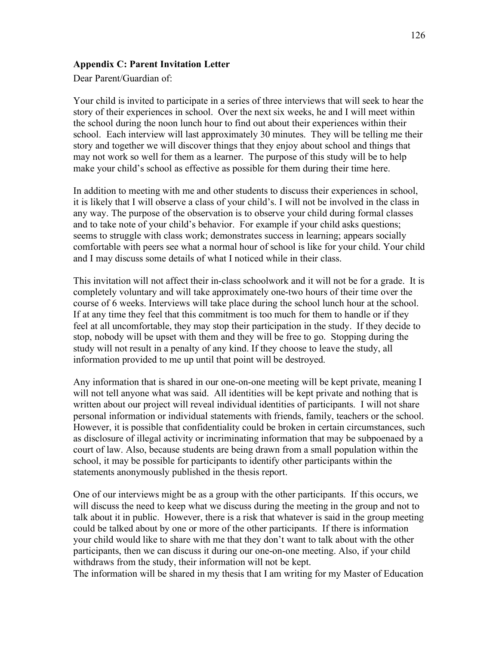## **Appendix C: Parent Invitation Letter**

Dear Parent/Guardian of:

Your child is invited to participate in a series of three interviews that will seek to hear the story of their experiences in school. Over the next six weeks, he and I will meet within the school during the noon lunch hour to find out about their experiences within their school. Each interview will last approximately 30 minutes. They will be telling me their story and together we will discover things that they enjoy about school and things that may not work so well for them as a learner. The purpose of this study will be to help make your child's school as effective as possible for them during their time here.

In addition to meeting with me and other students to discuss their experiences in school, it is likely that I will observe a class of your child's. I will not be involved in the class in any way. The purpose of the observation is to observe your child during formal classes and to take note of your child's behavior. For example if your child asks questions; seems to struggle with class work; demonstrates success in learning; appears socially comfortable with peers see what a normal hour of school is like for your child. Your child and I may discuss some details of what I noticed while in their class.

This invitation will not affect their in-class schoolwork and it will not be for a grade. It is completely voluntary and will take approximately one-two hours of their time over the course of 6 weeks. Interviews will take place during the school lunch hour at the school. If at any time they feel that this commitment is too much for them to handle or if they feel at all uncomfortable, they may stop their participation in the study. If they decide to stop, nobody will be upset with them and they will be free to go. Stopping during the study will not result in a penalty of any kind. If they choose to leave the study, all information provided to me up until that point will be destroyed.

Any information that is shared in our one-on-one meeting will be kept private, meaning I will not tell anyone what was said. All identities will be kept private and nothing that is written about our project will reveal individual identities of participants. I will not share personal information or individual statements with friends, family, teachers or the school. However, it is possible that confidentiality could be broken in certain circumstances, such as disclosure of illegal activity or incriminating information that may be subpoenaed by a court of law. Also, because students are being drawn from a small population within the school, it may be possible for participants to identify other participants within the statements anonymously published in the thesis report.

One of our interviews might be as a group with the other participants. If this occurs, we will discuss the need to keep what we discuss during the meeting in the group and not to talk about it in public. However, there is a risk that whatever is said in the group meeting could be talked about by one or more of the other participants. If there is information your child would like to share with me that they don't want to talk about with the other participants, then we can discuss it during our one-on-one meeting. Also, if your child withdraws from the study, their information will not be kept.

The information will be shared in my thesis that I am writing for my Master of Education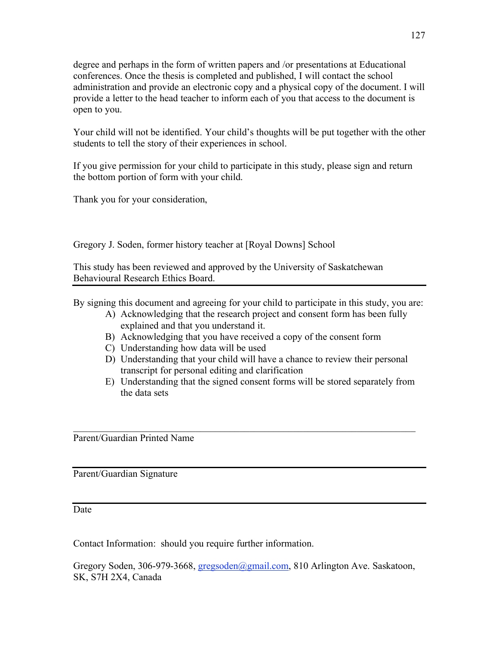degree and perhaps in the form of written papers and /or presentations at Educational conferences. Once the thesis is completed and published, I will contact the school administration and provide an electronic copy and a physical copy of the document. I will provide a letter to the head teacher to inform each of you that access to the document is open to you.

Your child will not be identified. Your child's thoughts will be put together with the other students to tell the story of their experiences in school.

If you give permission for your child to participate in this study, please sign and return the bottom portion of form with your child.

Thank you for your consideration,

Gregory J. Soden, former history teacher at [Royal Downs] School

This study has been reviewed and approved by the University of Saskatchewan Behavioural Research Ethics Board.

By signing this document and agreeing for your child to participate in this study, you are:

- A) Acknowledging that the research project and consent form has been fully explained and that you understand it.
- B) Acknowledging that you have received a copy of the consent form

 $\mathcal{L}_\text{max}$  and  $\mathcal{L}_\text{max}$  and  $\mathcal{L}_\text{max}$  and  $\mathcal{L}_\text{max}$  and  $\mathcal{L}_\text{max}$  and  $\mathcal{L}_\text{max}$ 

- C) Understanding how data will be used
- D) Understanding that your child will have a chance to review their personal transcript for personal editing and clarification
- E) Understanding that the signed consent forms will be stored separately from the data sets

Parent/Guardian Printed Name

Parent/Guardian Signature

Date

Contact Information: should you require further information.

Gregory Soden, 306-979-3668, gregsoden@gmail.com, 810 Arlington Ave. Saskatoon, SK, S7H 2X4, Canada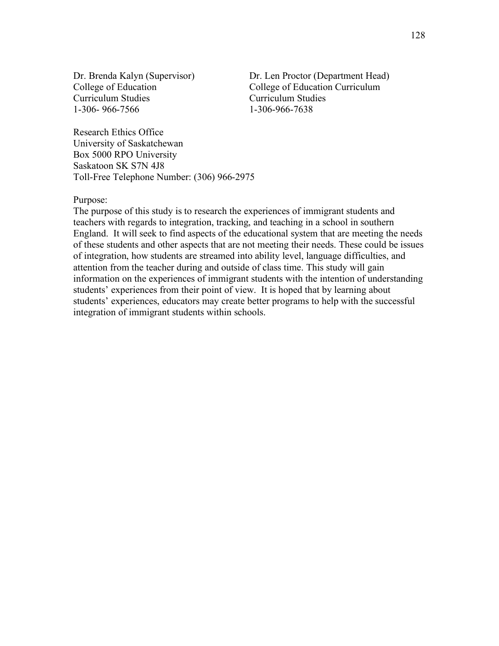Curriculum Studies Curriculum Studies 1-306- 966-7566 1-306-966-7638

Dr. Brenda Kalyn (Supervisor) Dr. Len Proctor (Department Head) College of Education College of Education Curriculum

Research Ethics Office University of Saskatchewan Box 5000 RPO University Saskatoon SK S7N 4J8 Toll-Free Telephone Number: (306) 966-2975

Purpose:

The purpose of this study is to research the experiences of immigrant students and teachers with regards to integration, tracking, and teaching in a school in southern England. It will seek to find aspects of the educational system that are meeting the needs of these students and other aspects that are not meeting their needs. These could be issues of integration, how students are streamed into ability level, language difficulties, and attention from the teacher during and outside of class time. This study will gain information on the experiences of immigrant students with the intention of understanding students' experiences from their point of view. It is hoped that by learning about students' experiences, educators may create better programs to help with the successful integration of immigrant students within schools.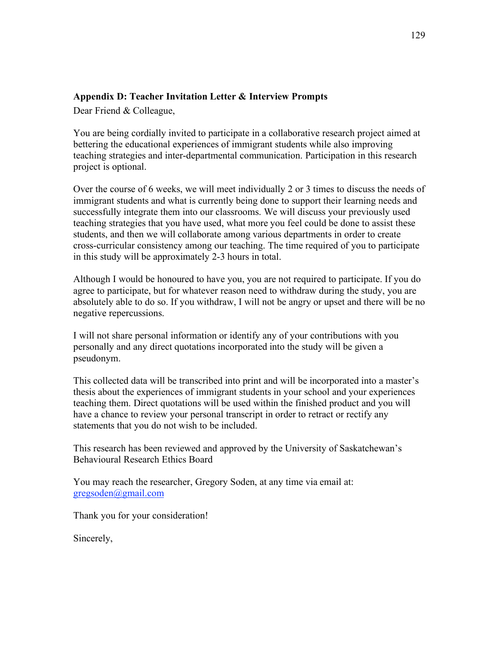# **Appendix D: Teacher Invitation Letter & Interview Prompts**

Dear Friend & Colleague,

You are being cordially invited to participate in a collaborative research project aimed at bettering the educational experiences of immigrant students while also improving teaching strategies and inter-departmental communication. Participation in this research project is optional.

Over the course of 6 weeks, we will meet individually 2 or 3 times to discuss the needs of immigrant students and what is currently being done to support their learning needs and successfully integrate them into our classrooms. We will discuss your previously used teaching strategies that you have used, what more you feel could be done to assist these students, and then we will collaborate among various departments in order to create cross-curricular consistency among our teaching. The time required of you to participate in this study will be approximately 2-3 hours in total.

Although I would be honoured to have you, you are not required to participate. If you do agree to participate, but for whatever reason need to withdraw during the study, you are absolutely able to do so. If you withdraw, I will not be angry or upset and there will be no negative repercussions.

I will not share personal information or identify any of your contributions with you personally and any direct quotations incorporated into the study will be given a pseudonym.

This collected data will be transcribed into print and will be incorporated into a master's thesis about the experiences of immigrant students in your school and your experiences teaching them. Direct quotations will be used within the finished product and you will have a chance to review your personal transcript in order to retract or rectify any statements that you do not wish to be included.

This research has been reviewed and approved by the University of Saskatchewan's Behavioural Research Ethics Board

You may reach the researcher, Gregory Soden, at any time via email at: gregsoden@gmail.com

Thank you for your consideration!

Sincerely,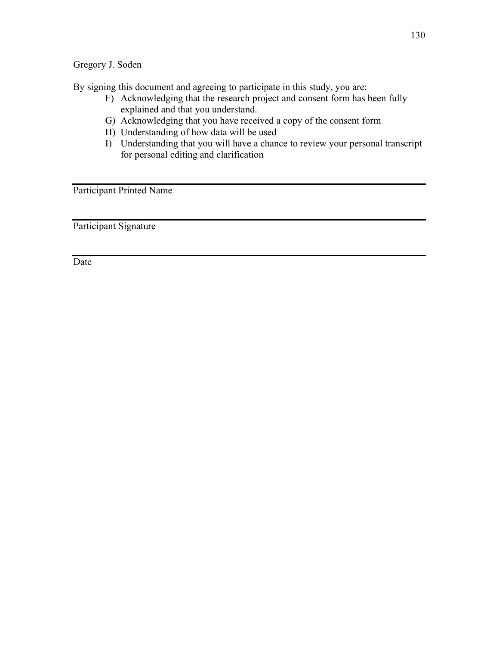Gregory J. Soden

By signing this document and agreeing to participate in this study, you are:

- F) Acknowledging that the research project and consent form has been fully explained and that you understand.
- G) Acknowledging that you have received a copy of the consent form
- H) Understanding of how data will be used
- I) Understanding that you will have a chance to review your personal transcript for personal editing and clarification

Participant Printed Name

Participant Signature

Date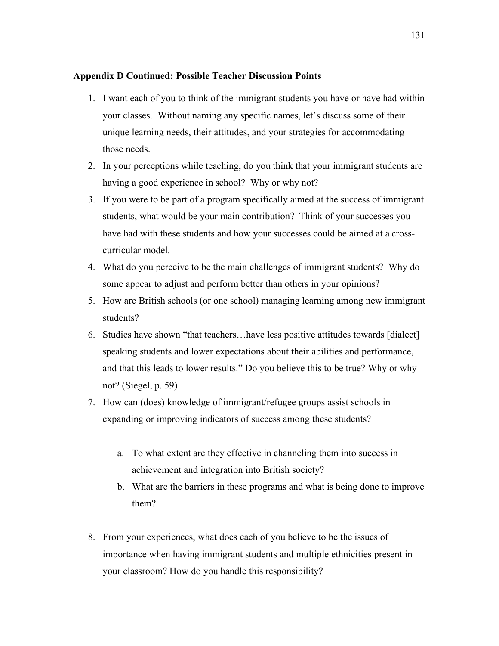## **Appendix D Continued: Possible Teacher Discussion Points**

- 1. I want each of you to think of the immigrant students you have or have had within your classes. Without naming any specific names, let's discuss some of their unique learning needs, their attitudes, and your strategies for accommodating those needs.
- 2. In your perceptions while teaching, do you think that your immigrant students are having a good experience in school? Why or why not?
- 3. If you were to be part of a program specifically aimed at the success of immigrant students, what would be your main contribution? Think of your successes you have had with these students and how your successes could be aimed at a crosscurricular model.
- 4. What do you perceive to be the main challenges of immigrant students? Why do some appear to adjust and perform better than others in your opinions?
- 5. How are British schools (or one school) managing learning among new immigrant students?
- 6. Studies have shown "that teachers…have less positive attitudes towards [dialect] speaking students and lower expectations about their abilities and performance, and that this leads to lower results." Do you believe this to be true? Why or why not? (Siegel, p. 59)
- 7. How can (does) knowledge of immigrant/refugee groups assist schools in expanding or improving indicators of success among these students?
	- a. To what extent are they effective in channeling them into success in achievement and integration into British society?
	- b. What are the barriers in these programs and what is being done to improve them?
- 8. From your experiences, what does each of you believe to be the issues of importance when having immigrant students and multiple ethnicities present in your classroom? How do you handle this responsibility?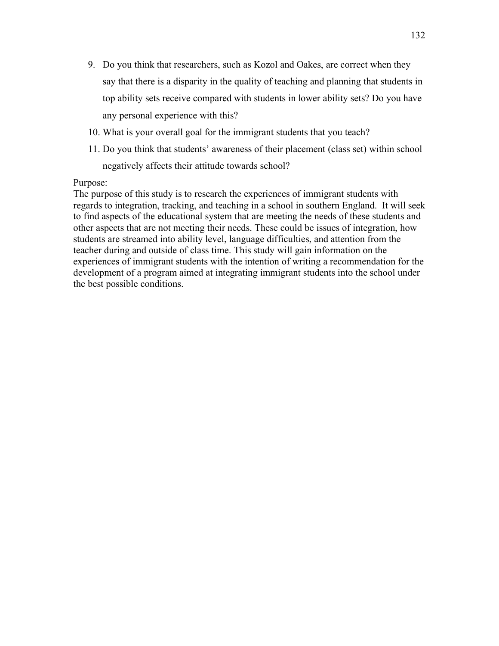- 9. Do you think that researchers, such as Kozol and Oakes, are correct when they say that there is a disparity in the quality of teaching and planning that students in top ability sets receive compared with students in lower ability sets? Do you have any personal experience with this?
- 10. What is your overall goal for the immigrant students that you teach?
- 11. Do you think that students' awareness of their placement (class set) within school negatively affects their attitude towards school?

### Purpose:

The purpose of this study is to research the experiences of immigrant students with regards to integration, tracking, and teaching in a school in southern England. It will seek to find aspects of the educational system that are meeting the needs of these students and other aspects that are not meeting their needs. These could be issues of integration, how students are streamed into ability level, language difficulties, and attention from the teacher during and outside of class time. This study will gain information on the experiences of immigrant students with the intention of writing a recommendation for the development of a program aimed at integrating immigrant students into the school under the best possible conditions.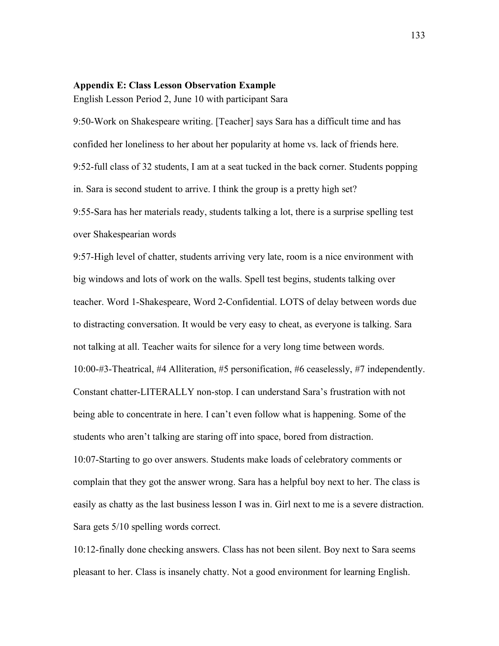### **Appendix E: Class Lesson Observation Example**

English Lesson Period 2, June 10 with participant Sara

9:50-Work on Shakespeare writing. [Teacher] says Sara has a difficult time and has confided her loneliness to her about her popularity at home vs. lack of friends here. 9:52-full class of 32 students, I am at a seat tucked in the back corner. Students popping in. Sara is second student to arrive. I think the group is a pretty high set? 9:55-Sara has her materials ready, students talking a lot, there is a surprise spelling test over Shakespearian words

9:57-High level of chatter, students arriving very late, room is a nice environment with big windows and lots of work on the walls. Spell test begins, students talking over teacher. Word 1-Shakespeare, Word 2-Confidential. LOTS of delay between words due to distracting conversation. It would be very easy to cheat, as everyone is talking. Sara not talking at all. Teacher waits for silence for a very long time between words. 10:00-#3-Theatrical, #4 Alliteration, #5 personification, #6 ceaselessly, #7 independently. Constant chatter-LITERALLY non-stop. I can understand Sara's frustration with not being able to concentrate in here. I can't even follow what is happening. Some of the students who aren't talking are staring off into space, bored from distraction. 10:07-Starting to go over answers. Students make loads of celebratory comments or complain that they got the answer wrong. Sara has a helpful boy next to her. The class is easily as chatty as the last business lesson I was in. Girl next to me is a severe distraction. Sara gets 5/10 spelling words correct.

10:12-finally done checking answers. Class has not been silent. Boy next to Sara seems pleasant to her. Class is insanely chatty. Not a good environment for learning English.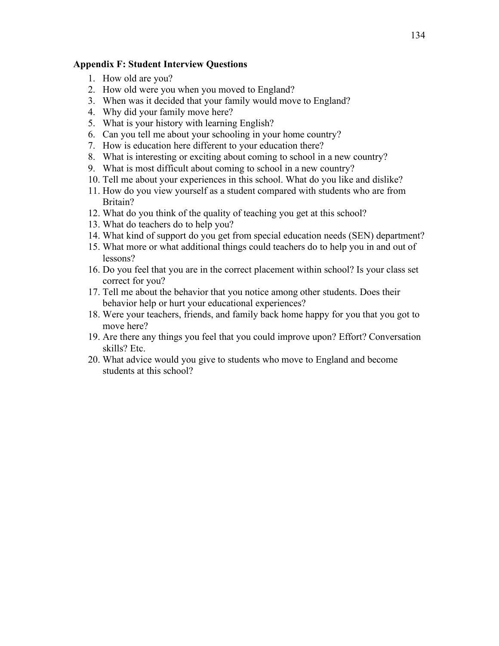## **Appendix F: Student Interview Questions**

- 1. How old are you?
- 2. How old were you when you moved to England?
- 3. When was it decided that your family would move to England?
- 4. Why did your family move here?
- 5. What is your history with learning English?
- 6. Can you tell me about your schooling in your home country?
- 7. How is education here different to your education there?
- 8. What is interesting or exciting about coming to school in a new country?
- 9. What is most difficult about coming to school in a new country?
- 10. Tell me about your experiences in this school. What do you like and dislike?
- 11. How do you view yourself as a student compared with students who are from Britain?
- 12. What do you think of the quality of teaching you get at this school?
- 13. What do teachers do to help you?
- 14. What kind of support do you get from special education needs (SEN) department?
- 15. What more or what additional things could teachers do to help you in and out of lessons?
- 16. Do you feel that you are in the correct placement within school? Is your class set correct for you?
- 17. Tell me about the behavior that you notice among other students. Does their behavior help or hurt your educational experiences?
- 18. Were your teachers, friends, and family back home happy for you that you got to move here?
- 19. Are there any things you feel that you could improve upon? Effort? Conversation skills? Etc.
- 20. What advice would you give to students who move to England and become students at this school?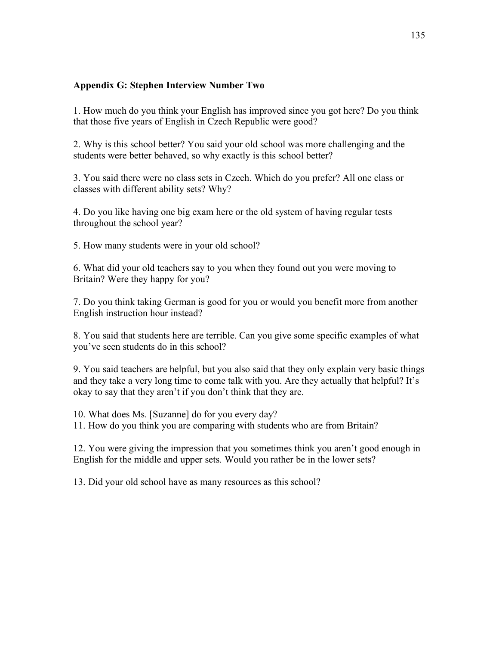# **Appendix G: Stephen Interview Number Two**

1. How much do you think your English has improved since you got here? Do you think that those five years of English in Czech Republic were good?

2. Why is this school better? You said your old school was more challenging and the students were better behaved, so why exactly is this school better?

3. You said there were no class sets in Czech. Which do you prefer? All one class or classes with different ability sets? Why?

4. Do you like having one big exam here or the old system of having regular tests throughout the school year?

5. How many students were in your old school?

6. What did your old teachers say to you when they found out you were moving to Britain? Were they happy for you?

7. Do you think taking German is good for you or would you benefit more from another English instruction hour instead?

8. You said that students here are terrible. Can you give some specific examples of what you've seen students do in this school?

9. You said teachers are helpful, but you also said that they only explain very basic things and they take a very long time to come talk with you. Are they actually that helpful? It's okay to say that they aren't if you don't think that they are.

10. What does Ms. [Suzanne] do for you every day?

11. How do you think you are comparing with students who are from Britain?

12. You were giving the impression that you sometimes think you aren't good enough in English for the middle and upper sets. Would you rather be in the lower sets?

13. Did your old school have as many resources as this school?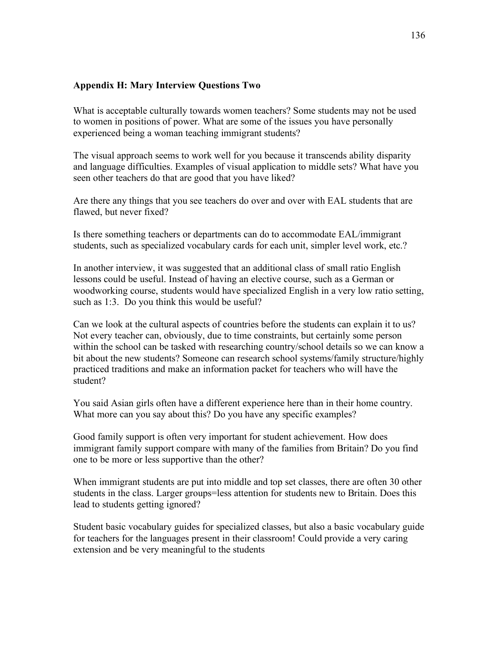## **Appendix H: Mary Interview Questions Two**

What is acceptable culturally towards women teachers? Some students may not be used to women in positions of power. What are some of the issues you have personally experienced being a woman teaching immigrant students?

The visual approach seems to work well for you because it transcends ability disparity and language difficulties. Examples of visual application to middle sets? What have you seen other teachers do that are good that you have liked?

Are there any things that you see teachers do over and over with EAL students that are flawed, but never fixed?

Is there something teachers or departments can do to accommodate EAL/immigrant students, such as specialized vocabulary cards for each unit, simpler level work, etc.?

In another interview, it was suggested that an additional class of small ratio English lessons could be useful. Instead of having an elective course, such as a German or woodworking course, students would have specialized English in a very low ratio setting, such as 1:3. Do you think this would be useful?

Can we look at the cultural aspects of countries before the students can explain it to us? Not every teacher can, obviously, due to time constraints, but certainly some person within the school can be tasked with researching country/school details so we can know a bit about the new students? Someone can research school systems/family structure/highly practiced traditions and make an information packet for teachers who will have the student?

You said Asian girls often have a different experience here than in their home country. What more can you say about this? Do you have any specific examples?

Good family support is often very important for student achievement. How does immigrant family support compare with many of the families from Britain? Do you find one to be more or less supportive than the other?

When immigrant students are put into middle and top set classes, there are often 30 other students in the class. Larger groups=less attention for students new to Britain. Does this lead to students getting ignored?

Student basic vocabulary guides for specialized classes, but also a basic vocabulary guide for teachers for the languages present in their classroom! Could provide a very caring extension and be very meaningful to the students